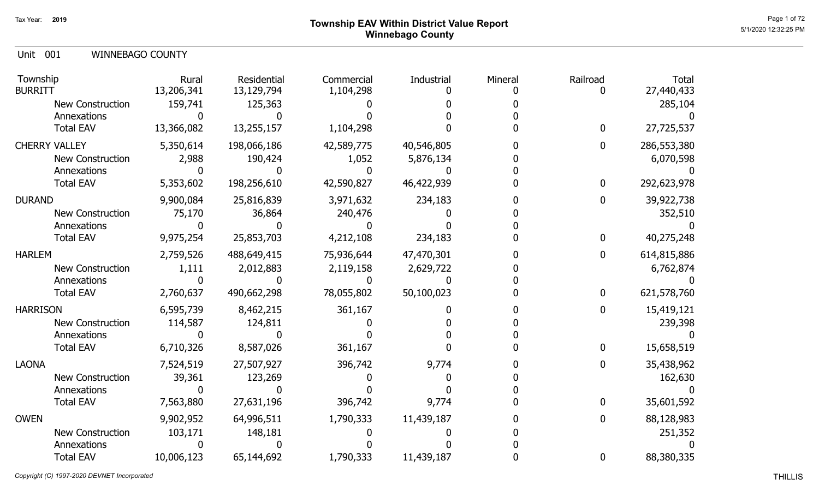## Page 1 of 72  $^{\text{Page 1 of 72}}$ Winnebago County

Unit 001 WINNEBAGO COUNTY

| Township<br><b>BURRITT</b> | Rural<br>13,206,341 | Residential<br>13,129,794 | Commercial<br>1,104,298 | Industrial | Mineral | Railroad     | <b>Total</b><br>27,440,433 |
|----------------------------|---------------------|---------------------------|-------------------------|------------|---------|--------------|----------------------------|
| New Construction           | 159,741             | 125,363                   |                         |            |         |              | 285,104                    |
| Annexations                |                     |                           |                         |            |         |              |                            |
| <b>Total EAV</b>           | 13,366,082          | 13,255,157                | 1,104,298               |            |         | 0            | 27,725,537                 |
| <b>CHERRY VALLEY</b>       | 5,350,614           | 198,066,186               | 42,589,775              | 40,546,805 |         | $\mathbf{0}$ | 286,553,380                |
| <b>New Construction</b>    | 2,988               | 190,424                   | 1,052                   | 5,876,134  |         |              | 6,070,598                  |
| Annexations                |                     |                           |                         |            |         |              |                            |
| <b>Total EAV</b>           | 5,353,602           | 198,256,610               | 42,590,827              | 46,422,939 |         | $\mathbf{0}$ | 292,623,978                |
| <b>DURAND</b>              | 9,900,084           | 25,816,839                | 3,971,632               | 234,183    |         | 0            | 39,922,738                 |
| <b>New Construction</b>    | 75,170              | 36,864                    | 240,476                 |            |         |              | 352,510                    |
| Annexations                |                     |                           |                         |            |         |              |                            |
| <b>Total EAV</b>           | 9,975,254           | 25,853,703                | 4,212,108               | 234,183    |         | 0            | 40,275,248                 |
| <b>HARLEM</b>              | 2,759,526           | 488,649,415               | 75,936,644              | 47,470,301 |         | $\mathbf{0}$ | 614,815,886                |
| <b>New Construction</b>    | 1,111               | 2,012,883                 | 2,119,158               | 2,629,722  |         |              | 6,762,874                  |
| Annexations                |                     |                           |                         |            |         |              |                            |
| <b>Total EAV</b>           | 2,760,637           | 490,662,298               | 78,055,802              | 50,100,023 |         | 0            | 621,578,760                |
| <b>HARRISON</b>            | 6,595,739           | 8,462,215                 | 361,167                 |            |         | 0            | 15,419,121                 |
| <b>New Construction</b>    | 114,587             | 124,811                   |                         |            |         |              | 239,398                    |
| Annexations                |                     |                           |                         |            |         |              |                            |
| <b>Total EAV</b>           | 6,710,326           | 8,587,026                 | 361,167                 |            |         | $\mathbf{0}$ | 15,658,519                 |
| <b>LAONA</b>               | 7,524,519           | 27,507,927                | 396,742                 | 9,774      |         | 0            | 35,438,962                 |
| <b>New Construction</b>    | 39,361              | 123,269                   |                         |            |         |              | 162,630                    |
| Annexations                |                     |                           |                         |            |         |              |                            |
| <b>Total EAV</b>           | 7,563,880           | 27,631,196                | 396,742                 | 9,774      |         | $\Omega$     | 35,601,592                 |
| <b>OWEN</b>                | 9,902,952           | 64,996,511                | 1,790,333               | 11,439,187 |         | 0            | 88,128,983                 |
| New Construction           | 103,171             | 148,181                   |                         |            |         |              | 251,352                    |
| Annexations                |                     |                           |                         |            |         |              |                            |
| <b>Total EAV</b>           | 10,006,123          | 65,144,692                | 1,790,333               | 11,439,187 |         | 0            | 88,380,335                 |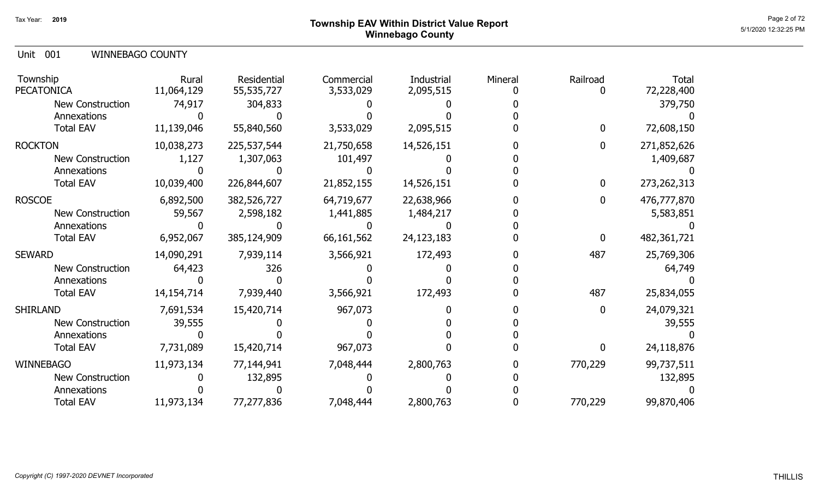### Page 2 of 72 Page 2 of 72  $^{\text{Page 2 of 72}}$ Winnebago County

Unit 001 WINNEBAGO COUNTY

| Township<br><b>PECATONICA</b> | Rural<br>11,064,129 | Residential<br>55,535,727 | Commercial<br>3,533,029 | Industrial<br>2,095,515 | Mineral | Railroad | <b>Total</b><br>72,228,400 |
|-------------------------------|---------------------|---------------------------|-------------------------|-------------------------|---------|----------|----------------------------|
| New Construction              | 74,917              | 304,833                   |                         |                         |         |          | 379,750                    |
| Annexations                   |                     |                           |                         |                         |         |          |                            |
| <b>Total EAV</b>              | 11,139,046          | 55,840,560                | 3,533,029               | 2,095,515               |         | 0        | 72,608,150                 |
| <b>ROCKTON</b>                | 10,038,273          | 225,537,544               | 21,750,658              | 14,526,151              |         | 0        | 271,852,626                |
| <b>New Construction</b>       | 1,127               | 1,307,063                 | 101,497                 |                         |         |          | 1,409,687                  |
| Annexations                   |                     |                           |                         |                         |         |          |                            |
| <b>Total EAV</b>              | 10,039,400          | 226,844,607               | 21,852,155              | 14,526,151              |         | 0        | 273, 262, 313              |
| <b>ROSCOE</b>                 | 6,892,500           | 382,526,727               | 64,719,677              | 22,638,966              |         |          | 476,777,870                |
| New Construction              | 59,567              | 2,598,182                 | 1,441,885               | 1,484,217               |         |          | 5,583,851                  |
| Annexations                   |                     |                           |                         |                         |         |          |                            |
| <b>Total EAV</b>              | 6,952,067           | 385,124,909               | 66,161,562              | 24,123,183              |         | 0        | 482,361,721                |
| <b>SEWARD</b>                 | 14,090,291          | 7,939,114                 | 3,566,921               | 172,493                 |         | 487      | 25,769,306                 |
| New Construction              | 64,423              | 326                       |                         |                         |         |          | 64,749                     |
| Annexations                   |                     |                           |                         |                         |         |          |                            |
| <b>Total EAV</b>              | 14, 154, 714        | 7,939,440                 | 3,566,921               | 172,493                 |         | 487      | 25,834,055                 |
| <b>SHIRLAND</b>               | 7,691,534           | 15,420,714                | 967,073                 |                         |         | 0        | 24,079,321                 |
| <b>New Construction</b>       | 39,555              |                           |                         |                         |         |          | 39,555                     |
| Annexations                   |                     |                           |                         |                         |         |          |                            |
| <b>Total EAV</b>              | 7,731,089           | 15,420,714                | 967,073                 |                         |         | O        | 24,118,876                 |
| <b>WINNEBAGO</b>              | 11,973,134          | 77,144,941                | 7,048,444               | 2,800,763               |         | 770,229  | 99,737,511                 |
| New Construction              |                     | 132,895                   |                         |                         |         |          | 132,895                    |
| Annexations                   |                     |                           |                         |                         |         |          |                            |
| <b>Total EAV</b>              | 11,973,134          | 77,277,836                | 7,048,444               | 2,800,763               |         | 770,229  | 99,870,406                 |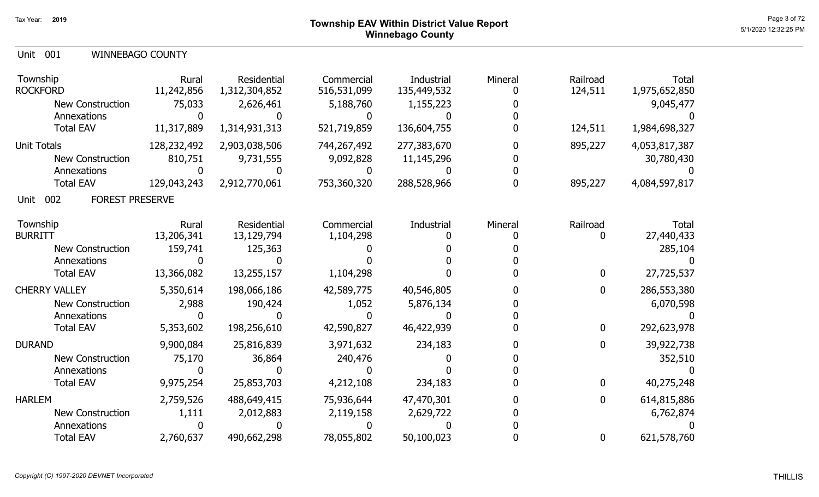|  | Unit 001 |  | <b>WINNEBAGO COUNTY</b> |
|--|----------|--|-------------------------|
|--|----------|--|-------------------------|

| Township<br><b>ROCKFORD</b>           | Rural<br>11,242,856 | Residential<br>1,312,304,852 | Commercial<br>516,531,099 | Industrial<br>135,449,532 | Mineral | Railroad<br>124,511 | <b>Total</b><br>1,975,652,850 |
|---------------------------------------|---------------------|------------------------------|---------------------------|---------------------------|---------|---------------------|-------------------------------|
| <b>New Construction</b>               | 75,033              | 2,626,461                    | 5,188,760                 | 1,155,223                 |         |                     | 9,045,477                     |
| Annexations                           |                     |                              |                           |                           |         |                     |                               |
| <b>Total EAV</b>                      | 11,317,889          | 1,314,931,313                | 521,719,859               | 136,604,755               |         | 124,511             | 1,984,698,327                 |
| <b>Unit Totals</b>                    | 128,232,492         | 2,903,038,506                | 744,267,492               | 277,383,670               |         | 895,227             | 4,053,817,387                 |
| <b>New Construction</b>               | 810,751             | 9,731,555                    | 9,092,828                 | 11, 145, 296              |         |                     | 30,780,430                    |
| Annexations                           |                     |                              |                           |                           |         |                     |                               |
| <b>Total EAV</b>                      | 129,043,243         | 2,912,770,061                | 753,360,320               | 288,528,966               |         | 895,227             | 4,084,597,817                 |
| 002<br><b>FOREST PRESERVE</b><br>Unit |                     |                              |                           |                           |         |                     |                               |
| Township                              | Rural               | Residential                  | Commercial                | Industrial                | Mineral | Railroad            | <b>Total</b>                  |
| <b>BURRITT</b>                        | 13,206,341          | 13,129,794                   | 1,104,298                 |                           |         |                     | 27,440,433                    |
| <b>New Construction</b>               | 159,741             | 125,363                      |                           |                           |         |                     | 285,104                       |
| Annexations                           |                     |                              |                           |                           |         |                     |                               |
| <b>Total EAV</b>                      | 13,366,082          | 13,255,157                   | 1,104,298                 |                           |         | 0                   | 27,725,537                    |
| <b>CHERRY VALLEY</b>                  | 5,350,614           | 198,066,186                  | 42,589,775                | 40,546,805                |         | 0                   | 286,553,380                   |
| <b>New Construction</b>               | 2,988               | 190,424                      | 1,052                     | 5,876,134                 |         |                     | 6,070,598                     |
| Annexations                           |                     |                              |                           |                           |         |                     |                               |
| <b>Total EAV</b>                      | 5,353,602           | 198,256,610                  | 42,590,827                | 46,422,939                |         | 0                   | 292,623,978                   |
| <b>DURAND</b>                         | 9,900,084           | 25,816,839                   | 3,971,632                 | 234,183                   |         | 0                   | 39,922,738                    |
| New Construction                      | 75,170              | 36,864                       | 240,476                   |                           |         |                     | 352,510                       |
| Annexations                           |                     |                              |                           |                           |         |                     |                               |
| <b>Total EAV</b>                      | 9,975,254           | 25,853,703                   | 4,212,108                 | 234,183                   |         | 0                   | 40,275,248                    |
| <b>HARLEM</b>                         | 2,759,526           | 488,649,415                  | 75,936,644                | 47,470,301                |         | 0                   | 614,815,886                   |
| New Construction                      | 1,111               | 2,012,883                    | 2,119,158                 | 2,629,722                 |         |                     | 6,762,874                     |
| Annexations                           |                     |                              |                           |                           |         |                     |                               |
| <b>Total EAV</b>                      | 2,760,637           | 490,662,298                  | 78,055,802                | 50,100,023                |         | 0                   | 621,578,760                   |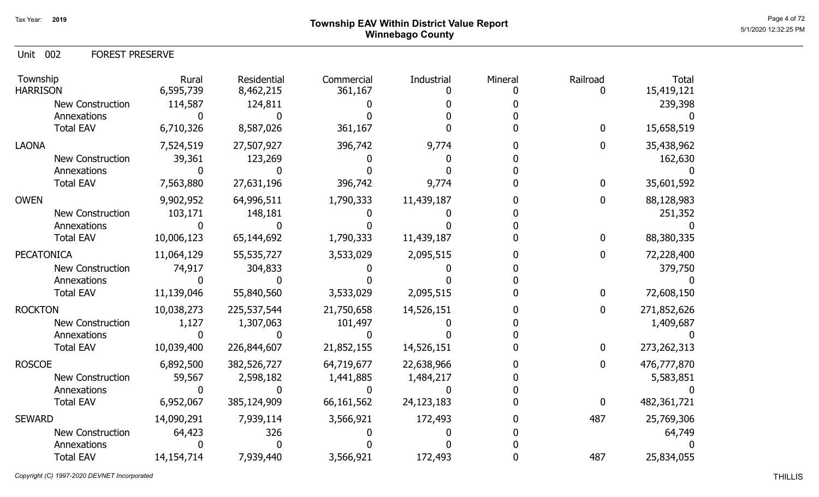## Page 4 of 72  $^{\text{Page 4 of 72}}$ Winnebago County

Unit 002 FOREST PRESERVE

| Township<br><b>HARRISON</b> | Rural<br>6,595,739 | Residential<br>8,462,215 | Commercial<br>361,167 | Industrial | Mineral | Railroad | <b>Total</b><br>15,419,121 |
|-----------------------------|--------------------|--------------------------|-----------------------|------------|---------|----------|----------------------------|
| New Construction            | 114,587            | 124,811                  |                       |            |         |          | 239,398                    |
| Annexations                 |                    |                          |                       |            |         |          |                            |
| <b>Total EAV</b>            | 6,710,326          | 8,587,026                | 361,167               |            |         | 0        | 15,658,519                 |
| <b>LAONA</b>                | 7,524,519          | 27,507,927               | 396,742               | 9,774      |         | 0        | 35,438,962                 |
| <b>New Construction</b>     | 39,361             | 123,269                  |                       |            |         |          | 162,630                    |
| Annexations                 |                    |                          |                       |            |         |          |                            |
| <b>Total EAV</b>            | 7,563,880          | 27,631,196               | 396,742               | 9,774      |         | 0        | 35,601,592                 |
| <b>OWEN</b>                 | 9,902,952          | 64,996,511               | 1,790,333             | 11,439,187 |         |          | 88,128,983                 |
| <b>New Construction</b>     | 103,171            | 148,181                  |                       |            |         |          | 251,352                    |
| Annexations                 |                    |                          |                       |            |         |          |                            |
| <b>Total EAV</b>            | 10,006,123         | 65,144,692               | 1,790,333             | 11,439,187 |         | 0        | 88,380,335                 |
| <b>PECATONICA</b>           | 11,064,129         | 55,535,727               | 3,533,029             | 2,095,515  |         | 0        | 72,228,400                 |
| <b>New Construction</b>     | 74,917             | 304,833                  |                       |            |         |          | 379,750                    |
| Annexations                 |                    |                          |                       |            |         |          |                            |
| <b>Total EAV</b>            | 11,139,046         | 55,840,560               | 3,533,029             | 2,095,515  |         | 0        | 72,608,150                 |
| <b>ROCKTON</b>              | 10,038,273         | 225,537,544              | 21,750,658            | 14,526,151 |         | 0        | 271,852,626                |
| <b>New Construction</b>     | 1,127              | 1,307,063                | 101,497               |            |         |          | 1,409,687                  |
| Annexations                 |                    |                          |                       |            |         |          |                            |
| <b>Total EAV</b>            | 10,039,400         | 226,844,607              | 21,852,155            | 14,526,151 |         | 0        | 273, 262, 313              |
| <b>ROSCOE</b>               | 6,892,500          | 382,526,727              | 64,719,677            | 22,638,966 |         | 0        | 476,777,870                |
| New Construction            | 59,567             | 2,598,182                | 1,441,885             | 1,484,217  |         |          | 5,583,851                  |
| Annexations                 |                    |                          |                       |            |         |          |                            |
| <b>Total EAV</b>            | 6,952,067          | 385,124,909              | 66, 161, 562          | 24,123,183 |         | 0        | 482,361,721                |
| <b>SEWARD</b>               | 14,090,291         | 7,939,114                | 3,566,921             | 172,493    |         | 487      | 25,769,306                 |
| <b>New Construction</b>     | 64,423             | 326                      |                       |            |         |          | 64,749                     |
| Annexations                 |                    |                          |                       |            |         |          |                            |
| <b>Total EAV</b>            | 14,154,714         | 7,939,440                | 3,566,921             | 172,493    |         | 487      | 25,834,055                 |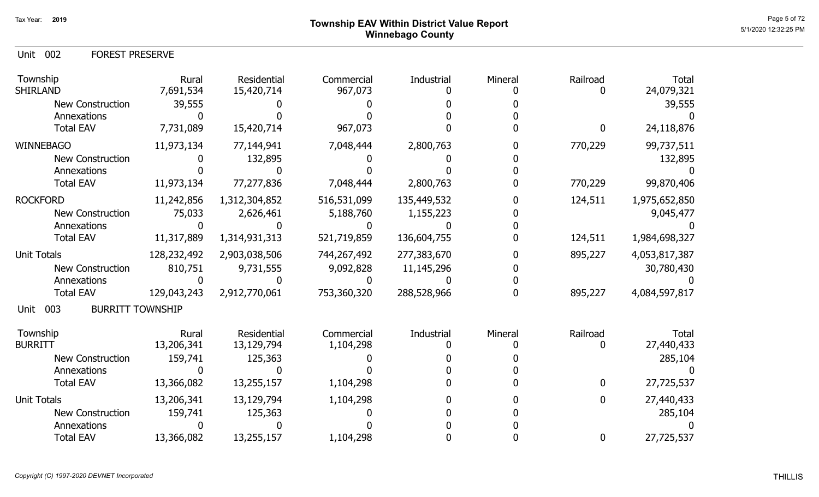Unit 002 FOREST PRESERVE

| Township<br><b>SHIRLAND</b>            | Rural<br>7,691,534 | Residential<br>15,420,714 | Commercial<br>967,073 | Industrial  | Mineral | Railroad         | Total<br>24,079,321 |
|----------------------------------------|--------------------|---------------------------|-----------------------|-------------|---------|------------------|---------------------|
| <b>New Construction</b>                | 39,555             |                           |                       |             |         |                  | 39,555              |
| Annexations                            |                    |                           |                       |             |         |                  |                     |
| <b>Total EAV</b>                       | 7,731,089          | 15,420,714                | 967,073               |             |         | $\boldsymbol{0}$ | 24,118,876          |
| <b>WINNEBAGO</b>                       | 11,973,134         | 77,144,941                | 7,048,444             | 2,800,763   |         | 770,229          | 99,737,511          |
| New Construction                       |                    | 132,895                   |                       |             |         |                  | 132,895             |
| Annexations                            |                    |                           |                       |             |         |                  |                     |
| <b>Total EAV</b>                       | 11,973,134         | 77,277,836                | 7,048,444             | 2,800,763   |         | 770,229          | 99,870,406          |
| <b>ROCKFORD</b>                        | 11,242,856         | 1,312,304,852             | 516,531,099           | 135,449,532 |         | 124,511          | 1,975,652,850       |
| <b>New Construction</b>                | 75,033             | 2,626,461                 | 5,188,760             | 1,155,223   |         |                  | 9,045,477           |
| Annexations                            |                    |                           |                       |             |         |                  |                     |
| <b>Total EAV</b>                       | 11,317,889         | 1,314,931,313             | 521,719,859           | 136,604,755 |         | 124,511          | 1,984,698,327       |
| <b>Unit Totals</b>                     | 128,232,492        | 2,903,038,506             | 744,267,492           | 277,383,670 |         | 895,227          | 4,053,817,387       |
| <b>New Construction</b>                | 810,751            | 9,731,555                 | 9,092,828             | 11,145,296  |         |                  | 30,780,430          |
| Annexations                            |                    |                           |                       |             |         |                  |                     |
| <b>Total EAV</b>                       | 129,043,243        | 2,912,770,061             | 753,360,320           | 288,528,966 |         | 895,227          | 4,084,597,817       |
| 003<br><b>BURRITT TOWNSHIP</b><br>Unit |                    |                           |                       |             |         |                  |                     |
| Township                               | Rural              | Residential               | Commercial            | Industrial  | Mineral | Railroad         | Total               |
| <b>BURRITT</b>                         | 13,206,341         | 13,129,794                | 1,104,298             |             |         |                  | 27,440,433          |
| <b>New Construction</b>                | 159,741            | 125,363                   |                       |             |         |                  | 285,104             |
| Annexations                            |                    |                           |                       |             |         |                  |                     |
| <b>Total EAV</b>                       | 13,366,082         | 13,255,157                | 1,104,298             |             |         | 0                | 27,725,537          |
| <b>Unit Totals</b>                     | 13,206,341         | 13,129,794                | 1,104,298             |             |         | 0                | 27,440,433          |
| <b>New Construction</b>                | 159,741            | 125,363                   |                       |             |         |                  | 285,104             |
| Annexations                            |                    |                           |                       |             |         |                  |                     |
| <b>Total EAV</b>                       | 13,366,082         | 13,255,157                | 1,104,298             |             |         | 0                | 27,725,537          |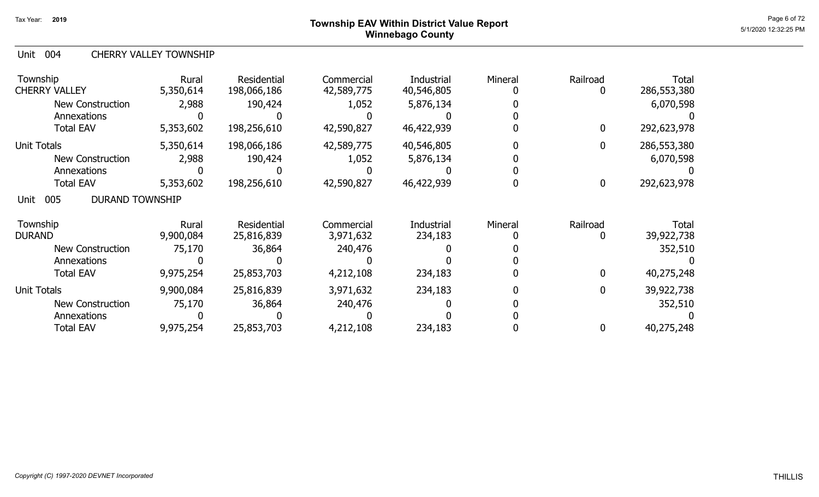### Page 6 of 72 Page 6 of 72 Winnebago County

#### Unit 004 CHERRY VALLEY TOWNSHIP

| Township<br><b>CHERRY VALLEY</b>      | Rural<br>5,350,614 | <b>Residential</b><br>198,066,186 | Commercial<br>42,589,775 | <b>Industrial</b><br>40,546,805 | Mineral | Railroad<br>0 | <b>Total</b><br>286,553,380 |
|---------------------------------------|--------------------|-----------------------------------|--------------------------|---------------------------------|---------|---------------|-----------------------------|
| <b>New Construction</b>               | 2,988              | 190,424                           | 1,052                    | 5,876,134                       |         |               | 6,070,598                   |
| Annexations                           |                    |                                   |                          |                                 |         |               |                             |
| <b>Total EAV</b>                      | 5,353,602          | 198,256,610                       | 42,590,827               | 46,422,939                      |         | 0             | 292,623,978                 |
| <b>Unit Totals</b>                    | 5,350,614          | 198,066,186                       | 42,589,775               | 40,546,805                      |         | 0             | 286,553,380                 |
| <b>New Construction</b>               | 2,988              | 190,424                           | 1,052                    | 5,876,134                       |         |               | 6,070,598                   |
| Annexations                           |                    |                                   |                          |                                 |         |               |                             |
| <b>Total EAV</b>                      | 5,353,602          | 198,256,610                       | 42,590,827               | 46,422,939                      |         | 0             | 292,623,978                 |
| <b>DURAND TOWNSHIP</b><br>005<br>Unit |                    |                                   |                          |                                 |         |               |                             |
| Township                              | Rural              | Residential                       | Commercial               | Industrial                      | Mineral | Railroad      | Total                       |
| <b>DURAND</b>                         | 9,900,084          | 25,816,839                        | 3,971,632                | 234,183                         |         |               | 39,922,738                  |
| <b>New Construction</b>               | 75,170             | 36,864                            | 240,476                  |                                 |         |               | 352,510                     |
| Annexations                           |                    |                                   |                          |                                 |         |               |                             |
| Total EAV                             | 9,975,254          | 25,853,703                        | 4,212,108                | 234,183                         |         | 0             | 40,275,248                  |
| <b>Unit Totals</b>                    | 9,900,084          | 25,816,839                        | 3,971,632                | 234,183                         |         | 0             | 39,922,738                  |
| New Construction                      | 75,170             | 36,864                            | 240,476                  |                                 |         |               | 352,510                     |
| Annexations                           |                    |                                   |                          |                                 |         |               |                             |
| <b>Total EAV</b>                      | 9,975,254          | 25,853,703                        | 4,212,108                | 234,183                         |         | 0             | 40,275,248                  |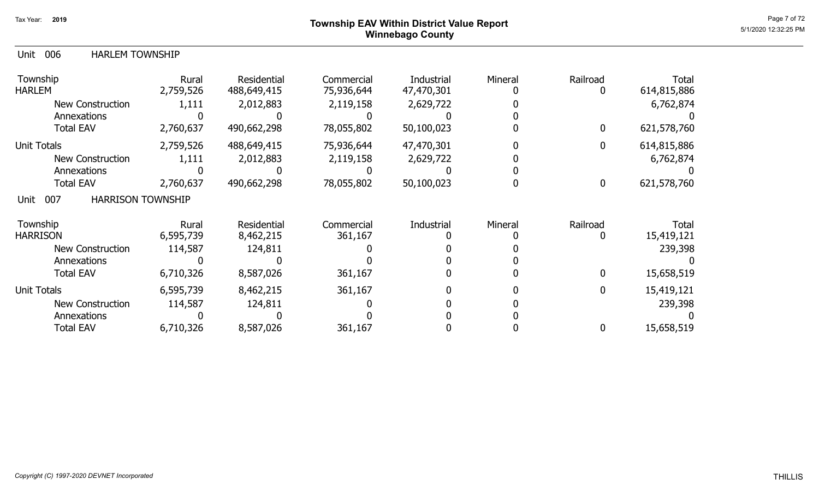### Page 7 of 72  $^{\text{Page 7 of 72}}$ Winnebago County

| <b>HARLEM TOWNSHIP</b><br>Unit 006 |
|------------------------------------|
|------------------------------------|

| Township<br><b>HARLEM</b>               | Rural<br>2,759,526 | Residential<br>488,649,415 | Commercial<br>75,936,644 | Industrial<br>47,470,301 | Mineral | Railroad    | <b>Total</b><br>614,815,886 |
|-----------------------------------------|--------------------|----------------------------|--------------------------|--------------------------|---------|-------------|-----------------------------|
| <b>New Construction</b>                 | 1,111              | 2,012,883                  | 2,119,158                | 2,629,722                |         |             | 6,762,874                   |
| Annexations                             |                    |                            |                          |                          |         |             |                             |
| <b>Total EAV</b>                        | 2,760,637          | 490,662,298                | 78,055,802               | 50,100,023               |         |             | 621,578,760                 |
| <b>Unit Totals</b>                      | 2,759,526          | 488,649,415                | 75,936,644               | 47,470,301               |         |             | 614,815,886                 |
| <b>New Construction</b>                 | 1,111              | 2,012,883                  | 2,119,158                | 2,629,722                |         |             | 6,762,874                   |
| Annexations                             |                    |                            |                          |                          |         |             |                             |
| <b>Total EAV</b>                        | 2,760,637          | 490,662,298                | 78,055,802               | 50,100,023               |         | 0           | 621,578,760                 |
| 007<br><b>HARRISON TOWNSHIP</b><br>Unit |                    |                            |                          |                          |         |             |                             |
| Township                                | Rural              | Residential                | Commercial               | Industrial               | Mineral | Railroad    | Total                       |
| <b>HARRISON</b>                         | 6,595,739          | 8,462,215                  | 361,167                  |                          |         |             | 15,419,121                  |
| <b>New Construction</b>                 | 114,587            | 124,811                    |                          |                          |         |             | 239,398                     |
| Annexations                             |                    |                            |                          |                          |         |             |                             |
| <b>Total EAV</b>                        | 6,710,326          | 8,587,026                  | 361,167                  |                          |         | $\mathbf 0$ | 15,658,519                  |
| Unit Totals                             | 6,595,739          | 8,462,215                  | 361,167                  |                          |         | 0           | 15,419,121                  |
| <b>New Construction</b>                 | 114,587            | 124,811                    |                          |                          |         |             | 239,398                     |
| Annexations                             |                    |                            |                          |                          |         |             |                             |
| <b>Total EAV</b>                        | 6,710,326          | 8,587,026                  | 361,167                  |                          |         |             | 15,658,519                  |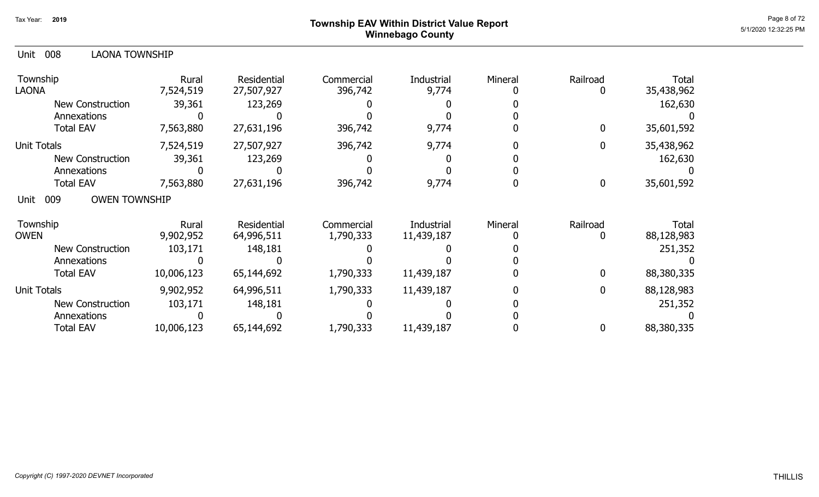### Page 8 of 72 **Page 8 of 72** Township EAV Within District Value Report Winnebago County

| 008<br><b>LAONA TOWNSHIP</b><br>Unit |                    |                           |                       |                     |         |             |                     |
|--------------------------------------|--------------------|---------------------------|-----------------------|---------------------|---------|-------------|---------------------|
| Township<br><b>LAONA</b>             | Rural<br>7,524,519 | Residential<br>27,507,927 | Commercial<br>396,742 | Industrial<br>9,774 | Mineral | Railroad    | Total<br>35,438,962 |
| New Construction                     | 39,361             | 123,269                   |                       |                     |         |             | 162,630             |
| Annexations                          |                    |                           |                       |                     |         |             |                     |
| <b>Total EAV</b>                     | 7,563,880          | 27,631,196                | 396,742               | 9,774               |         | 0           | 35,601,592          |
| <b>Unit Totals</b>                   | 7,524,519          | 27,507,927                | 396,742               | 9,774               |         | 0           | 35,438,962          |
| <b>New Construction</b>              | 39,361             | 123,269                   |                       |                     |         |             | 162,630             |
| Annexations                          |                    |                           |                       |                     |         |             |                     |
| <b>Total EAV</b>                     | 7,563,880          | 27,631,196                | 396,742               | 9,774               |         | 0           | 35,601,592          |
| <b>OWEN TOWNSHIP</b><br>009<br>Unit  |                    |                           |                       |                     |         |             |                     |
| Township                             | Rural              | <b>Residential</b>        | Commercial            | Industrial          | Mineral | Railroad    | Total               |
| <b>OWEN</b>                          | 9,902,952          | 64,996,511                | 1,790,333             | 11,439,187          |         | 0           | 88,128,983          |
| <b>New Construction</b>              | 103,171            | 148,181                   |                       |                     |         |             | 251,352             |
| Annexations                          |                    |                           |                       |                     |         |             |                     |
| <b>Total EAV</b>                     | 10,006,123         | 65,144,692                | 1,790,333             | 11,439,187          |         | $\mathbf 0$ | 88,380,335          |
| <b>Unit Totals</b>                   | 9,902,952          | 64,996,511                | 1,790,333             | 11,439,187          |         | 0           | 88,128,983          |
| <b>New Construction</b>              | 103,171            | 148,181                   |                       |                     |         |             | 251,352             |
| Annexations                          |                    |                           |                       |                     |         |             |                     |
| <b>Total EAV</b>                     | 10,006,123         | 65,144,692                | 1,790,333             | 11,439,187          |         | 0           | 88,380,335          |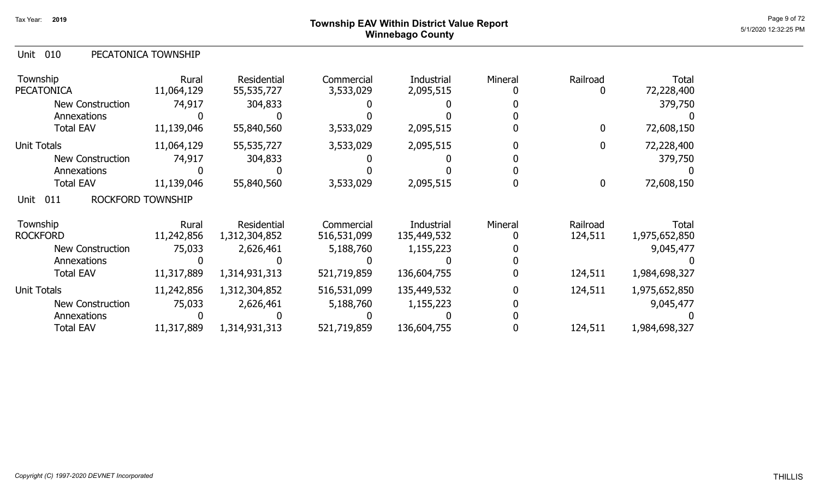### Page 9 of 72 **Page 9 of 72** Township EAV Within District Value Report Winnebago County

| Unit 010 | PECATONICA TOWNSHIP |
|----------|---------------------|
|          |                     |

| Township<br><b>PECATONICA</b>    | Rural<br>11,064,129 | <b>Residential</b><br>55,535,727 | Commercial<br>3,533,029 | Industrial<br>2,095,515 | Mineral | Railroad         | <b>Total</b><br>72,228,400 |
|----------------------------------|---------------------|----------------------------------|-------------------------|-------------------------|---------|------------------|----------------------------|
| <b>New Construction</b>          | 74,917              | 304,833                          |                         |                         |         |                  | 379,750                    |
| Annexations                      |                     |                                  |                         |                         |         |                  |                            |
| <b>Total EAV</b>                 | 11,139,046          | 55,840,560                       | 3,533,029               | 2,095,515               |         | 0                | 72,608,150                 |
| <b>Unit Totals</b>               | 11,064,129          | 55,535,727                       | 3,533,029               | 2,095,515               |         | $\mathbf 0$      | 72,228,400                 |
| <b>New Construction</b>          | 74,917              | 304,833                          |                         |                         |         |                  | 379,750                    |
| Annexations                      |                     |                                  |                         |                         |         |                  |                            |
| <b>Total EAV</b>                 | 11,139,046          | 55,840,560                       | 3,533,029               | 2,095,515               |         | $\boldsymbol{0}$ | 72,608,150                 |
| 011<br>ROCKFORD TOWNSHIP<br>Unit |                     |                                  |                         |                         |         |                  |                            |
| Township                         | Rural               | Residential                      | Commercial              | Industrial              | Mineral | Railroad         | <b>Total</b>               |
| <b>ROCKFORD</b>                  | 11,242,856          | 1,312,304,852                    | 516,531,099             | 135,449,532             |         | 124,511          | 1,975,652,850              |
| <b>New Construction</b>          | 75,033              | 2,626,461                        | 5,188,760               | 1,155,223               |         |                  | 9,045,477                  |
| Annexations                      |                     |                                  |                         |                         |         |                  |                            |
| <b>Total EAV</b>                 | 11,317,889          | 1,314,931,313                    | 521,719,859             | 136,604,755             |         | 124,511          | 1,984,698,327              |
| <b>Unit Totals</b>               | 11,242,856          | 1,312,304,852                    | 516,531,099             | 135,449,532             |         | 124,511          | 1,975,652,850              |
| <b>New Construction</b>          | 75,033              | 2,626,461                        | 5,188,760               | 1,155,223               |         |                  | 9,045,477                  |
| Annexations                      |                     |                                  |                         |                         |         |                  |                            |
| <b>Total EAV</b>                 | 11,317,889          | 1,314,931,313                    | 521,719,859             | 136,604,755             |         | 124,511          | 1,984,698,327              |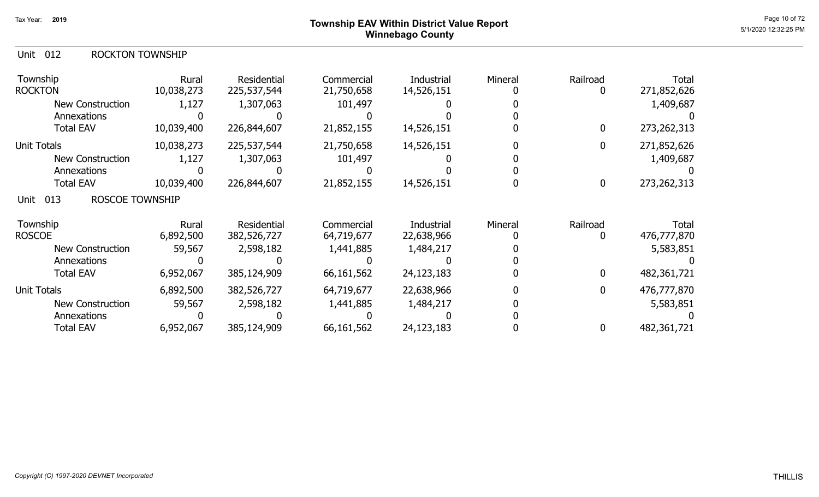|  | Unit 012 |  | <b>ROCKTON TOWNSHIP</b> |
|--|----------|--|-------------------------|
|--|----------|--|-------------------------|

| Township<br><b>ROCKTON</b>            | Rural<br>10,038,273 | Residential<br>225,537,544 | Commercial<br>21,750,658 | Industrial<br>14,526,151 | Mineral | Railroad     | <b>Total</b><br>271,852,626 |
|---------------------------------------|---------------------|----------------------------|--------------------------|--------------------------|---------|--------------|-----------------------------|
| <b>New Construction</b>               | 1,127               | 1,307,063                  | 101,497                  |                          |         |              | 1,409,687                   |
| Annexations                           |                     |                            |                          |                          |         |              |                             |
| <b>Total EAV</b>                      | 10,039,400          | 226,844,607                | 21,852,155               | 14,526,151               |         | 0            | 273, 262, 313               |
| <b>Unit Totals</b>                    | 10,038,273          | 225,537,544                | 21,750,658               | 14,526,151               |         | $\mathbf{0}$ | 271,852,626                 |
| New Construction                      | 1,127               | 1,307,063                  | 101,497                  |                          |         |              | 1,409,687                   |
| Annexations                           |                     |                            |                          |                          |         |              |                             |
| <b>Total EAV</b>                      | 10,039,400          | 226,844,607                | 21,852,155               | 14,526,151               |         | 0            | 273,262,313                 |
| 013<br><b>ROSCOE TOWNSHIP</b><br>Unit |                     |                            |                          |                          |         |              |                             |
| Township                              | Rural               | Residential                | Commercial               | Industrial               | Mineral | Railroad     | Total                       |
| <b>ROSCOE</b>                         | 6,892,500           | 382,526,727                | 64,719,677               | 22,638,966               |         |              | 476,777,870                 |
| New Construction                      | 59,567              | 2,598,182                  | 1,441,885                | 1,484,217                |         |              | 5,583,851                   |
| Annexations                           |                     |                            |                          |                          |         |              |                             |
| <b>Total EAV</b>                      | 6,952,067           | 385,124,909                | 66,161,562               | 24,123,183               |         | 0            | 482,361,721                 |
| <b>Unit Totals</b>                    | 6,892,500           | 382,526,727                | 64,719,677               | 22,638,966               |         | 0            | 476,777,870                 |
| <b>New Construction</b>               | 59,567              | 2,598,182                  | 1,441,885                | 1,484,217                |         |              | 5,583,851                   |
| Annexations                           |                     |                            |                          |                          |         |              |                             |
| <b>Total EAV</b>                      | 6,952,067           | 385,124,909                | 66,161,562               | 24,123,183               |         |              | 482,361,721                 |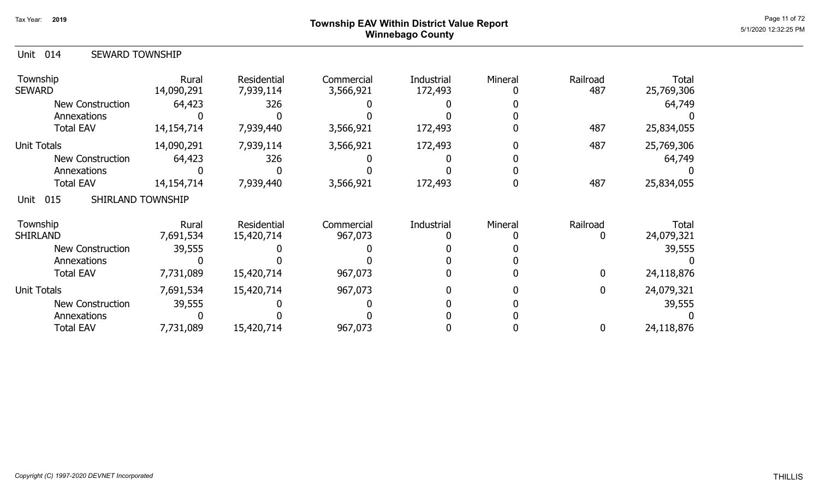# Page 11 of 72<br>Page 11 of 72 Page 11 of 72 Winnebago County

| 014<br><b>SEWARD TOWNSHIP</b><br>Unit |                     |                          |                         |                       |         |                  |                     |
|---------------------------------------|---------------------|--------------------------|-------------------------|-----------------------|---------|------------------|---------------------|
| Township<br><b>SEWARD</b>             | Rural<br>14,090,291 | Residential<br>7,939,114 | Commercial<br>3,566,921 | Industrial<br>172,493 | Mineral | Railroad<br>487  | Total<br>25,769,306 |
| <b>New Construction</b>               | 64,423              | 326                      |                         |                       |         |                  | 64,749              |
| Annexations                           |                     |                          |                         |                       |         |                  |                     |
| <b>Total EAV</b>                      | 14, 154, 714        | 7,939,440                | 3,566,921               | 172,493               |         | 487              | 25,834,055          |
| <b>Unit Totals</b>                    | 14,090,291          | 7,939,114                | 3,566,921               | 172,493               |         | 487              | 25,769,306          |
| <b>New Construction</b>               | 64,423              | 326                      |                         |                       |         |                  | 64,749              |
| Annexations                           |                     |                          |                         |                       |         |                  |                     |
| <b>Total EAV</b>                      | 14, 154, 714        | 7,939,440                | 3,566,921               | 172,493               |         | 487              | 25,834,055          |
| SHIRLAND TOWNSHIP<br>015<br>Unit      |                     |                          |                         |                       |         |                  |                     |
| Township                              | Rural               | Residential              | Commercial              | Industrial            | Mineral | Railroad         | Total               |
| <b>SHIRLAND</b>                       | 7,691,534           | 15,420,714               | 967,073                 |                       |         | 0                | 24,079,321          |
| <b>New Construction</b>               | 39,555              |                          |                         |                       |         |                  | 39,555              |
| Annexations                           |                     |                          |                         |                       |         |                  |                     |
| <b>Total EAV</b>                      | 7,731,089           | 15,420,714               | 967,073                 |                       |         | $\mathbf{0}$     | 24,118,876          |
| <b>Unit Totals</b>                    | 7,691,534           | 15,420,714               | 967,073                 |                       |         | $\boldsymbol{0}$ | 24,079,321          |
| New Construction                      | 39,555              |                          |                         |                       |         |                  | 39,555              |
| Annexations                           |                     |                          |                         |                       |         |                  |                     |
| <b>Total EAV</b>                      | 7,731,089           | 15,420,714               | 967,073                 |                       |         | 0                | 24,118,876          |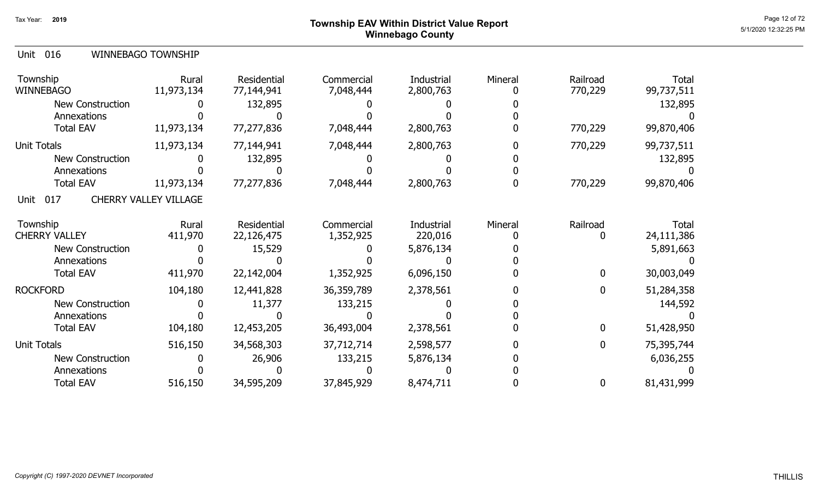### Page 12 of 72 Page 12 of 72  $^{\text{Page 12 of 72}}$ Winnebago County

|  | Unit 016 |  | <b>WINNEBAGO TOWNSHIP</b> |
|--|----------|--|---------------------------|
|--|----------|--|---------------------------|

| Township<br><b>WINNEBAGO</b> | Rural<br>11,973,134          | Residential<br>77,144,941 | Commercial<br>7,048,444 | Industrial<br>2,800,763 | Mineral | Railroad<br>770,229 | <b>Total</b><br>99,737,511 |
|------------------------------|------------------------------|---------------------------|-------------------------|-------------------------|---------|---------------------|----------------------------|
| <b>New Construction</b>      |                              | 132,895                   |                         |                         |         |                     | 132,895                    |
| Annexations                  |                              |                           |                         |                         |         |                     |                            |
| <b>Total EAV</b>             | 11,973,134                   | 77,277,836                | 7,048,444               | 2,800,763               |         | 770,229             | 99,870,406                 |
| <b>Unit Totals</b>           | 11,973,134                   | 77,144,941                | 7,048,444               | 2,800,763               |         | 770,229             | 99,737,511                 |
| <b>New Construction</b>      |                              | 132,895                   |                         |                         |         |                     | 132,895                    |
| Annexations                  |                              |                           |                         |                         |         |                     |                            |
| <b>Total EAV</b>             | 11,973,134                   | 77,277,836                | 7,048,444               | 2,800,763               |         | 770,229             | 99,870,406                 |
| 017<br>Unit                  | <b>CHERRY VALLEY VILLAGE</b> |                           |                         |                         |         |                     |                            |
| Township                     | Rural                        | Residential               | Commercial              | Industrial              | Mineral | Railroad            | Total                      |
| <b>CHERRY VALLEY</b>         | 411,970                      | 22,126,475                | 1,352,925               | 220,016                 |         | 0                   | 24,111,386                 |
| <b>New Construction</b>      |                              | 15,529                    |                         | 5,876,134               |         |                     | 5,891,663                  |
| Annexations                  |                              |                           |                         |                         |         |                     |                            |
| <b>Total EAV</b>             | 411,970                      | 22,142,004                | 1,352,925               | 6,096,150               |         | $\mathbf 0$         | 30,003,049                 |
| <b>ROCKFORD</b>              | 104,180                      | 12,441,828                | 36,359,789              | 2,378,561               |         | $\mathbf 0$         | 51,284,358                 |
| New Construction             |                              | 11,377                    | 133,215                 |                         |         |                     | 144,592                    |
| Annexations                  |                              |                           |                         |                         |         |                     |                            |
| <b>Total EAV</b>             | 104,180                      | 12,453,205                | 36,493,004              | 2,378,561               |         | $\mathbf 0$         | 51,428,950                 |
| <b>Unit Totals</b>           | 516,150                      | 34,568,303                | 37,712,714              | 2,598,577               |         | $\mathbf 0$         | 75,395,744                 |
| <b>New Construction</b>      |                              | 26,906                    | 133,215                 | 5,876,134               |         |                     | 6,036,255                  |
| Annexations                  |                              |                           |                         |                         |         |                     |                            |
| <b>Total EAV</b>             | 516,150                      | 34,595,209                | 37,845,929              | 8,474,711               |         | $\bf{0}$            | 81,431,999                 |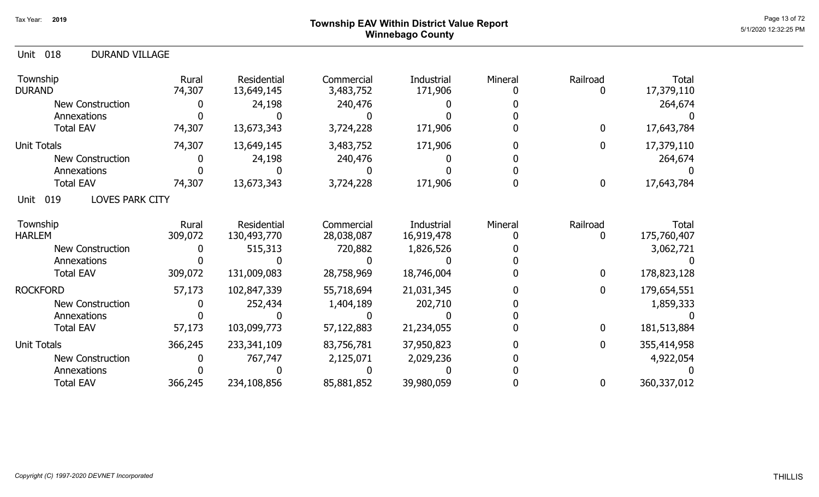#### Page 13 of 72 Page 13 of 72  $^{\text{Page 13 of 72}}$ Winnebago County

| <b>DURAND VILLAGE</b><br>018<br>Unit  |                  |                            |                          |                          |         |               |                             |
|---------------------------------------|------------------|----------------------------|--------------------------|--------------------------|---------|---------------|-----------------------------|
| Township<br><b>DURAND</b>             | Rural<br>74,307  | Residential<br>13,649,145  | Commercial<br>3,483,752  | Industrial<br>171,906    | Mineral | Railroad      | Total<br>17,379,110         |
| <b>New Construction</b>               |                  | 24,198                     | 240,476                  |                          |         |               | 264,674                     |
| Annexations                           |                  |                            |                          |                          |         |               |                             |
| <b>Total EAV</b>                      | 74,307           | 13,673,343                 | 3,724,228                | 171,906                  |         | $\mathbf 0$   | 17,643,784                  |
| <b>Unit Totals</b>                    | 74,307           | 13,649,145                 | 3,483,752                | 171,906                  |         | $\mathbf 0$   | 17,379,110                  |
| <b>New Construction</b>               |                  | 24,198                     | 240,476                  |                          |         |               | 264,674                     |
| Annexations                           |                  |                            |                          |                          |         |               |                             |
| <b>Total EAV</b>                      | 74,307           | 13,673,343                 | 3,724,228                | 171,906                  |         | $\bf{0}$      | 17,643,784                  |
| <b>LOVES PARK CITY</b><br>019<br>Unit |                  |                            |                          |                          |         |               |                             |
| Township<br><b>HARLEM</b>             | Rural<br>309,072 | Residential<br>130,493,770 | Commercial<br>28,038,087 | Industrial<br>16,919,478 | Mineral | Railroad<br>0 | <b>Total</b><br>175,760,407 |
| <b>New Construction</b>               |                  | 515,313                    | 720,882                  | 1,826,526                |         |               | 3,062,721                   |
| Annexations                           |                  |                            |                          |                          |         |               |                             |
| <b>Total EAV</b>                      | 309,072          | 131,009,083                | 28,758,969               | 18,746,004               |         | $\mathbf{0}$  | 178,823,128                 |
| <b>ROCKFORD</b>                       | 57,173           | 102,847,339                | 55,718,694               | 21,031,345               |         | $\mathbf 0$   | 179,654,551                 |
| <b>New Construction</b>               |                  | 252,434                    | 1,404,189                | 202,710                  |         |               | 1,859,333                   |
| Annexations                           |                  |                            |                          |                          |         |               |                             |
| <b>Total EAV</b>                      | 57,173           | 103,099,773                | 57,122,883               | 21,234,055               |         | $\mathbf 0$   | 181,513,884                 |
| <b>Unit Totals</b>                    | 366,245          | 233, 341, 109              | 83,756,781               | 37,950,823               |         | $\mathbf 0$   | 355,414,958                 |
| <b>New Construction</b>               |                  | 767,747                    | 2,125,071                | 2,029,236                |         |               | 4,922,054                   |
| Annexations                           |                  |                            |                          |                          |         |               |                             |
| <b>Total EAV</b>                      | 366,245          | 234,108,856                | 85,881,852               | 39,980,059               |         | $\bf{0}$      | 360,337,012                 |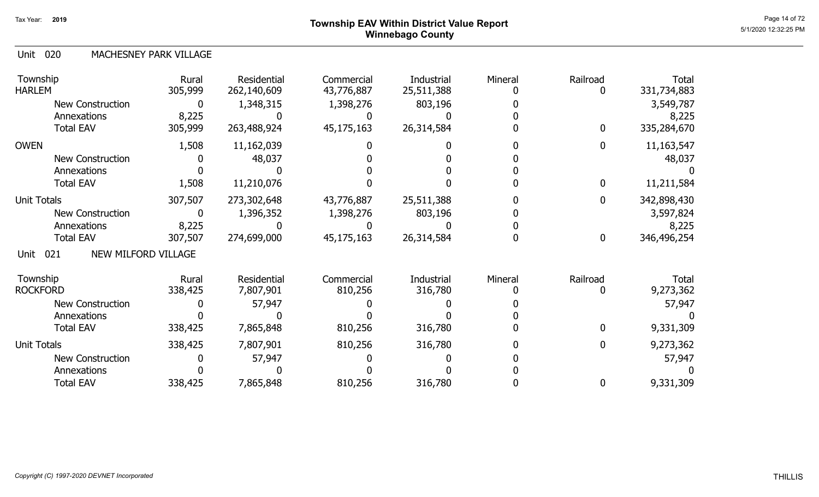## Page 14 of 72 Page 14 of 72 Page 14 of 72 Winnebago County

#### 020 Unit MACHESNEY PARK VILLAGE

| Township<br><b>HARLEM</b>          | Rural<br>305,999 | Residential<br>262,140,609 | Commercial<br>43,776,887 | Industrial<br>25,511,388 | Mineral | Railroad     | Total<br>331,734,883 |
|------------------------------------|------------------|----------------------------|--------------------------|--------------------------|---------|--------------|----------------------|
| <b>New Construction</b>            | 0                | 1,348,315                  | 1,398,276                | 803,196                  |         |              | 3,549,787            |
| Annexations                        | 8,225            |                            |                          |                          |         |              | 8,225                |
| <b>Total EAV</b>                   | 305,999          | 263,488,924                | 45,175,163               | 26,314,584               |         | $\mathbf 0$  | 335,284,670          |
| <b>OWEN</b>                        | 1,508            | 11,162,039                 |                          |                          |         | $\mathbf{0}$ | 11,163,547           |
| New Construction                   |                  | 48,037                     |                          |                          |         |              | 48,037               |
| Annexations                        |                  |                            |                          |                          |         |              |                      |
| <b>Total EAV</b>                   | 1,508            | 11,210,076                 |                          |                          |         | 0            | 11,211,584           |
| <b>Unit Totals</b>                 | 307,507          | 273,302,648                | 43,776,887               | 25,511,388               |         | $\mathbf 0$  | 342,898,430          |
| <b>New Construction</b>            | 0                | 1,396,352                  | 1,398,276                | 803,196                  |         |              | 3,597,824            |
| Annexations                        | 8,225            |                            |                          |                          |         |              | 8,225                |
| <b>Total EAV</b>                   | 307,507          | 274,699,000                | 45,175,163               | 26,314,584               |         | $\bf{0}$     | 346,496,254          |
| NEW MILFORD VILLAGE<br>021<br>Unit |                  |                            |                          |                          |         |              |                      |
| Township                           | Rural            | Residential                | Commercial               | Industrial               | Mineral | Railroad     | Total                |
| <b>ROCKFORD</b>                    | 338,425          | 7,807,901                  | 810,256                  | 316,780                  |         |              | 9,273,362            |
| New Construction                   |                  | 57,947                     |                          |                          |         |              | 57,947               |
| Annexations                        |                  |                            |                          |                          |         |              |                      |
| <b>Total EAV</b>                   | 338,425          | 7,865,848                  | 810,256                  | 316,780                  |         | 0            | 9,331,309            |
| <b>Unit Totals</b>                 | 338,425          | 7,807,901                  | 810,256                  | 316,780                  |         | $\mathbf 0$  | 9,273,362            |
| <b>New Construction</b>            |                  | 57,947                     |                          |                          |         |              | 57,947               |
| Annexations                        |                  |                            |                          |                          |         |              |                      |
| <b>Total EAV</b>                   | 338,425          | 7,865,848                  | 810,256                  | 316,780                  |         | $\mathbf 0$  | 9,331,309            |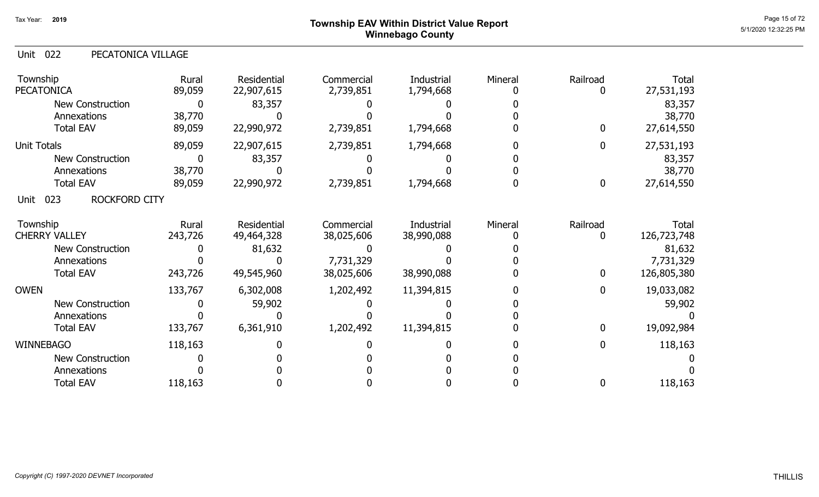### Page 15 of 72 Township EAV Within District Value Report And The Control of the Control of the Control of the C Winnebago County

| 022<br>PECATONICA VILLAGE<br>Unit |                  |                                  |                          |                                 |         |                  |                             |
|-----------------------------------|------------------|----------------------------------|--------------------------|---------------------------------|---------|------------------|-----------------------------|
| Township<br><b>PECATONICA</b>     | Rural<br>89,059  | Residential<br>22,907,615        | Commercial<br>2,739,851  | Industrial<br>1,794,668         | Mineral | Railroad<br>0    | Total<br>27,531,193         |
| <b>New Construction</b>           | 0                | 83,357                           |                          |                                 |         |                  | 83,357                      |
| Annexations                       | 38,770           |                                  |                          |                                 |         |                  | 38,770                      |
| <b>Total EAV</b>                  | 89,059           | 22,990,972                       | 2,739,851                | 1,794,668                       |         | $\mathbf{0}$     | 27,614,550                  |
| <b>Unit Totals</b>                | 89,059           | 22,907,615                       | 2,739,851                | 1,794,668                       |         | $\overline{0}$   | 27,531,193                  |
| <b>New Construction</b>           | 0                | 83,357                           |                          |                                 |         |                  | 83,357                      |
| Annexations                       | 38,770           |                                  |                          |                                 |         |                  | 38,770                      |
| <b>Total EAV</b>                  | 89,059           | 22,990,972                       | 2,739,851                | 1,794,668                       |         | $\boldsymbol{0}$ | 27,614,550                  |
| ROCKFORD CITY<br>023<br>Unit      |                  |                                  |                          |                                 |         |                  |                             |
| Township<br><b>CHERRY VALLEY</b>  | Rural<br>243,726 | <b>Residential</b><br>49,464,328 | Commercial<br>38,025,606 | <b>Industrial</b><br>38,990,088 | Mineral | Railroad<br>0    | <b>Total</b><br>126,723,748 |
| New Construction                  |                  | 81,632                           |                          |                                 |         |                  | 81,632                      |
| Annexations                       |                  |                                  | 7,731,329                |                                 |         |                  | 7,731,329                   |
| <b>Total EAV</b>                  | 243,726          | 49,545,960                       | 38,025,606               | 38,990,088                      |         | $\mathbf{0}$     | 126,805,380                 |
| <b>OWEN</b>                       | 133,767          | 6,302,008                        | 1,202,492                | 11,394,815                      |         | 0                | 19,033,082                  |
| New Construction                  |                  | 59,902                           |                          |                                 |         |                  | 59,902                      |
| Annexations                       |                  |                                  |                          |                                 |         |                  |                             |
| <b>Total EAV</b>                  | 133,767          | 6,361,910                        | 1,202,492                | 11,394,815                      |         | $\mathbf{0}$     | 19,092,984                  |
| <b>WINNEBAGO</b>                  | 118,163          |                                  |                          |                                 |         | 0                | 118,163                     |
| <b>New Construction</b>           |                  |                                  |                          |                                 |         |                  |                             |
| Annexations                       |                  |                                  |                          |                                 |         |                  |                             |
| <b>Total EAV</b>                  | 118,163          |                                  |                          |                                 |         | 0                | 118,163                     |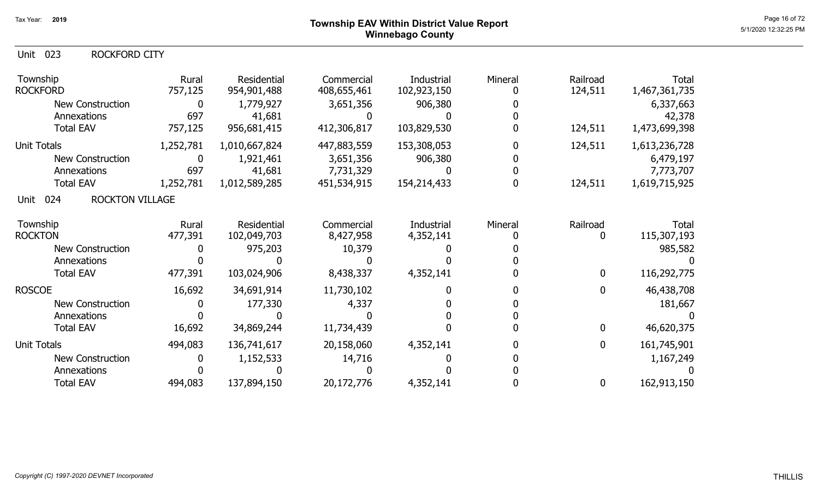# Page 16 of 72<br>Page 16 of 72<br>5/1/2020 12:32:25 PM Winnebago County

#### Unit 023 Township **Rural** Residential Commercial Industrial Mineral Railroad Total ROCKFORD CITY ROCKFORD 757,125 Residential<br>954,901,488

| Township<br><b>ROCKFORD</b>           | Rural<br>757,125 | Residential<br>954,901,488 | Commercial<br>408,655,461 | Industrial<br>102,923,150 | Mineral | Railroad<br>124,511 | Total<br>1,467,361,735 |
|---------------------------------------|------------------|----------------------------|---------------------------|---------------------------|---------|---------------------|------------------------|
| New Construction                      | $\mathbf 0$      | 1,779,927                  | 3,651,356                 | 906,380                   |         |                     | 6,337,663              |
| Annexations                           | 697              | 41,681                     |                           |                           |         |                     | 42,378                 |
| <b>Total EAV</b>                      | 757,125          | 956,681,415                | 412,306,817               | 103,829,530               |         | 124,511             | 1,473,699,398          |
| Unit Totals                           | 1,252,781        | 1,010,667,824              | 447,883,559               | 153,308,053               |         | 124,511             | 1,613,236,728          |
| <b>New Construction</b>               | $\mathbf 0$      | 1,921,461                  | 3,651,356                 | 906,380                   |         |                     | 6,479,197              |
| Annexations                           | 697              | 41,681                     | 7,731,329                 |                           |         |                     | 7,773,707              |
| <b>Total EAV</b>                      | 1,252,781        | 1,012,589,285              | 451,534,915               | 154,214,433               |         | 124,511             | 1,619,715,925          |
| 024<br><b>ROCKTON VILLAGE</b><br>Unit |                  |                            |                           |                           |         |                     |                        |
| Township                              | Rural            | <b>Residential</b>         | Commercial                | Industrial                | Mineral | Railroad            | Total                  |
| <b>ROCKTON</b>                        | 477,391          | 102,049,703                | 8,427,958                 | 4,352,141                 |         | 0                   | 115,307,193            |
| <b>New Construction</b>               |                  | 975,203                    | 10,379                    |                           |         |                     | 985,582                |
| Annexations                           |                  |                            |                           |                           |         |                     |                        |
| <b>Total EAV</b>                      | 477,391          | 103,024,906                | 8,438,337                 | 4,352,141                 |         | 0                   | 116,292,775            |
| <b>ROSCOE</b>                         | 16,692           | 34,691,914                 | 11,730,102                |                           |         | $\mathbf 0$         | 46,438,708             |
| <b>New Construction</b>               |                  | 177,330                    | 4,337                     |                           |         |                     | 181,667                |
| Annexations                           |                  |                            |                           |                           |         |                     |                        |
| <b>Total EAV</b>                      | 16,692           | 34,869,244                 | 11,734,439                |                           |         | $\mathbf 0$         | 46,620,375             |
| Unit Totals                           | 494,083          | 136,741,617                | 20,158,060                | 4,352,141                 |         | 0                   | 161,745,901            |
| New Construction                      |                  | 1,152,533                  | 14,716                    |                           |         |                     | 1,167,249              |
| Annexations                           |                  |                            |                           |                           |         |                     |                        |
| <b>Total EAV</b>                      | 494,083          | 137,894,150                | 20,172,776                | 4,352,141                 |         | 0                   | 162,913,150            |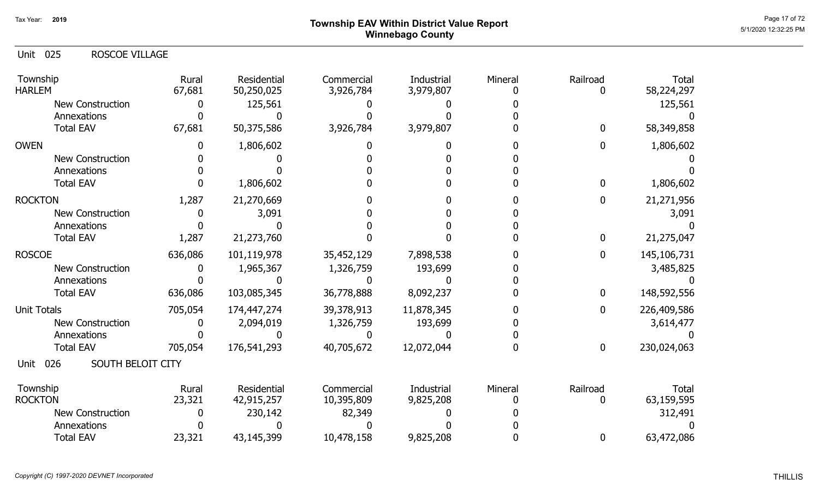## Page 17 of 72 Township EAV Within District Value Report And The Control of the Control of the Control of the C Winnebago County

#### 025 Unit ROSCOE VILLAGE

| Township<br><b>HARLEM</b>        | Rural<br>67,681 | Residential<br>50,250,025 | Commercial<br>3,926,784  | Industrial<br>3,979,807 | Mineral | Railroad    | <b>Total</b><br>58,224,297 |
|----------------------------------|-----------------|---------------------------|--------------------------|-------------------------|---------|-------------|----------------------------|
| <b>New Construction</b>          |                 | 125,561                   |                          |                         |         |             | 125,561                    |
| Annexations                      |                 |                           |                          |                         |         |             |                            |
| <b>Total EAV</b>                 | 67,681          | 50,375,586                | 3,926,784                | 3,979,807               |         | $\mathbf 0$ | 58,349,858                 |
| <b>OWEN</b>                      |                 | 1,806,602                 |                          |                         |         | 0           | 1,806,602                  |
| <b>New Construction</b>          |                 |                           |                          |                         |         |             |                            |
| Annexations                      |                 |                           |                          |                         |         |             |                            |
| <b>Total EAV</b>                 |                 | 1,806,602                 |                          |                         |         | 0           | 1,806,602                  |
| <b>ROCKTON</b>                   | 1,287           | 21,270,669                |                          |                         |         | 0           | 21,271,956                 |
| <b>New Construction</b>          |                 | 3,091                     |                          |                         |         |             | 3,091                      |
| Annexations                      |                 |                           |                          |                         |         |             |                            |
| <b>Total EAV</b>                 | 1,287           | 21,273,760                |                          |                         |         | 0           | 21,275,047                 |
| <b>ROSCOE</b>                    | 636,086         | 101,119,978               | 35,452,129               | 7,898,538               |         | 0           | 145,106,731                |
| New Construction                 |                 | 1,965,367                 | 1,326,759                | 193,699                 |         |             | 3,485,825                  |
| Annexations                      |                 |                           |                          |                         |         |             |                            |
| <b>Total EAV</b>                 | 636,086         | 103,085,345               | 36,778,888               | 8,092,237               |         | 0           | 148,592,556                |
| <b>Unit Totals</b>               | 705,054         | 174,447,274               | 39,378,913               | 11,878,345              |         | 0           | 226,409,586                |
| <b>New Construction</b>          |                 | 2,094,019                 | 1,326,759                | 193,699                 |         |             | 3,614,477                  |
| Annexations                      |                 |                           |                          |                         |         |             |                            |
| <b>Total EAV</b>                 | 705,054         | 176,541,293               | 40,705,672               | 12,072,044              |         | 0           | 230,024,063                |
| SOUTH BELOIT CITY<br>026<br>Unit |                 |                           |                          |                         |         |             |                            |
| Township<br><b>ROCKTON</b>       | Rural<br>23,321 | Residential<br>42,915,257 | Commercial<br>10,395,809 | Industrial<br>9,825,208 | Mineral | Railroad    | <b>Total</b><br>63,159,595 |
| <b>New Construction</b>          |                 | 230,142                   | 82,349                   |                         |         |             | 312,491                    |
| Annexations                      |                 |                           |                          |                         |         |             |                            |
| <b>Total EAV</b>                 | 23,321          | 43,145,399                | 10,478,158               | 9,825,208               |         | 0           | 63,472,086                 |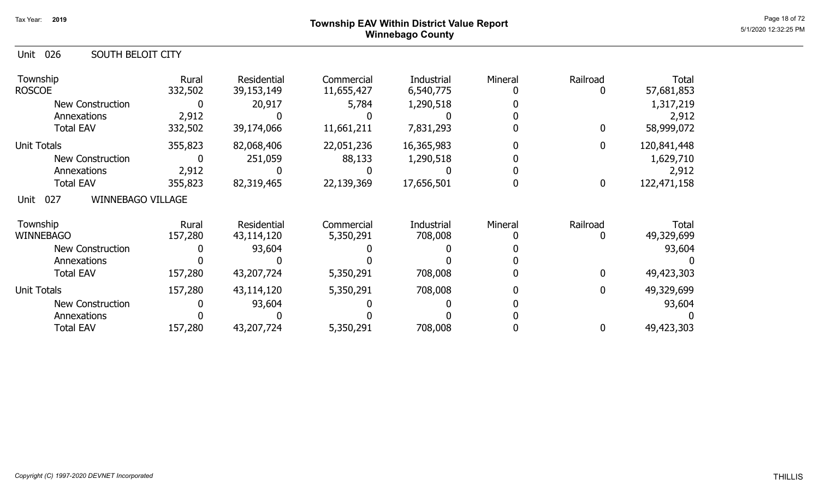### Page 18 of 72 Township EAV Within District Value Report And The Control of the Control of the Control of the C Winnebago County

| 026<br>Unit<br>SOUTH BELOIT CITY        |                  |                           |                          |                         |         |               |                     |
|-----------------------------------------|------------------|---------------------------|--------------------------|-------------------------|---------|---------------|---------------------|
| Township<br><b>ROSCOE</b>               | Rural<br>332,502 | Residential<br>39,153,149 | Commercial<br>11,655,427 | Industrial<br>6,540,775 | Mineral | Railroad<br>0 | Total<br>57,681,853 |
| New Construction                        | O                | 20,917                    | 5,784                    | 1,290,518               |         |               | 1,317,219           |
| Annexations                             | 2,912            |                           |                          |                         |         |               | 2,912               |
| <b>Total EAV</b>                        | 332,502          | 39,174,066                | 11,661,211               | 7,831,293               |         | $\mathbf{0}$  | 58,999,072          |
| <b>Unit Totals</b>                      | 355,823          | 82,068,406                | 22,051,236               | 16,365,983              |         | $\mathbf 0$   | 120,841,448         |
| <b>New Construction</b>                 |                  | 251,059                   | 88,133                   | 1,290,518               |         |               | 1,629,710           |
| Annexations                             | 2,912            |                           |                          |                         |         |               | 2,912               |
| <b>Total EAV</b>                        | 355,823          | 82,319,465                | 22,139,369               | 17,656,501              |         | 0             | 122,471,158         |
| <b>WINNEBAGO VILLAGE</b><br>027<br>Unit |                  |                           |                          |                         |         |               |                     |
| Township<br>WINNEBAGO                   | Rural<br>157,280 | Residential<br>43,114,120 | Commercial<br>5,350,291  | Industrial<br>708,008   | Mineral | Railroad<br>0 | Total<br>49,329,699 |
| <b>New Construction</b>                 |                  | 93,604                    |                          |                         |         |               | 93,604              |
| Annexations                             |                  |                           |                          |                         |         |               |                     |
| <b>Total EAV</b>                        | 157,280          | 43,207,724                | 5,350,291                | 708,008                 |         | $\mathbf{0}$  | 49,423,303          |
| <b>Unit Totals</b>                      | 157,280          | 43,114,120                | 5,350,291                | 708,008                 |         | 0             | 49,329,699          |
| <b>New Construction</b>                 |                  | 93,604                    |                          |                         |         |               | 93,604              |
| Annexations                             |                  |                           |                          |                         |         |               |                     |
| <b>Total EAV</b>                        | 157,280          | 43,207,724                | 5,350,291                | 708,008                 |         | 0             | 49,423,303          |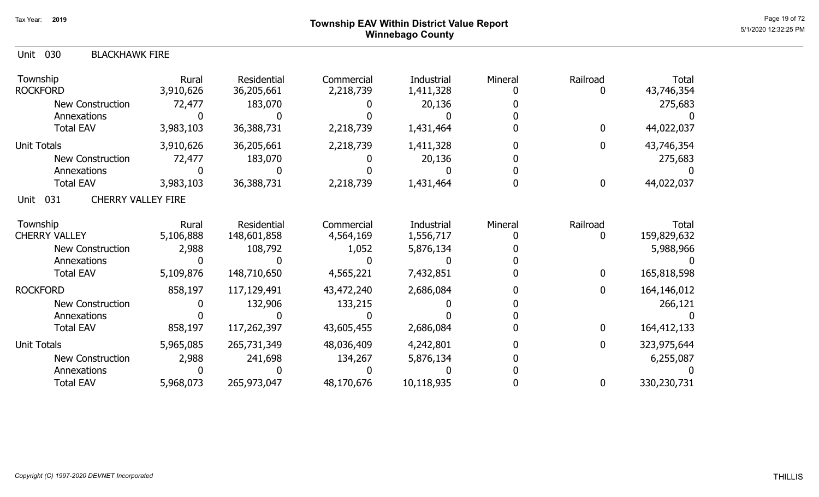#### Page 19 of 72  $^{\text{Page 19 of 72}}$ Winnebago County

| <b>Unit 030</b><br><b>BLACKHAWK FIRE</b> |                    |                            |                         |                         |         |               |                      |
|------------------------------------------|--------------------|----------------------------|-------------------------|-------------------------|---------|---------------|----------------------|
| Township<br><b>ROCKFORD</b>              | Rural<br>3,910,626 | Residential<br>36,205,661  | Commercial<br>2,218,739 | Industrial<br>1,411,328 | Mineral | Railroad<br>0 | Total<br>43,746,354  |
| <b>New Construction</b>                  | 72,477             | 183,070                    |                         | 20,136                  |         |               | 275,683              |
| Annexations                              |                    |                            |                         |                         |         |               |                      |
| <b>Total EAV</b>                         | 3,983,103          | 36,388,731                 | 2,218,739               | 1,431,464               |         | $\mathbf{0}$  | 44,022,037           |
| Unit Totals                              | 3,910,626          | 36,205,661                 | 2,218,739               | 1,411,328               |         | 0             | 43,746,354           |
| <b>New Construction</b>                  | 72,477             | 183,070                    |                         | 20,136                  |         |               | 275,683              |
| Annexations                              |                    |                            |                         |                         |         |               |                      |
| <b>Total EAV</b>                         | 3,983,103          | 36,388,731                 | 2,218,739               | 1,431,464               |         | $\mathbf 0$   | 44,022,037           |
| CHERRY VALLEY FIRE<br>Unit 031           |                    |                            |                         |                         |         |               |                      |
| Township<br><b>CHERRY VALLEY</b>         | Rural<br>5,106,888 | Residential<br>148,601,858 | Commercial<br>4,564,169 | Industrial<br>1,556,717 | Mineral | Railroad<br>0 | Total<br>159,829,632 |
| <b>New Construction</b>                  | 2,988              | 108,792                    | 1,052                   | 5,876,134               |         |               | 5,988,966            |
| Annexations                              |                    |                            |                         |                         |         |               |                      |
| <b>Total EAV</b>                         | 5,109,876          | 148,710,650                | 4,565,221               | 7,432,851               |         | $\mathbf 0$   | 165,818,598          |
| <b>ROCKFORD</b>                          | 858,197            | 117,129,491                | 43,472,240              | 2,686,084               |         | 0             | 164,146,012          |
| <b>New Construction</b>                  |                    | 132,906                    | 133,215                 |                         |         |               | 266,121              |
| Annexations                              |                    |                            |                         |                         |         |               |                      |
| <b>Total EAV</b>                         | 858,197            | 117,262,397                | 43,605,455              | 2,686,084               |         | $\mathbf 0$   | 164,412,133          |
| Unit Totals                              | 5,965,085          | 265,731,349                | 48,036,409              | 4,242,801               |         | $\mathbf 0$   | 323,975,644          |
| <b>New Construction</b>                  | 2,988              | 241,698                    | 134,267                 | 5,876,134               |         |               | 6,255,087            |
| Annexations                              |                    |                            |                         |                         |         |               |                      |
| <b>Total EAV</b>                         | 5,968,073          | 265,973,047                | 48,170,676              | 10,118,935              |         | 0             | 330,230,731          |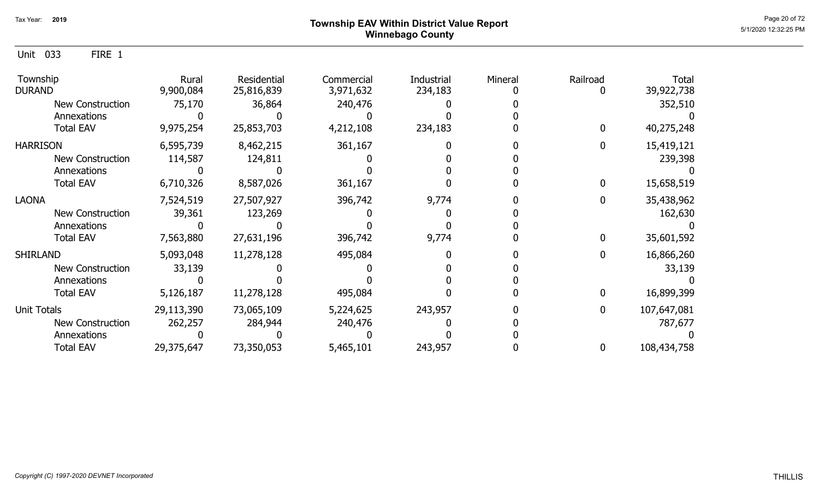Unit 033 FIRE 1

| Township<br><b>DURAND</b> | Rural<br>9,900,084 | Residential<br>25,816,839 | Commercial<br>3,971,632 | Industrial<br>234,183 | Mineral | Railroad | Total<br>39,922,738 |
|---------------------------|--------------------|---------------------------|-------------------------|-----------------------|---------|----------|---------------------|
| New Construction          | 75,170             | 36,864                    | 240,476                 |                       |         |          | 352,510             |
| Annexations               |                    |                           |                         |                       |         |          |                     |
| <b>Total EAV</b>          | 9,975,254          | 25,853,703                | 4,212,108               | 234,183               |         |          | 40,275,248          |
| <b>HARRISON</b>           | 6,595,739          | 8,462,215                 | 361,167                 |                       |         |          | 15,419,121          |
| <b>New Construction</b>   | 114,587            | 124,811                   |                         |                       |         |          | 239,398             |
| Annexations               |                    |                           |                         |                       |         |          |                     |
| <b>Total EAV</b>          | 6,710,326          | 8,587,026                 | 361,167                 |                       |         |          | 15,658,519          |
| <b>LAONA</b>              | 7,524,519          | 27,507,927                | 396,742                 | 9,774                 |         |          | 35,438,962          |
| <b>New Construction</b>   | 39,361             | 123,269                   |                         |                       |         |          | 162,630             |
| Annexations               |                    |                           |                         |                       |         |          |                     |
| <b>Total EAV</b>          | 7,563,880          | 27,631,196                | 396,742                 | 9,774                 |         |          | 35,601,592          |
| <b>SHIRLAND</b>           | 5,093,048          | 11,278,128                | 495,084                 |                       |         |          | 16,866,260          |
| <b>New Construction</b>   | 33,139             |                           |                         |                       |         |          | 33,139              |
| Annexations               |                    |                           |                         |                       |         |          |                     |
| <b>Total EAV</b>          | 5,126,187          | 11,278,128                | 495,084                 |                       |         |          | 16,899,399          |
| Unit Totals               | 29,113,390         | 73,065,109                | 5,224,625               | 243,957               |         | 0        | 107,647,081         |
| <b>New Construction</b>   | 262,257            | 284,944                   | 240,476                 |                       |         |          | 787,677             |
| Annexations               |                    |                           |                         |                       |         |          |                     |
| <b>Total EAV</b>          | 29,375,647         | 73,350,053                | 5,465,101               | 243,957               |         | 0        | 108,434,758         |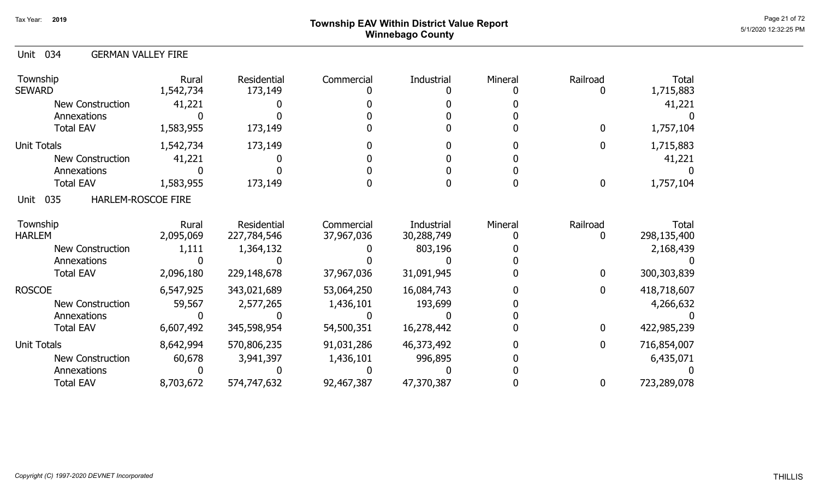# Page 21 of 72<br>Page 21 of 72<br>5/1/2020 12:32:25 PM Winnebago County

| Unit 034<br><b>GERMAN VALLEY FIRE</b> |                    |                            |                          |                          |         |              |                      |
|---------------------------------------|--------------------|----------------------------|--------------------------|--------------------------|---------|--------------|----------------------|
| Township<br><b>SEWARD</b>             | Rural<br>1,542,734 | Residential<br>173,149     | Commercial               | Industrial               | Mineral | Railroad     | Total<br>1,715,883   |
| <b>New Construction</b>               | 41,221             |                            |                          |                          |         |              | 41,221               |
| Annexations                           |                    |                            |                          |                          |         |              |                      |
| <b>Total EAV</b>                      | 1,583,955          | 173,149                    |                          |                          |         | 0            | 1,757,104            |
| <b>Unit Totals</b>                    | 1,542,734          | 173,149                    |                          |                          |         | 0            | 1,715,883            |
| <b>New Construction</b>               | 41,221             |                            |                          |                          |         |              | 41,221               |
| Annexations                           |                    |                            |                          |                          |         |              |                      |
| <b>Total EAV</b>                      | 1,583,955          | 173,149                    |                          |                          |         | $\mathbf{0}$ | 1,757,104            |
| 035<br>HARLEM-ROSCOE FIRE<br>Unit     |                    |                            |                          |                          |         |              |                      |
| Township<br><b>HARLEM</b>             | Rural<br>2,095,069 | Residential<br>227,784,546 | Commercial<br>37,967,036 | Industrial<br>30,288,749 | Mineral | Railroad     | Total<br>298,135,400 |
| <b>New Construction</b>               | 1,111              | 1,364,132                  |                          | 803,196                  |         |              | 2,168,439            |
| Annexations                           |                    |                            |                          |                          |         |              |                      |
| <b>Total EAV</b>                      | 2,096,180          | 229,148,678                | 37,967,036               | 31,091,945               |         | $\Omega$     | 300,303,839          |
| <b>ROSCOE</b>                         | 6,547,925          | 343,021,689                | 53,064,250               | 16,084,743               |         | 0            | 418,718,607          |
| <b>New Construction</b>               | 59,567             | 2,577,265                  | 1,436,101                | 193,699                  |         |              | 4,266,632            |
| Annexations                           |                    |                            |                          |                          |         |              |                      |
| <b>Total EAV</b>                      | 6,607,492          | 345,598,954                | 54,500,351               | 16,278,442               |         | $\Omega$     | 422,985,239          |
| <b>Unit Totals</b>                    | 8,642,994          | 570,806,235                | 91,031,286               | 46,373,492               |         | 0            | 716,854,007          |
| New Construction                      | 60,678             | 3,941,397                  | 1,436,101                | 996,895                  |         |              | 6,435,071            |
| Annexations                           |                    |                            |                          |                          |         |              |                      |
| <b>Total EAV</b>                      | 8,703,672          | 574,747,632                | 92,467,387               | 47,370,387               |         | 0            | 723,289,078          |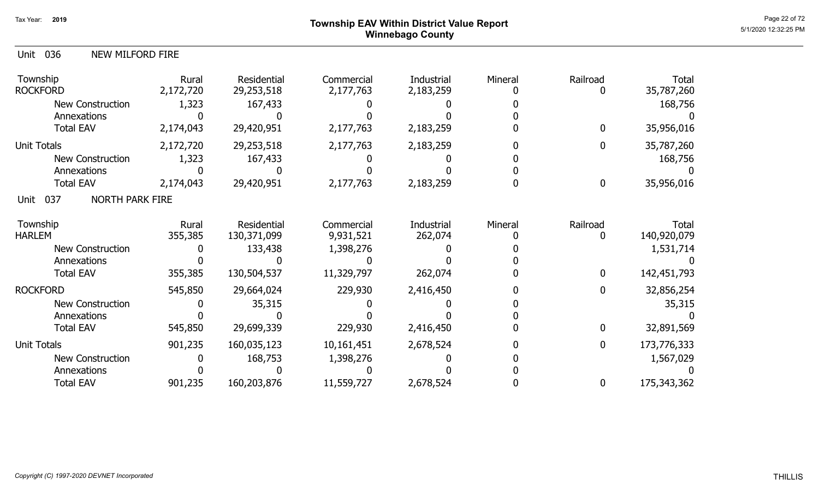### Page 22 of 72 Page 22 of 72  $^{\text{Page 22 of 72}}$ Winnebago County

| 036<br><b>NEW MILFORD FIRE</b><br>Unit |                    |                            |                         |                         |         |               |                      |
|----------------------------------------|--------------------|----------------------------|-------------------------|-------------------------|---------|---------------|----------------------|
| Township<br><b>ROCKFORD</b>            | Rural<br>2,172,720 | Residential<br>29,253,518  | Commercial<br>2,177,763 | Industrial<br>2,183,259 | Mineral | Railroad<br>0 | Total<br>35,787,260  |
| <b>New Construction</b>                | 1,323              | 167,433                    |                         |                         |         |               | 168,756              |
| Annexations                            |                    |                            |                         |                         |         |               |                      |
| <b>Total EAV</b>                       | 2,174,043          | 29,420,951                 | 2,177,763               | 2,183,259               |         | $\mathbf 0$   | 35,956,016           |
| Unit Totals                            | 2,172,720          | 29,253,518                 | 2,177,763               | 2,183,259               |         | 0             | 35,787,260           |
| <b>New Construction</b>                | 1,323              | 167,433                    |                         |                         |         |               | 168,756              |
| Annexations                            |                    |                            |                         |                         |         |               |                      |
| <b>Total EAV</b>                       | 2,174,043          | 29,420,951                 | 2,177,763               | 2,183,259               |         | 0             | 35,956,016           |
| <b>NORTH PARK FIRE</b><br>037<br>Unit  |                    |                            |                         |                         |         |               |                      |
| Township<br><b>HARLEM</b>              | Rural<br>355,385   | Residential<br>130,371,099 | Commercial<br>9,931,521 | Industrial<br>262,074   | Mineral | Railroad<br>0 | Total<br>140,920,079 |
| <b>New Construction</b>                |                    | 133,438                    | 1,398,276               |                         |         |               | 1,531,714            |
| Annexations                            |                    |                            |                         |                         |         |               |                      |
| <b>Total EAV</b>                       | 355,385            | 130,504,537                | 11,329,797              | 262,074                 |         | $\mathbf 0$   | 142,451,793          |
| <b>ROCKFORD</b>                        | 545,850            | 29,664,024                 | 229,930                 | 2,416,450               |         | 0             | 32,856,254           |
| <b>New Construction</b>                |                    | 35,315                     |                         |                         |         |               | 35,315               |
| Annexations                            |                    |                            |                         |                         |         |               |                      |
| <b>Total EAV</b>                       | 545,850            | 29,699,339                 | 229,930                 | 2,416,450               |         | $\mathbf 0$   | 32,891,569           |
| Unit Totals                            | 901,235            | 160,035,123                | 10,161,451              | 2,678,524               |         | $\mathbf 0$   | 173,776,333          |
| New Construction                       |                    | 168,753                    | 1,398,276               |                         |         |               | 1,567,029            |
| Annexations                            |                    |                            |                         |                         |         |               |                      |
| <b>Total EAV</b>                       | 901,235            | 160,203,876                | 11,559,727              | 2,678,524               |         | 0             | 175,343,362          |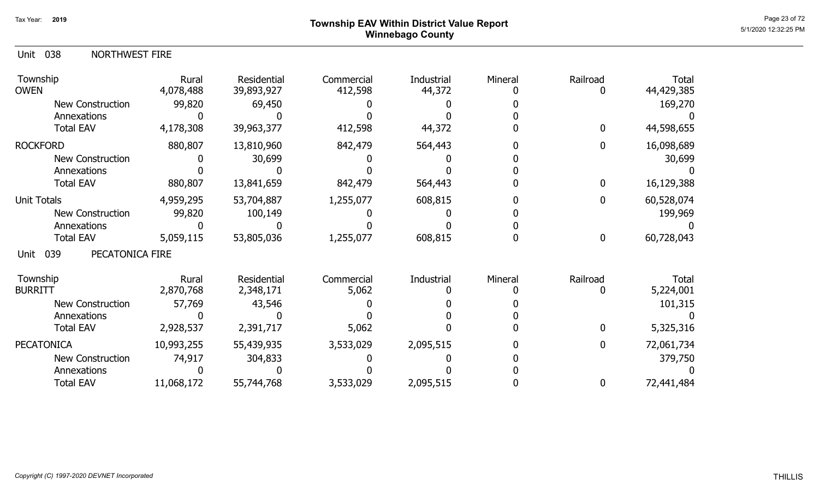## Page 23 of 72 Page 23 of 72  $^{\text{Page 23 of 72}}$ Winnebago County

| Unit 038 | NORTHWEST FIRE |
|----------|----------------|
|----------|----------------|

| Township<br><b>OWEN</b>        | Rural<br>4,078,488 | Residential<br>39,893,927 | Commercial<br>412,598 | <b>Industrial</b><br>44,372 | Mineral | Railroad         | <b>Total</b><br>44,429,385 |
|--------------------------------|--------------------|---------------------------|-----------------------|-----------------------------|---------|------------------|----------------------------|
| New Construction               | 99,820             | 69,450                    |                       |                             |         |                  | 169,270                    |
| Annexations                    |                    |                           |                       |                             |         |                  |                            |
| <b>Total EAV</b>               | 4,178,308          | 39,963,377                | 412,598               | 44,372                      |         | $\boldsymbol{0}$ | 44,598,655                 |
| <b>ROCKFORD</b>                | 880,807            | 13,810,960                | 842,479               | 564,443                     |         | $\mathbf 0$      | 16,098,689                 |
| <b>New Construction</b>        |                    | 30,699                    |                       |                             |         |                  | 30,699                     |
| Annexations                    |                    |                           |                       |                             |         |                  |                            |
| <b>Total EAV</b>               | 880,807            | 13,841,659                | 842,479               | 564,443                     |         | $\boldsymbol{0}$ | 16,129,388                 |
| <b>Unit Totals</b>             | 4,959,295          | 53,704,887                | 1,255,077             | 608,815                     |         | $\mathbf 0$      | 60,528,074                 |
| <b>New Construction</b>        | 99,820             | 100,149                   |                       |                             |         |                  | 199,969                    |
| Annexations                    |                    |                           |                       |                             |         |                  |                            |
| <b>Total EAV</b>               | 5,059,115          | 53,805,036                | 1,255,077             | 608,815                     |         | $\boldsymbol{0}$ | 60,728,043                 |
| PECATONICA FIRE<br>039<br>Unit |                    |                           |                       |                             |         |                  |                            |
| Township                       | Rural              | Residential               | Commercial            | Industrial                  | Mineral | Railroad         | Total                      |
| <b>BURRITT</b>                 | 2,870,768          | 2,348,171                 | 5,062                 |                             |         | 0                | 5,224,001                  |
| <b>New Construction</b>        | 57,769             | 43,546                    |                       |                             |         |                  | 101,315                    |
| Annexations                    |                    |                           |                       |                             |         |                  |                            |
| <b>Total EAV</b>               | 2,928,537          | 2,391,717                 | 5,062                 |                             |         | $\mathbf{0}$     | 5,325,316                  |
| <b>PECATONICA</b>              | 10,993,255         | 55,439,935                | 3,533,029             | 2,095,515                   |         | $\mathbf 0$      | 72,061,734                 |
| <b>New Construction</b>        | 74,917             | 304,833                   |                       |                             |         |                  | 379,750                    |
| Annexations                    |                    |                           |                       |                             |         |                  |                            |
| <b>Total EAV</b>               | 11,068,172         | 55,744,768                | 3,533,029             | 2,095,515                   |         | 0                | 72,441,484                 |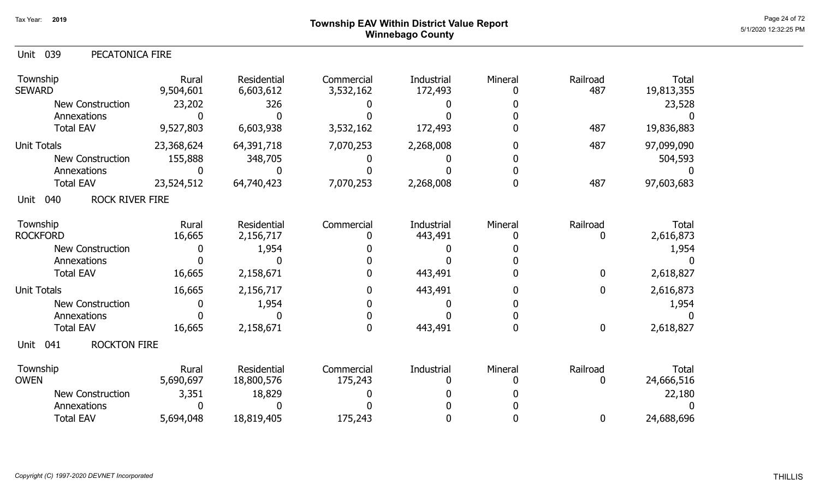### Page 24 of 72 Page 24 of 72  $^{\text{Page 24 of 72}}$ Winnebago County

| 039<br>PECATONICA FIRE<br>Unit        |                    |                          |                         |                       |         |                 |                            |
|---------------------------------------|--------------------|--------------------------|-------------------------|-----------------------|---------|-----------------|----------------------------|
| Township<br>SEWARD                    | Rural<br>9,504,601 | Residential<br>6,603,612 | Commercial<br>3,532,162 | Industrial<br>172,493 | Mineral | Railroad<br>487 | <b>Total</b><br>19,813,355 |
| <b>New Construction</b>               | 23,202             | 326                      |                         |                       |         |                 | 23,528                     |
| Annexations                           |                    |                          |                         |                       |         |                 |                            |
| <b>Total EAV</b>                      | 9,527,803          | 6,603,938                | 3,532,162               | 172,493               |         | 487             | 19,836,883                 |
| <b>Unit Totals</b>                    | 23,368,624         | 64,391,718               | 7,070,253               | 2,268,008             |         | 487             | 97,099,090                 |
| <b>New Construction</b>               | 155,888            | 348,705                  |                         |                       |         |                 | 504,593                    |
| Annexations                           |                    |                          |                         |                       |         |                 |                            |
| <b>Total EAV</b>                      | 23,524,512         | 64,740,423               | 7,070,253               | 2,268,008             |         | 487             | 97,603,683                 |
| <b>ROCK RIVER FIRE</b><br>040<br>Unit |                    |                          |                         |                       |         |                 |                            |
| Township                              | Rural              | Residential              | Commercial              | Industrial            | Mineral | Railroad        | Total                      |
| <b>ROCKFORD</b>                       | 16,665             | 2,156,717                |                         | 443,491               |         | 0               | 2,616,873                  |
| New Construction                      | $\Box$             | 1,954                    |                         |                       |         |                 | 1,954                      |
| Annexations                           |                    |                          |                         |                       |         |                 |                            |
| <b>Total EAV</b>                      | 16,665             | 2,158,671                |                         | 443,491               |         | $\mathbf 0$     | 2,618,827                  |
| <b>Unit Totals</b>                    | 16,665             | 2,156,717                |                         | 443,491               |         | $\mathbf 0$     | 2,616,873                  |
| <b>New Construction</b>               |                    | 1,954                    |                         |                       |         |                 | 1,954                      |
| Annexations                           |                    |                          |                         |                       |         |                 |                            |
| <b>Total EAV</b>                      | 16,665             | 2,158,671                | $\mathbf 0$             | 443,491               |         | $\bf{0}$        | 2,618,827                  |
| <b>ROCKTON FIRE</b><br>041<br>Unit    |                    |                          |                         |                       |         |                 |                            |
| Township                              | Rural              | Residential              | Commercial              | Industrial            | Mineral | Railroad        | Total                      |
| <b>OWEN</b>                           | 5,690,697          | 18,800,576               | 175,243                 |                       |         | 0               | 24,666,516                 |
| <b>New Construction</b>               | 3,351              | 18,829                   |                         |                       |         |                 | 22,180                     |
| Annexations                           |                    |                          |                         |                       |         |                 |                            |
| <b>Total EAV</b>                      | 5,694,048          | 18,819,405               | 175,243                 |                       |         | $\mathbf 0$     | 24,688,696                 |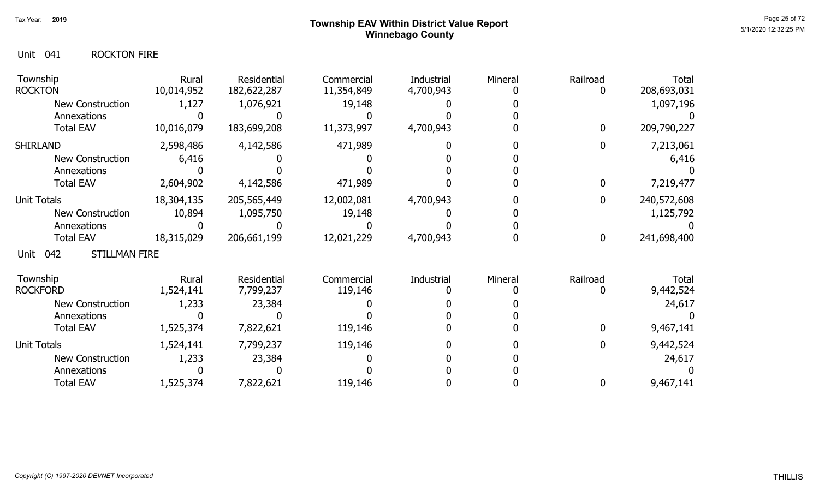## Page 25 of 72 Page 25 of 72  $^{\text{Page 25 of 72}}$ Winnebago County

#### Unit 041 ROCKTON FIRE

| Township<br><b>ROCKTON</b>          | Rural<br>10,014,952 | Residential<br>182,622,287 | Commercial<br>11,354,849 | Industrial<br>4,700,943 | Mineral | Railroad    | <b>Total</b><br>208,693,031 |
|-------------------------------------|---------------------|----------------------------|--------------------------|-------------------------|---------|-------------|-----------------------------|
| <b>New Construction</b>             | 1,127               | 1,076,921                  | 19,148                   |                         |         |             | 1,097,196                   |
| Annexations                         |                     |                            |                          |                         |         |             |                             |
| <b>Total EAV</b>                    | 10,016,079          | 183,699,208                | 11,373,997               | 4,700,943               |         | $\mathbf 0$ | 209,790,227                 |
| <b>SHIRLAND</b>                     | 2,598,486           | 4,142,586                  | 471,989                  |                         |         | $\Omega$    | 7,213,061                   |
| New Construction                    | 6,416               |                            |                          |                         |         |             | 6,416                       |
| Annexations                         |                     |                            |                          |                         |         |             |                             |
| <b>Total EAV</b>                    | 2,604,902           | 4,142,586                  | 471,989                  |                         |         | $\mathbf 0$ | 7,219,477                   |
| <b>Unit Totals</b>                  | 18,304,135          | 205,565,449                | 12,002,081               | 4,700,943               |         | $\mathbf 0$ | 240,572,608                 |
| New Construction                    | 10,894              | 1,095,750                  | 19,148                   |                         |         |             | 1,125,792                   |
| Annexations                         |                     |                            |                          |                         |         |             |                             |
| <b>Total EAV</b>                    | 18,315,029          | 206,661,199                | 12,021,229               | 4,700,943               |         | $\mathbf 0$ | 241,698,400                 |
| <b>STILLMAN FIRE</b><br>042<br>Unit |                     |                            |                          |                         |         |             |                             |
| Township                            | Rural               | Residential                | Commercial               | Industrial              | Mineral | Railroad    | Total                       |
| <b>ROCKFORD</b>                     | 1,524,141           | 7,799,237                  | 119,146                  |                         |         |             | 9,442,524                   |
| New Construction                    | 1,233               | 23,384                     |                          |                         |         |             | 24,617                      |
| Annexations                         |                     |                            |                          |                         |         |             |                             |
| <b>Total EAV</b>                    | 1,525,374           | 7,822,621                  | 119,146                  |                         |         | 0           | 9,467,141                   |
| <b>Unit Totals</b>                  | 1,524,141           | 7,799,237                  | 119,146                  |                         |         | 0           | 9,442,524                   |
| <b>New Construction</b>             | 1,233               | 23,384                     |                          |                         |         |             | 24,617                      |
| Annexations                         |                     |                            |                          |                         |         |             |                             |
| <b>Total EAV</b>                    | 1,525,374           | 7,822,621                  | 119,146                  |                         |         | 0           | 9,467,141                   |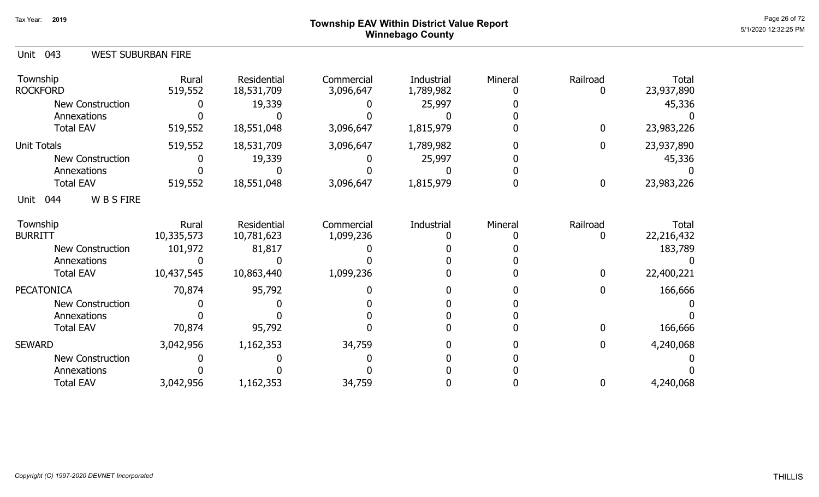### Page 26 of 72 Page 26 of 72  $^{\text{Page 26 of 72}}$ Winnebago County

| <b>WEST SUBURBAN FIRE</b><br>Unit 043 |
|---------------------------------------|
|---------------------------------------|

| Township<br><b>ROCKFORD</b>   | Rural<br>519,552 | Residential<br>18,531,709 | Commercial<br>3,096,647 | Industrial<br>1,789,982 | Mineral | Railroad<br>ŋ | <b>Total</b><br>23,937,890 |
|-------------------------------|------------------|---------------------------|-------------------------|-------------------------|---------|---------------|----------------------------|
| <b>New Construction</b>       |                  | 19,339                    |                         | 25,997                  |         |               | 45,336                     |
| Annexations                   |                  |                           |                         |                         |         |               |                            |
| <b>Total EAV</b>              | 519,552          | 18,551,048                | 3,096,647               | 1,815,979               |         | 0             | 23,983,226                 |
| Unit Totals                   | 519,552          | 18,531,709                | 3,096,647               | 1,789,982               |         | 0             | 23,937,890                 |
| <b>New Construction</b>       |                  | 19,339                    |                         | 25,997                  |         |               | 45,336                     |
| Annexations                   |                  |                           |                         |                         |         |               |                            |
| <b>Total EAV</b>              | 519,552          | 18,551,048                | 3,096,647               | 1,815,979               |         | 0             | 23,983,226                 |
| <b>WBSFIRE</b><br>044<br>Unit |                  |                           |                         |                         |         |               |                            |
| Township                      | Rural            | Residential               | Commercial              | Industrial              | Mineral | Railroad      | <b>Total</b>               |
| <b>BURRITT</b>                | 10,335,573       | 10,781,623                | 1,099,236               |                         |         | 0             | 22,216,432                 |
| New Construction              | 101,972          | 81,817                    |                         |                         |         |               | 183,789                    |
| Annexations                   |                  |                           |                         |                         |         |               |                            |
| <b>Total EAV</b>              | 10,437,545       | 10,863,440                | 1,099,236               |                         |         | 0             | 22,400,221                 |
| <b>PECATONICA</b>             | 70,874           | 95,792                    |                         |                         |         | 0             | 166,666                    |
| <b>New Construction</b>       |                  |                           |                         |                         |         |               |                            |
| Annexations                   |                  |                           |                         |                         |         |               |                            |
| <b>Total EAV</b>              | 70,874           | 95,792                    |                         |                         |         | 0             | 166,666                    |
| <b>SEWARD</b>                 | 3,042,956        | 1,162,353                 | 34,759                  |                         |         | 0             | 4,240,068                  |
| New Construction              |                  |                           |                         |                         |         |               |                            |
| Annexations                   |                  |                           |                         |                         |         |               |                            |
| <b>Total EAV</b>              | 3,042,956        | 1,162,353                 | 34,759                  |                         |         | 0             | 4,240,068                  |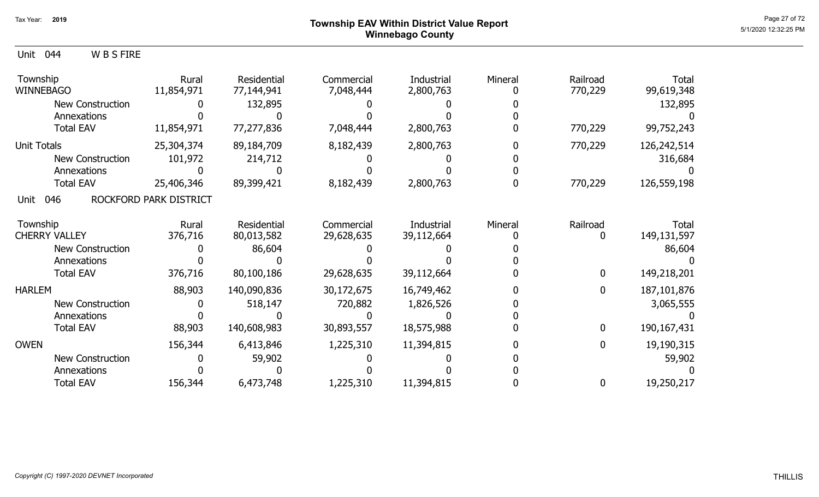#### Page 27 of 72 Page 27 of 72  $^{\text{Page 27 of 72}}$ Winnebago County

Unit 044 W B S FIRE

| Township<br><b>WINNEBAGO</b> | Rural<br>11,854,971    | Residential<br>77,144,941 | Commercial<br>7,048,444 | <b>Industrial</b><br>2,800,763 | Mineral | Railroad<br>770,229 | <b>Total</b><br>99,619,348 |
|------------------------------|------------------------|---------------------------|-------------------------|--------------------------------|---------|---------------------|----------------------------|
| <b>New Construction</b>      |                        | 132,895                   |                         |                                |         |                     | 132,895                    |
| Annexations                  |                        |                           |                         |                                |         |                     |                            |
| <b>Total EAV</b>             | 11,854,971             | 77,277,836                | 7,048,444               | 2,800,763                      |         | 770,229             | 99,752,243                 |
| <b>Unit Totals</b>           | 25,304,374             | 89,184,709                | 8,182,439               | 2,800,763                      |         | 770,229             | 126,242,514                |
| <b>New Construction</b>      | 101,972                | 214,712                   |                         |                                |         |                     | 316,684                    |
| Annexations                  |                        |                           |                         |                                |         |                     |                            |
| <b>Total EAV</b>             | 25,406,346             | 89,399,421                | 8,182,439               | 2,800,763                      |         | 770,229             | 126,559,198                |
| 046<br>Unit                  | ROCKFORD PARK DISTRICT |                           |                         |                                |         |                     |                            |
| Township                     | Rural                  | Residential               | Commercial              | Industrial                     | Mineral | Railroad            | Total                      |
| <b>CHERRY VALLEY</b>         | 376,716                | 80,013,582                | 29,628,635              | 39,112,664                     |         | 0                   | 149, 131, 597              |
| New Construction             |                        | 86,604                    |                         |                                |         |                     | 86,604                     |
| Annexations                  |                        |                           |                         |                                |         |                     |                            |
| <b>Total EAV</b>             | 376,716                | 80,100,186                | 29,628,635              | 39,112,664                     |         | $\bf{0}$            | 149,218,201                |
| <b>HARLEM</b>                | 88,903                 | 140,090,836               | 30,172,675              | 16,749,462                     |         | $\mathbf 0$         | 187, 101, 876              |
| <b>New Construction</b>      |                        | 518,147                   | 720,882                 | 1,826,526                      |         |                     | 3,065,555                  |
| Annexations                  |                        |                           |                         |                                |         |                     |                            |
| <b>Total EAV</b>             | 88,903                 | 140,608,983               | 30,893,557              | 18,575,988                     |         | $\bf{0}$            | 190,167,431                |
| <b>OWEN</b>                  | 156,344                | 6,413,846                 | 1,225,310               | 11,394,815                     |         | $\mathbf{0}$        | 19,190,315                 |
| <b>New Construction</b>      |                        | 59,902                    |                         |                                |         |                     | 59,902                     |
| Annexations                  |                        |                           |                         |                                |         |                     |                            |
| <b>Total EAV</b>             | 156,344                | 6,473,748                 | 1,225,310               | 11,394,815                     |         | $\boldsymbol{0}$    | 19,250,217                 |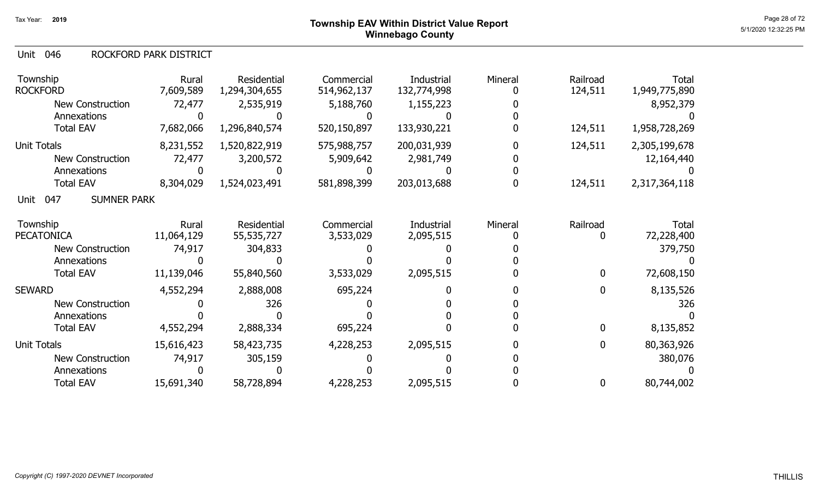#### 046 Unit ROCKFORD PARK DISTRICT

| Township<br><b>ROCKFORD</b>       | Rural<br>7,609,589 | Residential<br>1,294,304,655 | Commercial<br>514,962,137 | Industrial<br>132,774,998 | Mineral | Railroad<br>124,511 | <b>Total</b><br>1,949,775,890 |
|-----------------------------------|--------------------|------------------------------|---------------------------|---------------------------|---------|---------------------|-------------------------------|
| <b>New Construction</b>           | 72,477             | 2,535,919                    | 5,188,760                 | 1,155,223                 |         |                     | 8,952,379                     |
| Annexations                       |                    |                              |                           |                           |         |                     |                               |
| <b>Total EAV</b>                  | 7,682,066          | 1,296,840,574                | 520,150,897               | 133,930,221               |         | 124,511             | 1,958,728,269                 |
| <b>Unit Totals</b>                | 8,231,552          | 1,520,822,919                | 575,988,757               | 200,031,939               |         | 124,511             | 2,305,199,678                 |
| <b>New Construction</b>           | 72,477             | 3,200,572                    | 5,909,642                 | 2,981,749                 |         |                     | 12,164,440                    |
| Annexations                       |                    |                              |                           |                           |         |                     |                               |
| <b>Total EAV</b>                  | 8,304,029          | 1,524,023,491                | 581,898,399               | 203,013,688               |         | 124,511             | 2,317,364,118                 |
| 047<br><b>SUMNER PARK</b><br>Unit |                    |                              |                           |                           |         |                     |                               |
| Township                          | Rural              | Residential                  | Commercial                | Industrial                | Mineral | Railroad            | <b>Total</b>                  |
| <b>PECATONICA</b>                 | 11,064,129         | 55,535,727                   | 3,533,029                 | 2,095,515                 |         | 0                   | 72,228,400                    |
| New Construction                  | 74,917             | 304,833                      |                           |                           |         |                     | 379,750                       |
| Annexations                       |                    |                              |                           |                           |         |                     |                               |
| <b>Total EAV</b>                  | 11,139,046         | 55,840,560                   | 3,533,029                 | 2,095,515                 |         | $\mathbf 0$         | 72,608,150                    |
| <b>SEWARD</b>                     | 4,552,294          | 2,888,008                    | 695,224                   |                           |         | 0                   | 8,135,526                     |
| New Construction                  |                    | 326                          |                           |                           |         |                     | 326                           |
| Annexations                       |                    |                              |                           |                           |         |                     |                               |
| <b>Total EAV</b>                  | 4,552,294          | 2,888,334                    | 695,224                   |                           |         | 0                   | 8,135,852                     |
| Unit Totals                       | 15,616,423         | 58,423,735                   | 4,228,253                 | 2,095,515                 |         | $\mathbf 0$         | 80,363,926                    |
| New Construction                  | 74,917             | 305,159                      |                           |                           |         |                     | 380,076                       |
| Annexations                       |                    |                              |                           |                           |         |                     |                               |
| <b>Total EAV</b>                  | 15,691,340         | 58,728,894                   | 4,228,253                 | 2,095,515                 |         | 0                   | 80,744,002                    |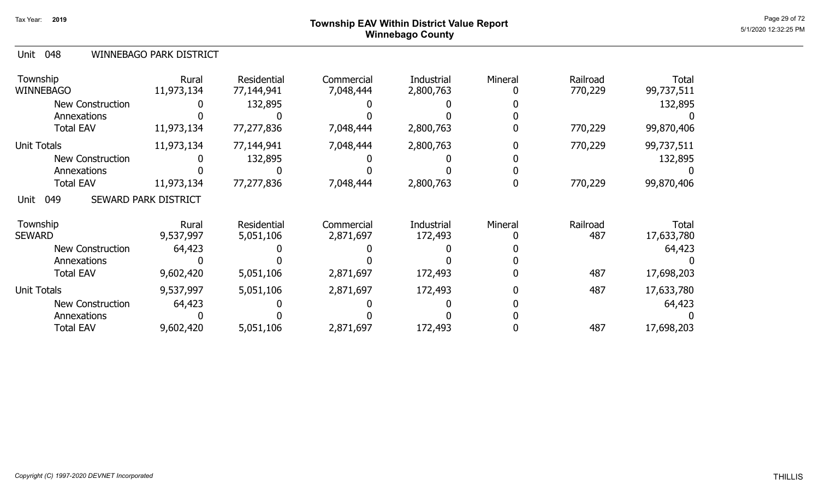### Page 29 of 72 Page 29 of 72  $^{\text{Page 29 of 72}}$ Winnebago County

#### 048 Unit WINNEBAGO PARK DISTRICT

| Township<br><b>WINNEBAGO</b>           | Rural<br>11,973,134  | <b>Residential</b><br>77,144,941 | Commercial<br>7,048,444 | Industrial<br>2,800,763 | Mineral | Railroad<br>770,229 | <b>Total</b><br>99,737,511 |
|----------------------------------------|----------------------|----------------------------------|-------------------------|-------------------------|---------|---------------------|----------------------------|
| <b>New Construction</b><br>Annexations |                      | 132,895                          |                         |                         |         |                     | 132,895                    |
| <b>Total EAV</b>                       | 11,973,134           | 77,277,836                       | 7,048,444               | 2,800,763               |         | 770,229             | 99,870,406                 |
| <b>Unit Totals</b>                     | 11,973,134           | 77,144,941                       | 7,048,444               | 2,800,763               |         | 770,229             | 99,737,511                 |
| <b>New Construction</b>                |                      | 132,895                          |                         |                         |         |                     | 132,895                    |
| Annexations                            |                      |                                  |                         |                         |         |                     |                            |
| <b>Total EAV</b>                       | 11,973,134           | 77,277,836                       | 7,048,444               | 2,800,763               |         | 770,229             | 99,870,406                 |
| 049<br>Unit                            | SEWARD PARK DISTRICT |                                  |                         |                         |         |                     |                            |
| Township<br><b>SEWARD</b>              | Rural<br>9,537,997   | <b>Residential</b><br>5,051,106  | Commercial<br>2,871,697 | Industrial<br>172,493   | Mineral | Railroad<br>487     | <b>Total</b><br>17,633,780 |
| <b>New Construction</b>                | 64,423               |                                  |                         |                         |         |                     | 64,423                     |
| Annexations                            |                      |                                  |                         |                         |         |                     |                            |
| <b>Total EAV</b>                       | 9,602,420            | 5,051,106                        | 2,871,697               | 172,493                 |         | 487                 | 17,698,203                 |
| <b>Unit Totals</b>                     | 9,537,997            | 5,051,106                        | 2,871,697               | 172,493                 |         | 487                 | 17,633,780                 |
| New Construction                       | 64,423               |                                  |                         |                         |         |                     | 64,423                     |
| Annexations                            |                      |                                  |                         |                         |         |                     |                            |
| <b>Total EAV</b>                       | 9,602,420            | 5,051,106                        | 2,871,697               | 172,493                 |         | 487                 | 17,698,203                 |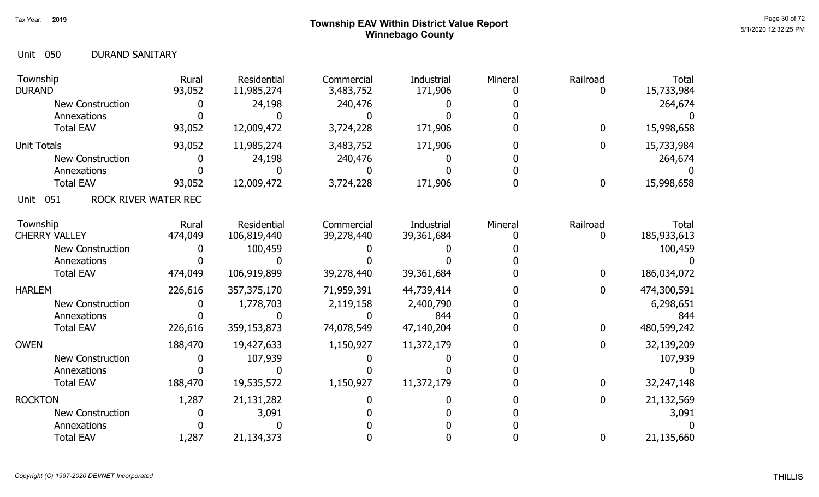### Page 30 of 72 Page 30 of 72  $^{\text{Page 30 of 72}}$ Winnebago County

| <b>DURAND SANITARY</b><br>050<br>Unit |                 |                           |                         |                       |         |                  |                            |
|---------------------------------------|-----------------|---------------------------|-------------------------|-----------------------|---------|------------------|----------------------------|
| Township<br><b>DURAND</b>             | Rural<br>93,052 | Residential<br>11,985,274 | Commercial<br>3,483,752 | Industrial<br>171,906 | Mineral | Railroad<br>0    | <b>Total</b><br>15,733,984 |
| <b>New Construction</b>               |                 | 24,198                    | 240,476                 |                       |         |                  | 264,674                    |
| Annexations<br><b>Total EAV</b>       | 93,052          | 12,009,472                | 3,724,228               | 171,906               |         | $\boldsymbol{0}$ | 15,998,658                 |
|                                       |                 |                           |                         |                       |         |                  |                            |
| <b>Unit Totals</b>                    | 93,052          | 11,985,274                | 3,483,752               | 171,906               |         | 0                | 15,733,984                 |
| New Construction                      | U               | 24,198                    | 240,476                 |                       |         |                  | 264,674                    |
| Annexations                           |                 |                           |                         |                       |         |                  |                            |
| <b>Total EAV</b>                      | 93,052          | 12,009,472                | 3,724,228               | 171,906               |         | $\boldsymbol{0}$ | 15,998,658                 |
| ROCK RIVER WATER REC<br>051<br>Unit   |                 |                           |                         |                       |         |                  |                            |
| Township                              | Rural           | <b>Residential</b>        | Commercial              | Industrial            | Mineral | Railroad         | <b>Total</b>               |
| <b>CHERRY VALLEY</b>                  | 474,049         | 106,819,440               | 39,278,440              | 39,361,684            |         | $\mathbf 0$      | 185,933,613                |
| New Construction                      |                 | 100,459                   |                         |                       |         |                  | 100,459                    |
| Annexations                           |                 |                           |                         |                       |         |                  |                            |
| <b>Total EAV</b>                      | 474,049         | 106,919,899               | 39,278,440              | 39,361,684            |         | $\boldsymbol{0}$ | 186,034,072                |
| <b>HARLEM</b>                         | 226,616         | 357,375,170               | 71,959,391              | 44,739,414            |         | $\boldsymbol{0}$ | 474,300,591                |
| <b>New Construction</b>               | Ω               | 1,778,703                 | 2,119,158               | 2,400,790             |         |                  | 6,298,651                  |
| Annexations                           |                 |                           |                         | 844                   |         |                  | 844                        |
| <b>Total EAV</b>                      | 226,616         | 359,153,873               | 74,078,549              | 47,140,204            |         | $\mathbf 0$      | 480,599,242                |
| <b>OWEN</b>                           | 188,470         | 19,427,633                | 1,150,927               | 11,372,179            |         | $\mathbf{0}$     | 32,139,209                 |
| <b>New Construction</b>               |                 | 107,939                   |                         |                       |         |                  | 107,939                    |
| Annexations                           |                 |                           |                         |                       |         |                  |                            |
| <b>Total EAV</b>                      | 188,470         | 19,535,572                | 1,150,927               | 11,372,179            |         | $\mathbf 0$      | 32,247,148                 |
| <b>ROCKTON</b>                        | 1,287           | 21,131,282                |                         |                       |         | 0                | 21,132,569                 |
| <b>New Construction</b>               |                 | 3,091                     |                         |                       |         |                  | 3,091                      |
| Annexations                           |                 |                           |                         |                       |         |                  |                            |
| <b>Total EAV</b>                      | 1,287           | 21,134,373                |                         |                       |         | $\mathbf 0$      | 21,135,660                 |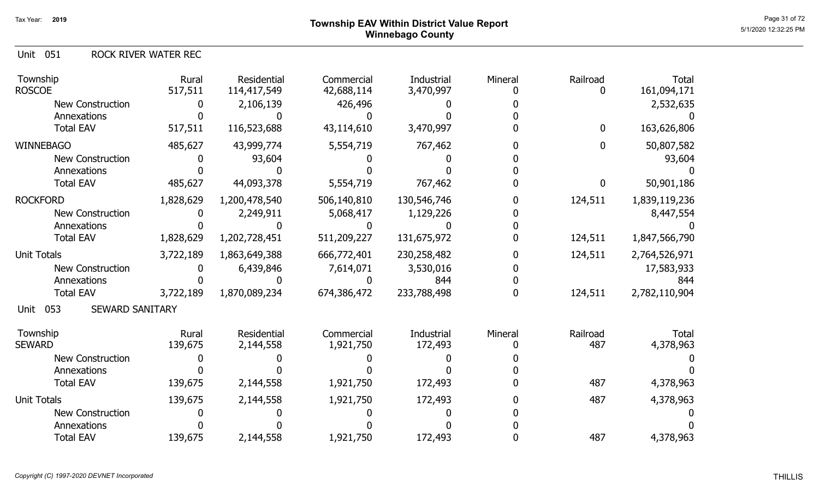Unit 051 ROCK RIVER WATER REC

| Township<br><b>ROSCOE</b>             | Rural<br>517,511 | Residential<br>114,417,549 | Commercial<br>42,688,114 | Industrial<br>3,470,997      | Mineral | Railroad<br>0   | <b>Total</b><br>161,094,171 |
|---------------------------------------|------------------|----------------------------|--------------------------|------------------------------|---------|-----------------|-----------------------------|
| <b>New Construction</b>               |                  | 2,106,139                  | 426,496                  |                              |         |                 | 2,532,635                   |
| Annexations                           |                  |                            |                          |                              |         |                 |                             |
| <b>Total EAV</b>                      | 517,511          | 116,523,688                | 43,114,610               | 3,470,997                    |         | $\mathbf 0$     | 163,626,806                 |
| <b>WINNEBAGO</b>                      | 485,627          | 43,999,774                 | 5,554,719                | 767,462                      |         | $\mathbf 0$     | 50,807,582                  |
| <b>New Construction</b>               |                  | 93,604                     |                          |                              |         |                 | 93,604                      |
| Annexations                           |                  |                            |                          |                              |         |                 |                             |
| <b>Total EAV</b>                      | 485,627          | 44,093,378                 | 5,554,719                | 767,462                      |         | 0               | 50,901,186                  |
| <b>ROCKFORD</b>                       | 1,828,629        | 1,200,478,540              | 506,140,810              | 130,546,746                  |         | 124,511         | 1,839,119,236               |
| <b>New Construction</b>               |                  | 2,249,911                  | 5,068,417                | 1,129,226                    |         |                 | 8,447,554                   |
| Annexations                           |                  |                            |                          |                              |         |                 |                             |
| <b>Total EAV</b>                      | 1,828,629        | 1,202,728,451              | 511,209,227              | 131,675,972                  |         | 124,511         | 1,847,566,790               |
| <b>Unit Totals</b>                    | 3,722,189        | 1,863,649,388              | 666,772,401              | 230,258,482                  |         | 124,511         | 2,764,526,971               |
| <b>New Construction</b>               |                  | 6,439,846                  | 7,614,071                | 3,530,016                    |         |                 | 17,583,933                  |
| Annexations                           |                  |                            |                          | 844                          |         |                 | 844                         |
| <b>Total EAV</b>                      | 3,722,189        | 1,870,089,234              | 674,386,472              | 233,788,498                  | O       | 124,511         | 2,782,110,904               |
| 053<br><b>SEWARD SANITARY</b><br>Unit |                  |                            |                          |                              |         |                 |                             |
| Township<br><b>SEWARD</b>             | Rural<br>139,675 | Residential<br>2,144,558   | Commercial<br>1,921,750  | <b>Industrial</b><br>172,493 | Mineral | Railroad<br>487 | <b>Total</b><br>4,378,963   |
| <b>New Construction</b>               |                  |                            |                          |                              |         |                 |                             |
| Annexations                           |                  |                            |                          |                              |         |                 |                             |
| <b>Total EAV</b>                      | 139,675          | 2,144,558                  | 1,921,750                | 172,493                      |         | 487             | 4,378,963                   |
|                                       |                  |                            |                          |                              |         |                 |                             |
| <b>Unit Totals</b>                    | 139,675          | 2,144,558                  | 1,921,750                | 172,493                      |         | 487             | 4,378,963                   |
| <b>New Construction</b>               |                  |                            |                          |                              |         |                 |                             |
| Annexations                           |                  |                            |                          |                              |         |                 |                             |
| <b>Total EAV</b>                      | 139,675          | 2,144,558                  | 1,921,750                | 172,493                      |         | 487             | 4,378,963                   |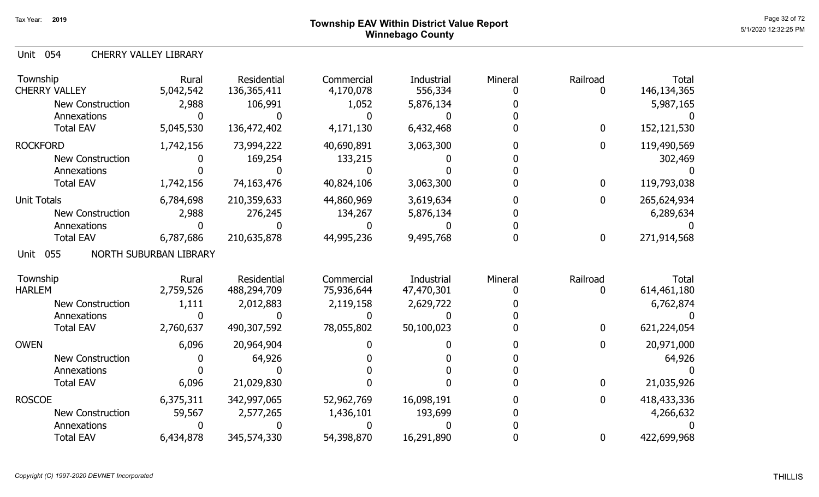### Page 32 of 72 Page 32 of 72  $^{\text{Page 32 of 72}}$ Winnebago County

Unit 054 CHERRY VALLEY LIBRARY

| Township<br><b>CHERRY VALLEY</b>       | Rural<br>5,042,542     | <b>Residential</b><br>136, 365, 411 | Commercial<br>4,170,078 | Industrial<br>556,334 | Mineral | Railroad     | <b>Total</b><br>146,134,365 |
|----------------------------------------|------------------------|-------------------------------------|-------------------------|-----------------------|---------|--------------|-----------------------------|
| <b>New Construction</b><br>Annexations | 2,988                  | 106,991                             | 1,052                   | 5,876,134             |         |              | 5,987,165                   |
| <b>Total EAV</b>                       | 5,045,530              | 136,472,402                         | 4,171,130               | 6,432,468             |         | 0            | 152,121,530                 |
| <b>ROCKFORD</b>                        | 1,742,156              | 73,994,222                          | 40,690,891              | 3,063,300             |         | 0            | 119,490,569                 |
| <b>New Construction</b>                |                        | 169,254                             | 133,215                 |                       |         |              | 302,469                     |
| Annexations                            |                        |                                     |                         |                       |         |              |                             |
| <b>Total EAV</b>                       | 1,742,156              | 74,163,476                          | 40,824,106              | 3,063,300             |         | 0            | 119,793,038                 |
| <b>Unit Totals</b>                     | 6,784,698              | 210,359,633                         | 44,860,969              | 3,619,634             |         | 0            | 265,624,934                 |
| <b>New Construction</b>                | 2,988                  | 276,245                             | 134,267                 | 5,876,134             |         |              | 6,289,634                   |
| Annexations                            |                        |                                     |                         |                       |         |              |                             |
| <b>Total EAV</b>                       | 6,787,686              | 210,635,878                         | 44,995,236              | 9,495,768             |         | 0            | 271,914,568                 |
| 055<br>Unit                            | NORTH SUBURBAN LIBRARY |                                     |                         |                       |         |              |                             |
| Township                               | Rural                  | <b>Residential</b>                  | Commercial              | Industrial            | Mineral | Railroad     | <b>Total</b>                |
| <b>HARLEM</b>                          | 2,759,526              | 488,294,709                         | 75,936,644              | 47,470,301            |         |              | 614,461,180                 |
| <b>New Construction</b>                | 1,111                  | 2,012,883                           | 2,119,158               | 2,629,722             |         |              | 6,762,874                   |
| Annexations                            |                        |                                     |                         |                       |         |              |                             |
| <b>Total EAV</b>                       | 2,760,637              | 490,307,592                         | 78,055,802              | 50,100,023            |         | 0            | 621,224,054                 |
| <b>OWEN</b>                            | 6,096                  | 20,964,904                          |                         |                       |         |              | 20,971,000                  |
| <b>New Construction</b>                |                        | 64,926                              |                         |                       |         |              | 64,926                      |
| Annexations                            |                        |                                     |                         |                       |         |              |                             |
| <b>Total EAV</b>                       | 6,096                  | 21,029,830                          |                         |                       |         | 0            | 21,035,926                  |
| <b>ROSCOE</b>                          | 6,375,311              | 342,997,065                         | 52,962,769              | 16,098,191            |         | 0            | 418,433,336                 |
| New Construction                       | 59,567                 | 2,577,265                           | 1,436,101               | 193,699               |         |              | 4,266,632                   |
| Annexations                            |                        |                                     |                         |                       |         |              |                             |
| <b>Total EAV</b>                       | 6,434,878              | 345,574,330                         | 54,398,870              | 16,291,890            |         | $\mathbf{0}$ | 422,699,968                 |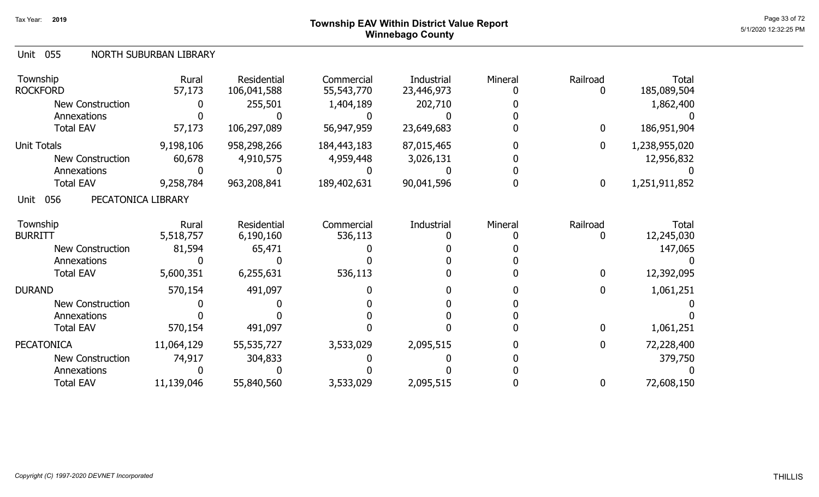## ${\sf Township}$   ${\sf EAV}$  Within District Value Report  ${\sf Page}$  and  ${\sf Page}$  and  ${\sf Page}$  and  ${\sf Page}$  and  ${\sf PQQ}$ Winnebago County

#### Unit 055 NORTH SUBURBAN LIBRARY

| Township<br><b>ROCKFORD</b>       | Rural<br>57,173 | <b>Residential</b><br>106,041,588 | Commercial<br>55,543,770 | Industrial<br>23,446,973 | Mineral | Railroad<br>0    | Total<br>185,089,504 |
|-----------------------------------|-----------------|-----------------------------------|--------------------------|--------------------------|---------|------------------|----------------------|
| <b>New Construction</b>           |                 | 255,501                           | 1,404,189                | 202,710                  |         |                  | 1,862,400            |
| Annexations                       |                 |                                   |                          |                          |         |                  |                      |
| <b>Total EAV</b>                  | 57,173          | 106,297,089                       | 56,947,959               | 23,649,683               |         | $\mathbf 0$      | 186,951,904          |
| Unit Totals                       | 9,198,106       | 958,298,266                       | 184,443,183              | 87,015,465               |         | $\mathbf 0$      | 1,238,955,020        |
| New Construction                  | 60,678          | 4,910,575                         | 4,959,448                | 3,026,131                |         |                  | 12,956,832           |
| Annexations                       |                 |                                   |                          |                          |         |                  |                      |
| <b>Total EAV</b>                  | 9,258,784       | 963,208,841                       | 189,402,631              | 90,041,596               |         | 0                | 1,251,911,852        |
| 056<br>PECATONICA LIBRARY<br>Unit |                 |                                   |                          |                          |         |                  |                      |
| Township                          | Rural           | <b>Residential</b>                | Commercial               | Industrial               | Mineral | Railroad         | Total                |
| <b>BURRITT</b>                    | 5,518,757       | 6,190,160                         | 536,113                  |                          |         | 0                | 12,245,030           |
| New Construction                  | 81,594          | 65,471                            |                          |                          |         |                  | 147,065              |
| Annexations                       |                 |                                   |                          |                          |         |                  |                      |
| <b>Total EAV</b>                  | 5,600,351       | 6,255,631                         | 536,113                  |                          |         | 0                | 12,392,095           |
| <b>DURAND</b>                     | 570,154         | 491,097                           |                          |                          |         | $\boldsymbol{0}$ | 1,061,251            |
| <b>New Construction</b>           |                 |                                   |                          |                          |         |                  |                      |
| Annexations                       |                 |                                   |                          |                          |         |                  |                      |
| <b>Total EAV</b>                  | 570,154         | 491,097                           |                          |                          |         | $\mathbf{0}$     | 1,061,251            |
| <b>PECATONICA</b>                 | 11,064,129      | 55,535,727                        | 3,533,029                | 2,095,515                |         | $\boldsymbol{0}$ | 72,228,400           |
| New Construction                  | 74,917          | 304,833                           |                          |                          |         |                  | 379,750              |
| Annexations                       |                 |                                   |                          |                          |         |                  |                      |
| <b>Total EAV</b>                  | 11,139,046      | 55,840,560                        | 3,533,029                | 2,095,515                |         | $\mathbf 0$      | 72,608,150           |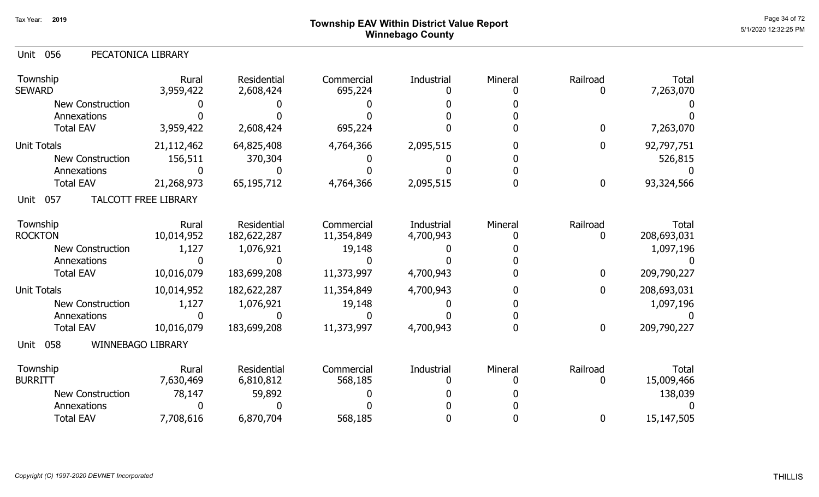## Page 34 of 72 Page 34 of 72  $^{\text{Page 34 of 72}}$ Winnebago County

|  | Unit 056 | PECATONICA LIBRARY |
|--|----------|--------------------|
|--|----------|--------------------|

| Township<br><b>SEWARD</b>               | Rural<br>3,959,422   | Residential<br>2,608,424   | Commercial<br>695,224    | Industrial              | Mineral | Railroad         | <b>Total</b><br>7,263,070   |
|-----------------------------------------|----------------------|----------------------------|--------------------------|-------------------------|---------|------------------|-----------------------------|
| <b>New Construction</b><br>Annexations  |                      |                            |                          |                         |         |                  |                             |
| <b>Total EAV</b>                        | 3,959,422            | 2,608,424                  | 695,224                  |                         |         | 0                | 7,263,070                   |
| <b>Unit Totals</b>                      | 21,112,462           | 64,825,408                 | 4,764,366                | 2,095,515               |         | 0                | 92,797,751                  |
| New Construction                        | 156,511              | 370,304                    |                          |                         |         |                  | 526,815                     |
| Annexations                             |                      |                            |                          |                         |         |                  |                             |
| <b>Total EAV</b>                        | 21,268,973           | 65,195,712                 | 4,764,366                | 2,095,515               |         | $\boldsymbol{0}$ | 93,324,566                  |
| 057<br>Unit                             | TALCOTT FREE LIBRARY |                            |                          |                         |         |                  |                             |
| Township<br><b>ROCKTON</b>              | Rural<br>10,014,952  | Residential<br>182,622,287 | Commercial<br>11,354,849 | Industrial<br>4,700,943 | Mineral | Railroad<br>0    | <b>Total</b><br>208,693,031 |
| New Construction                        | 1,127                | 1,076,921                  | 19,148                   |                         |         |                  | 1,097,196                   |
| Annexations                             |                      |                            |                          |                         |         |                  |                             |
| <b>Total EAV</b>                        | 10,016,079           | 183,699,208                | 11,373,997               | 4,700,943               |         | $\bf{0}$         | 209,790,227                 |
| <b>Unit Totals</b>                      | 10,014,952           | 182,622,287                | 11,354,849               | 4,700,943               |         | $\mathbf 0$      | 208,693,031                 |
| <b>New Construction</b>                 | 1,127                | 1,076,921                  | 19,148                   |                         |         |                  | 1,097,196                   |
| Annexations                             |                      |                            |                          |                         |         |                  |                             |
| <b>Total EAV</b>                        | 10,016,079           | 183,699,208                | 11,373,997               | 4,700,943               |         | $\mathbf 0$      | 209,790,227                 |
| 058<br><b>WINNEBAGO LIBRARY</b><br>Unit |                      |                            |                          |                         |         |                  |                             |
| Township<br><b>BURRITT</b>              | Rural<br>7,630,469   | Residential<br>6,810,812   | Commercial<br>568,185    | Industrial              | Mineral | Railroad<br>0    | <b>Total</b><br>15,009,466  |
| <b>New Construction</b>                 | 78,147               | 59,892                     |                          |                         |         |                  | 138,039                     |
| Annexations                             |                      |                            |                          |                         |         |                  |                             |
| <b>Total EAV</b>                        | 7,708,616            | 6,870,704                  | 568,185                  |                         |         | 0                | 15,147,505                  |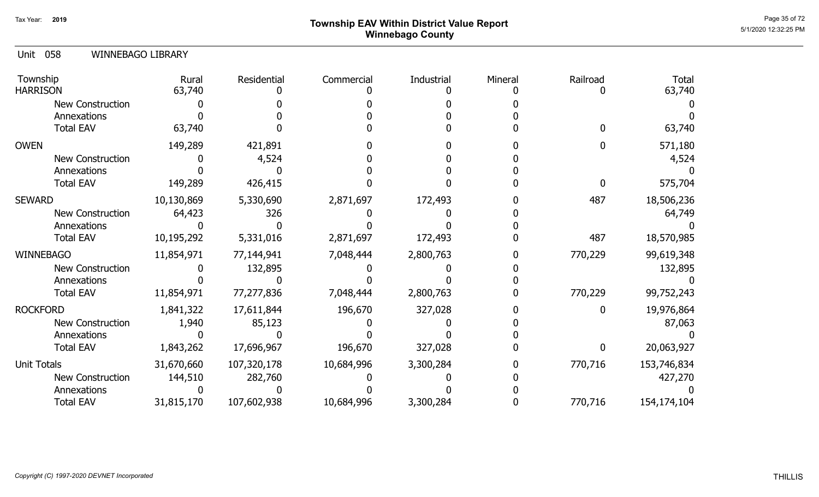## ${\sf Township}$   ${\sf EAV}$  Within District Value Report  $^{\sf Page\ 35 \ of\ 72}$ Winnebago County

#### 058 Unit WINNEBAGO LIBRARY

| Township<br><b>HARRISON</b> | Rural<br>63,740 | Residential | Commercial | Industrial | Mineral | Railroad     | <b>Total</b><br>63,740 |
|-----------------------------|-----------------|-------------|------------|------------|---------|--------------|------------------------|
| New Construction            |                 |             |            |            |         |              |                        |
| Annexations                 |                 |             |            |            |         |              |                        |
| <b>Total EAV</b>            | 63,740          |             |            |            |         |              | 63,740                 |
| <b>OWEN</b>                 | 149,289         | 421,891     |            |            |         |              | 571,180                |
| New Construction            |                 | 4,524       |            |            |         |              | 4,524                  |
| Annexations                 |                 |             |            |            |         |              |                        |
| <b>Total EAV</b>            | 149,289         | 426,415     |            |            |         | <sup>0</sup> | 575,704                |
| <b>SEWARD</b>               | 10,130,869      | 5,330,690   | 2,871,697  | 172,493    |         | 487          | 18,506,236             |
| New Construction            | 64,423          | 326         |            |            |         |              | 64,749                 |
| Annexations                 |                 |             |            |            |         |              |                        |
| <b>Total EAV</b>            | 10,195,292      | 5,331,016   | 2,871,697  | 172,493    |         | 487          | 18,570,985             |
| WINNEBAGO                   | 11,854,971      | 77,144,941  | 7,048,444  | 2,800,763  |         | 770,229      | 99,619,348             |
| New Construction            |                 | 132,895     |            |            |         |              | 132,895                |
| Annexations                 |                 |             |            |            |         |              |                        |
| <b>Total EAV</b>            | 11,854,971      | 77,277,836  | 7,048,444  | 2,800,763  |         | 770,229      | 99,752,243             |
| <b>ROCKFORD</b>             | 1,841,322       | 17,611,844  | 196,670    | 327,028    |         | 0            | 19,976,864             |
| New Construction            | 1,940           | 85,123      |            |            |         |              | 87,063                 |
| Annexations                 |                 |             |            |            |         |              |                        |
| <b>Total EAV</b>            | 1,843,262       | 17,696,967  | 196,670    | 327,028    |         | 0            | 20,063,927             |
| <b>Unit Totals</b>          | 31,670,660      | 107,320,178 | 10,684,996 | 3,300,284  |         | 770,716      | 153,746,834            |
| <b>New Construction</b>     | 144,510         | 282,760     |            |            |         |              | 427,270                |
| Annexations                 |                 |             |            |            |         |              |                        |
| <b>Total EAV</b>            | 31,815,170      | 107,602,938 | 10,684,996 | 3,300,284  |         | 770,716      | 154,174,104            |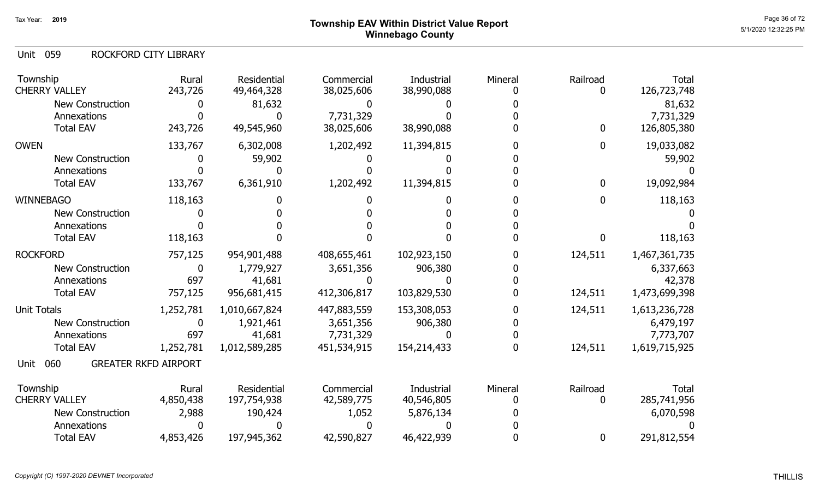## Page 36 of 72 Page 36 of 72  $^{\text{Page 36 of 72}}$ Winnebago County

059 Unit ROCKFORD CITY LIBRARY

| Township<br><b>CHERRY VALLEY</b> | Rural<br>243,726            | Residential<br>49,464,328 | Commercial<br>38,025,606 | Industrial<br>38,990,088 | Mineral | Railroad<br>0    | <b>Total</b><br>126,723,748 |
|----------------------------------|-----------------------------|---------------------------|--------------------------|--------------------------|---------|------------------|-----------------------------|
| <b>New Construction</b>          |                             | 81,632                    |                          |                          |         |                  | 81,632                      |
| Annexations                      |                             |                           | 7,731,329                |                          |         |                  | 7,731,329                   |
| <b>Total EAV</b>                 | 243,726                     | 49,545,960                | 38,025,606               | 38,990,088               |         | $\bf{0}$         | 126,805,380                 |
| <b>OWEN</b>                      | 133,767                     | 6,302,008                 | 1,202,492                | 11,394,815               |         | $\boldsymbol{0}$ | 19,033,082                  |
| <b>New Construction</b>          | 0                           | 59,902                    |                          |                          |         |                  | 59,902                      |
| Annexations                      |                             |                           |                          |                          |         |                  |                             |
| <b>Total EAV</b>                 | 133,767                     | 6,361,910                 | 1,202,492                | 11,394,815               |         | $\bf{0}$         | 19,092,984                  |
| <b>WINNEBAGO</b>                 | 118,163                     |                           |                          |                          |         | $\bf{0}$         | 118,163                     |
| <b>New Construction</b>          |                             |                           |                          |                          |         |                  |                             |
| Annexations                      |                             |                           |                          |                          |         |                  |                             |
| <b>Total EAV</b>                 | 118,163                     |                           |                          |                          |         | $\mathbf{0}$     | 118,163                     |
| <b>ROCKFORD</b>                  | 757,125                     | 954,901,488               | 408,655,461              | 102,923,150              |         | 124,511          | 1,467,361,735               |
| <b>New Construction</b>          | $\mathbf 0$                 | 1,779,927                 | 3,651,356                | 906,380                  |         |                  | 6,337,663                   |
| Annexations                      | 697                         | 41,681                    |                          |                          |         |                  | 42,378                      |
| <b>Total EAV</b>                 | 757,125                     | 956,681,415               | 412,306,817              | 103,829,530              |         | 124,511          | 1,473,699,398               |
| <b>Unit Totals</b>               | 1,252,781                   | 1,010,667,824             | 447,883,559              | 153,308,053              |         | 124,511          | 1,613,236,728               |
| <b>New Construction</b>          | $\mathbf 0$                 | 1,921,461                 | 3,651,356                | 906,380                  |         |                  | 6,479,197                   |
| Annexations                      | 697                         | 41,681                    | 7,731,329                |                          |         |                  | 7,773,707                   |
| <b>Total EAV</b>                 | 1,252,781                   | 1,012,589,285             | 451,534,915              | 154,214,433              |         | 124,511          | 1,619,715,925               |
| 060<br>Unit                      | <b>GREATER RKFD AIRPORT</b> |                           |                          |                          |         |                  |                             |
| Township                         | Rural                       | <b>Residential</b>        | Commercial               | Industrial               | Mineral | Railroad         | <b>Total</b>                |
| <b>CHERRY VALLEY</b>             | 4,850,438                   | 197,754,938               | 42,589,775               | 40,546,805               |         | $\mathbf{0}$     | 285,741,956                 |
| New Construction                 | 2,988                       | 190,424                   | 1,052                    | 5,876,134                |         |                  | 6,070,598                   |
| Annexations                      |                             |                           |                          |                          |         |                  |                             |
| <b>Total EAV</b>                 | 4,853,426                   | 197,945,362               | 42,590,827               | 46,422,939               |         | $\bf{0}$         | 291,812,554                 |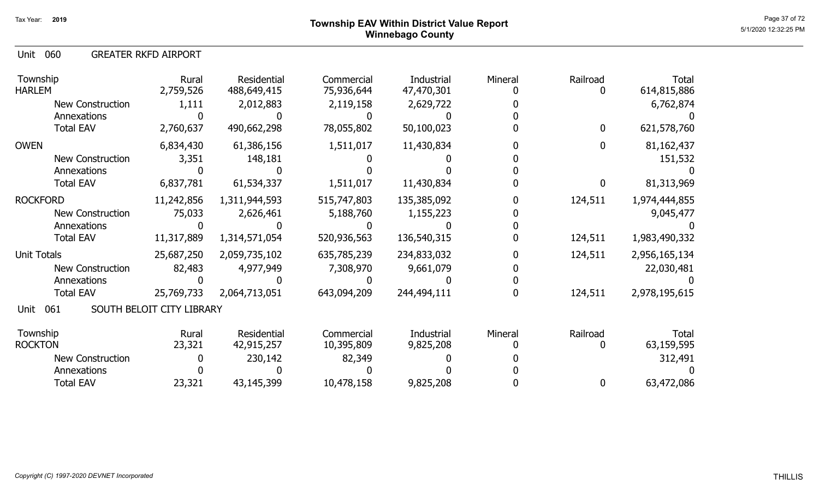060 Unit GREATER RKFD AIRPORT

| Township<br><b>HARLEM</b> | Rural<br>2,759,526        | Residential<br>488,649,415 | Commercial<br>75,936,644 | Industrial<br>47,470,301 | Mineral | Railroad<br>0 | <b>Total</b><br>614,815,886 |
|---------------------------|---------------------------|----------------------------|--------------------------|--------------------------|---------|---------------|-----------------------------|
| <b>New Construction</b>   | 1,111                     | 2,012,883                  | 2,119,158                | 2,629,722                |         |               | 6,762,874                   |
| Annexations               |                           |                            |                          |                          |         |               |                             |
| <b>Total EAV</b>          | 2,760,637                 | 490,662,298                | 78,055,802               | 50,100,023               |         | $\mathbf 0$   | 621,578,760                 |
| <b>OWEN</b>               | 6,834,430                 | 61,386,156                 | 1,511,017                | 11,430,834               |         | $\mathbf 0$   | 81,162,437                  |
| <b>New Construction</b>   | 3,351                     | 148,181                    |                          |                          |         |               | 151,532                     |
| Annexations               |                           |                            |                          |                          |         |               |                             |
| <b>Total EAV</b>          | 6,837,781                 | 61,534,337                 | 1,511,017                | 11,430,834               |         | 0             | 81,313,969                  |
| <b>ROCKFORD</b>           | 11,242,856                | 1,311,944,593              | 515,747,803              | 135,385,092              |         | 124,511       | 1,974,444,855               |
| <b>New Construction</b>   | 75,033                    | 2,626,461                  | 5,188,760                | 1,155,223                |         |               | 9,045,477                   |
| Annexations               |                           |                            |                          |                          |         |               |                             |
| <b>Total EAV</b>          | 11,317,889                | 1,314,571,054              | 520,936,563              | 136,540,315              |         | 124,511       | 1,983,490,332               |
| <b>Unit Totals</b>        | 25,687,250                | 2,059,735,102              | 635,785,239              | 234,833,032              |         | 124,511       | 2,956,165,134               |
| <b>New Construction</b>   | 82,483                    | 4,977,949                  | 7,308,970                | 9,661,079                |         |               | 22,030,481                  |
| Annexations               |                           |                            |                          |                          |         |               |                             |
| <b>Total EAV</b>          | 25,769,733                | 2,064,713,051              | 643,094,209              | 244,494,111              |         | 124,511       | 2,978,195,615               |
| 061<br>Unit               | SOUTH BELOIT CITY LIBRARY |                            |                          |                          |         |               |                             |
| Township                  | Rural                     | Residential                | Commercial               | Industrial               | Mineral | Railroad      | Total                       |
| <b>ROCKTON</b>            | 23,321                    | 42,915,257                 | 10,395,809               | 9,825,208                |         | 0             | 63,159,595                  |
| <b>New Construction</b>   |                           | 230,142                    | 82,349                   |                          |         |               | 312,491                     |
| Annexations               |                           |                            |                          |                          |         |               |                             |
| <b>Total EAV</b>          | 23,321                    | 43,145,399                 | 10,478,158               | 9,825,208                |         | 0             | 63,472,086                  |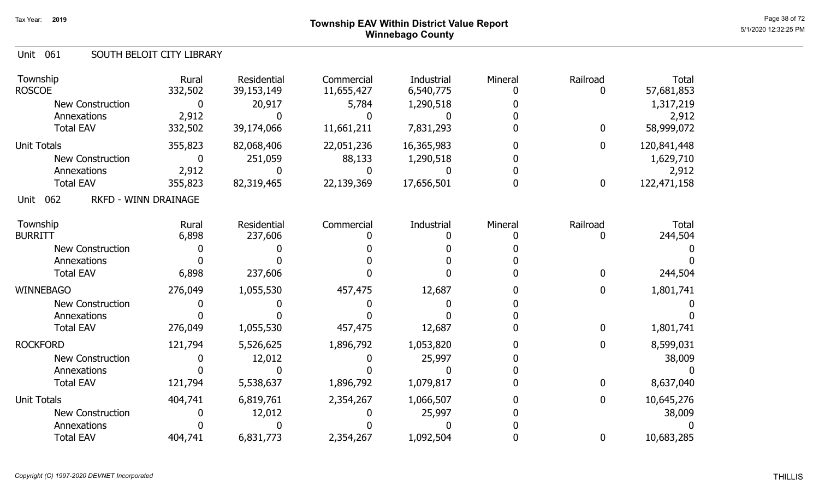### Page 38 of 72 Page 38 of 72  $^{\text{Page 38 of 72}}$ Winnebago County

#### Unit 061 SOUTH BELOIT CITY LIBRARY

| Township<br><b>ROSCOE</b>                  | Rural<br>332,502 | Residential<br>39,153,149 | Commercial<br>11,655,427 | Industrial<br>6,540,775 | Mineral | Railroad<br>O    | <b>Total</b><br>57,681,853 |
|--------------------------------------------|------------------|---------------------------|--------------------------|-------------------------|---------|------------------|----------------------------|
| <b>New Construction</b>                    | 0                | 20,917                    | 5,784                    | 1,290,518               |         |                  | 1,317,219                  |
| Annexations<br><b>Total EAV</b>            | 2,912<br>332,502 | 39,174,066                | 11,661,211               | 7,831,293               |         | $\bf{0}$         | 2,912<br>58,999,072        |
|                                            |                  |                           |                          |                         |         |                  |                            |
| <b>Unit Totals</b>                         | 355,823          | 82,068,406                | 22,051,236               | 16,365,983              |         | 0                | 120,841,448                |
| <b>New Construction</b>                    | 0                | 251,059                   | 88,133                   | 1,290,518               |         |                  | 1,629,710                  |
| Annexations                                | 2,912            |                           |                          |                         |         |                  | 2,912                      |
| <b>Total EAV</b>                           | 355,823          | 82,319,465                | 22,139,369               | 17,656,501              |         | $\boldsymbol{0}$ | 122,471,158                |
| <b>RKFD - WINN DRAINAGE</b><br>062<br>Unit |                  |                           |                          |                         |         |                  |                            |
| Township                                   | Rural            | Residential               | Commercial               | Industrial              | Mineral | Railroad         | <b>Total</b>               |
| <b>BURRITT</b>                             | 6,898            | 237,606                   |                          |                         |         | 0                | 244,504                    |
| New Construction                           |                  |                           |                          |                         |         |                  |                            |
| Annexations                                |                  |                           |                          |                         |         |                  |                            |
| <b>Total EAV</b>                           | 6,898            | 237,606                   |                          |                         |         | $\mathbf 0$      | 244,504                    |
| <b>WINNEBAGO</b>                           | 276,049          | 1,055,530                 | 457,475                  | 12,687                  |         | 0                | 1,801,741                  |
| <b>New Construction</b>                    |                  |                           |                          |                         |         |                  |                            |
| Annexations                                |                  |                           |                          |                         |         |                  |                            |
| <b>Total EAV</b>                           | 276,049          | 1,055,530                 | 457,475                  | 12,687                  |         | $\bf{0}$         | 1,801,741                  |
| <b>ROCKFORD</b>                            | 121,794          | 5,526,625                 | 1,896,792                | 1,053,820               |         | 0                | 8,599,031                  |
| <b>New Construction</b>                    |                  | 12,012                    |                          | 25,997                  |         |                  | 38,009                     |
| Annexations                                |                  |                           |                          |                         |         |                  |                            |
| <b>Total EAV</b>                           | 121,794          | 5,538,637                 | 1,896,792                | 1,079,817               |         | $\boldsymbol{0}$ | 8,637,040                  |
| <b>Unit Totals</b>                         | 404,741          | 6,819,761                 | 2,354,267                | 1,066,507               |         | 0                | 10,645,276                 |
| New Construction                           |                  | 12,012                    |                          | 25,997                  |         |                  | 38,009                     |
| Annexations                                |                  |                           |                          |                         |         |                  |                            |
| <b>Total EAV</b>                           | 404,741          | 6,831,773                 | 2,354,267                | 1,092,504               |         | 0                | 10,683,285                 |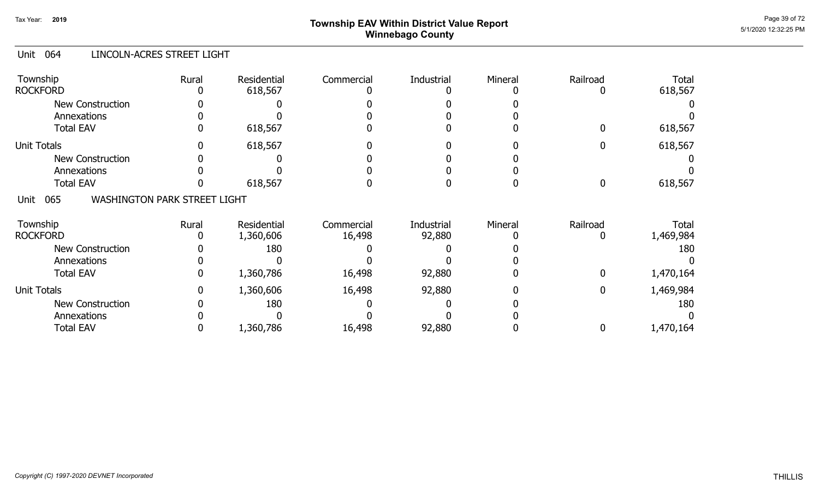# Page 39 of 72 Page 39 of 72  $^{\text{Page 39 of 72}}$ Winnebago County

#### Unit 064 LINCOLN-ACRES STREET LIGHT

| Township<br><b>ROCKFORD</b>                        | Rural        | Residential<br>618,567 | Commercial | <b>Industrial</b> | Mineral | Railroad         | <b>Total</b><br>618,567 |
|----------------------------------------------------|--------------|------------------------|------------|-------------------|---------|------------------|-------------------------|
| <b>New Construction</b>                            |              |                        |            |                   |         |                  |                         |
| Annexations                                        |              |                        |            |                   |         |                  |                         |
| <b>Total EAV</b>                                   | $\mathbf{0}$ | 618,567                |            |                   |         | 0                | 618,567                 |
| <b>Unit Totals</b>                                 |              | 618,567                |            |                   |         |                  | 618,567                 |
| New Construction                                   |              |                        |            |                   |         |                  |                         |
| Annexations                                        |              |                        |            |                   |         |                  |                         |
| <b>Total EAV</b>                                   |              | 618,567                |            |                   |         | $\boldsymbol{0}$ | 618,567                 |
| <b>WASHINGTON PARK STREET LIGHT</b><br>065<br>Unit |              |                        |            |                   |         |                  |                         |
| Township                                           | Rural        | Residential            | Commercial | Industrial        | Mineral | Railroad         | <b>Total</b>            |
| <b>ROCKFORD</b>                                    |              | 1,360,606              | 16,498     | 92,880            |         |                  | 1,469,984               |
| <b>New Construction</b>                            |              | 180                    |            |                   |         |                  | 180                     |
| Annexations                                        |              |                        |            |                   |         |                  |                         |
| <b>Total EAV</b>                                   | 0            | 1,360,786              | 16,498     | 92,880            |         | 0                | 1,470,164               |
| <b>Unit Totals</b>                                 | 0            | 1,360,606              | 16,498     | 92,880            |         | 0                | 1,469,984               |
| <b>New Construction</b>                            |              | 180                    |            |                   |         |                  | 180                     |
| Annexations                                        |              |                        |            |                   |         |                  |                         |
| <b>Total EAV</b>                                   |              | 1,360,786              | 16,498     | 92,880            |         | 0                | 1,470,164               |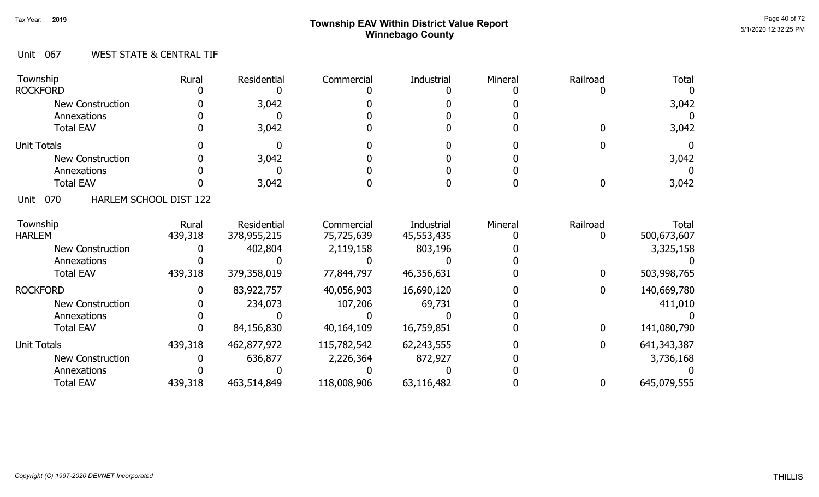# Page 40 of 72 Page 40 of 72  $^{\text{Page 40 of 72}}$ Winnebago County

#### Unit 067 WEST STATE & CENTRAL TIF

| Township<br><b>ROCKFORD</b> | Rural                  | Residential | Commercial  | Industrial | Mineral | Railroad | <b>Total</b>  |
|-----------------------------|------------------------|-------------|-------------|------------|---------|----------|---------------|
| New Construction            |                        | 3,042       |             |            |         |          | 3,042         |
| Annexations                 |                        |             |             |            |         |          |               |
| <b>Total EAV</b>            |                        | 3,042       |             |            |         |          | 3,042         |
|                             |                        |             |             |            |         |          |               |
| <b>Unit Totals</b>          |                        |             |             |            |         |          |               |
| New Construction            |                        | 3,042       |             |            |         |          | 3,042         |
| Annexations                 |                        |             |             |            |         |          |               |
| <b>Total EAV</b>            |                        | 3,042       |             |            |         |          | 3,042         |
| 070<br>Unit                 | HARLEM SCHOOL DIST 122 |             |             |            |         |          |               |
| Township                    | Rural                  | Residential | Commercial  | Industrial | Mineral | Railroad | Total         |
| <b>HARLEM</b>               | 439,318                | 378,955,215 | 75,725,639  | 45,553,435 |         |          | 500,673,607   |
| <b>New Construction</b>     |                        | 402,804     | 2,119,158   | 803,196    |         |          | 3,325,158     |
| Annexations                 |                        |             |             |            |         |          |               |
| <b>Total EAV</b>            | 439,318                | 379,358,019 | 77,844,797  | 46,356,631 |         | 0        | 503,998,765   |
| <b>ROCKFORD</b>             |                        | 83,922,757  | 40,056,903  | 16,690,120 |         | 0        | 140,669,780   |
| <b>New Construction</b>     |                        | 234,073     | 107,206     | 69,731     |         |          | 411,010       |
| Annexations                 |                        |             |             |            |         |          |               |
| <b>Total EAV</b>            |                        | 84,156,830  | 40,164,109  | 16,759,851 |         | 0        | 141,080,790   |
| <b>Unit Totals</b>          | 439,318                | 462,877,972 | 115,782,542 | 62,243,555 |         | 0        | 641, 343, 387 |
| <b>New Construction</b>     |                        | 636,877     | 2,226,364   | 872,927    |         |          | 3,736,168     |
| Annexations                 |                        |             |             |            |         |          |               |
| <b>Total EAV</b>            | 439,318                | 463,514,849 | 118,008,906 | 63,116,482 |         | 0        | 645,079,555   |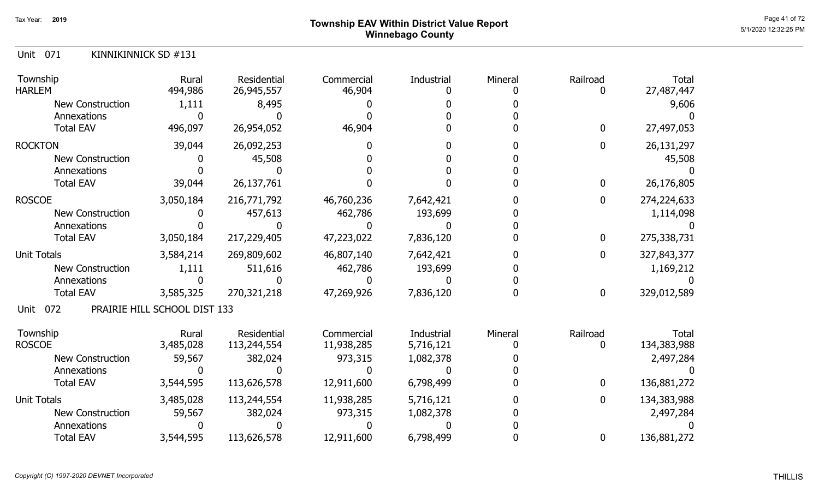Unit 071 KINNIKINNICK SD #131

| Township<br><b>HARLEM</b> | Rural<br>494,986             | Residential<br>26,945,557 | Commercial<br>46,904 | <b>Industrial</b> | Mineral | Railroad     | Total<br>27,487,447 |
|---------------------------|------------------------------|---------------------------|----------------------|-------------------|---------|--------------|---------------------|
| <b>New Construction</b>   | 1,111                        | 8,495                     |                      |                   |         |              | 9,606               |
| Annexations               |                              |                           |                      |                   |         |              |                     |
| <b>Total EAV</b>          | 496,097                      | 26,954,052                | 46,904               |                   |         | $\mathbf 0$  | 27,497,053          |
| <b>ROCKTON</b>            | 39,044                       | 26,092,253                |                      |                   |         | 0            | 26,131,297          |
| <b>New Construction</b>   |                              | 45,508                    |                      |                   |         |              | 45,508              |
| Annexations               |                              |                           |                      |                   |         |              |                     |
| <b>Total EAV</b>          | 39,044                       | 26,137,761                |                      |                   |         | $\bf{0}$     | 26,176,805          |
| <b>ROSCOE</b>             | 3,050,184                    | 216,771,792               | 46,760,236           | 7,642,421         |         | 0            | 274,224,633         |
| <b>New Construction</b>   |                              | 457,613                   | 462,786              | 193,699           |         |              | 1,114,098           |
| Annexations               |                              |                           |                      |                   |         |              |                     |
| <b>Total EAV</b>          | 3,050,184                    | 217,229,405               | 47,223,022           | 7,836,120         |         | $\mathbf 0$  | 275,338,731         |
| <b>Unit Totals</b>        | 3,584,214                    | 269,809,602               | 46,807,140           | 7,642,421         |         | $\mathbf{0}$ | 327,843,377         |
| <b>New Construction</b>   | 1,111                        | 511,616                   | 462,786              | 193,699           |         |              | 1,169,212           |
| Annexations               |                              |                           |                      |                   |         |              |                     |
| <b>Total EAV</b>          | 3,585,325                    | 270,321,218               | 47,269,926           | 7,836,120         |         | $\bf{0}$     | 329,012,589         |
| 072<br>Unit               | PRAIRIE HILL SCHOOL DIST 133 |                           |                      |                   |         |              |                     |
| Township                  | Rural                        | Residential               | Commercial           | <b>Industrial</b> | Mineral | Railroad     | Total               |
| <b>ROSCOE</b>             | 3,485,028                    | 113,244,554               | 11,938,285           | 5,716,121         |         | O            | 134,383,988         |
| <b>New Construction</b>   | 59,567                       | 382,024                   | 973,315              | 1,082,378         |         |              | 2,497,284           |
| Annexations               |                              |                           |                      |                   |         |              |                     |
| <b>Total EAV</b>          | 3,544,595                    | 113,626,578               | 12,911,600           | 6,798,499         |         | $\mathbf 0$  | 136,881,272         |
| <b>Unit Totals</b>        | 3,485,028                    | 113,244,554               | 11,938,285           | 5,716,121         |         | 0            | 134,383,988         |
| <b>New Construction</b>   | 59,567                       | 382,024                   | 973,315              | 1,082,378         |         |              | 2,497,284           |
| Annexations               |                              |                           |                      |                   |         |              |                     |
| <b>Total EAV</b>          | 3,544,595                    | 113,626,578               | 12,911,600           | 6,798,499         |         | 0            | 136,881,272         |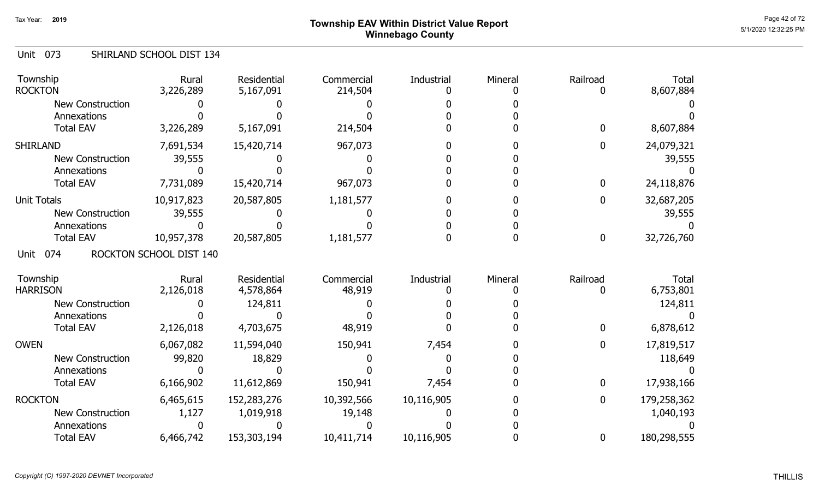# Page 42 of 72 Page 42 of 72  $^{\text{Page 42 of 72}}$ Winnebago County

#### Unit 073 SHIRLAND SCHOOL DIST 134

| Township<br><b>ROCKTON</b> | Rural<br>3,226,289      | Residential<br>5,167,091 | Commercial<br>214,504 | Industrial | Mineral | Railroad     | <b>Total</b><br>8,607,884 |
|----------------------------|-------------------------|--------------------------|-----------------------|------------|---------|--------------|---------------------------|
| <b>New Construction</b>    |                         |                          |                       |            |         |              |                           |
| Annexations                |                         |                          |                       |            |         |              |                           |
| <b>Total EAV</b>           | 3,226,289               | 5,167,091                | 214,504               |            |         | $\mathbf{0}$ | 8,607,884                 |
| <b>SHIRLAND</b>            | 7,691,534               | 15,420,714               | 967,073               |            |         | $\bf{0}$     | 24,079,321                |
| <b>New Construction</b>    | 39,555                  |                          |                       |            |         |              | 39,555                    |
| Annexations                |                         |                          |                       |            |         |              |                           |
| <b>Total EAV</b>           | 7,731,089               | 15,420,714               | 967,073               |            |         | $\bf{0}$     | 24,118,876                |
| <b>Unit Totals</b>         | 10,917,823              | 20,587,805               | 1,181,577             |            |         | 0            | 32,687,205                |
| <b>New Construction</b>    | 39,555                  |                          |                       |            |         |              | 39,555                    |
| Annexations                |                         |                          |                       |            |         |              |                           |
| <b>Total EAV</b>           | 10,957,378              | 20,587,805               | 1,181,577             |            |         | $\bf{0}$     | 32,726,760                |
| 074<br>Unit                | ROCKTON SCHOOL DIST 140 |                          |                       |            |         |              |                           |
| Township                   | Rural                   | <b>Residential</b>       | Commercial            | Industrial | Mineral | Railroad     | <b>Total</b>              |
| <b>HARRISON</b>            | 2,126,018               | 4,578,864                | 48,919                |            |         | 0            | 6,753,801                 |
| <b>New Construction</b>    |                         | 124,811                  |                       |            |         |              | 124,811                   |
| Annexations                |                         |                          |                       |            |         |              |                           |
| <b>Total EAV</b>           | 2,126,018               | 4,703,675                | 48,919                |            |         | $\bf{0}$     | 6,878,612                 |
| <b>OWEN</b>                | 6,067,082               | 11,594,040               | 150,941               | 7,454      |         | $\bf{0}$     | 17,819,517                |
| New Construction           | 99,820                  | 18,829                   |                       |            |         |              | 118,649                   |
| Annexations                |                         |                          |                       |            |         |              |                           |
| <b>Total EAV</b>           | 6,166,902               | 11,612,869               | 150,941               | 7,454      |         | $\bf{0}$     | 17,938,166                |
| <b>ROCKTON</b>             | 6,465,615               | 152,283,276              | 10,392,566            | 10,116,905 |         | 0            | 179,258,362               |
| <b>New Construction</b>    | 1,127                   | 1,019,918                | 19,148                |            |         |              | 1,040,193                 |
| Annexations                |                         |                          |                       |            |         |              |                           |
| <b>Total EAV</b>           | 6,466,742               | 153,303,194              | 10,411,714            | 10,116,905 |         | $\bf{0}$     | 180,298,555               |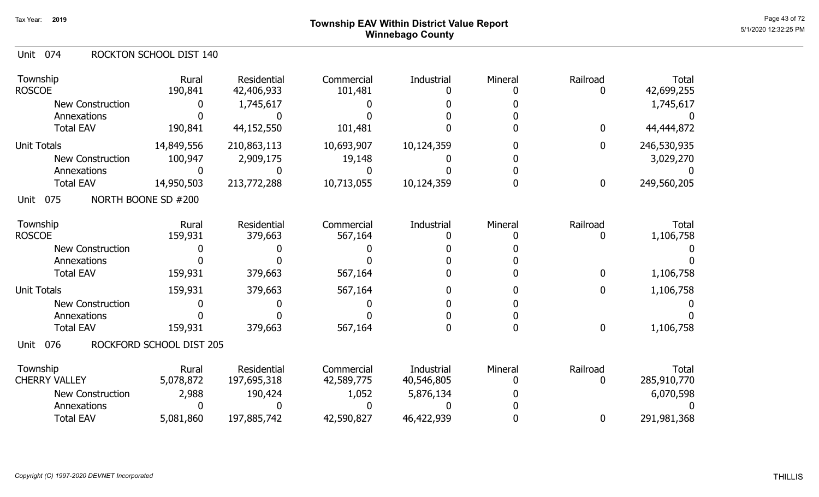# Page 43 of 72 Page 43 of 72  $^{\text{Page 43 of 72}}$ Winnebago County

#### Unit 074 ROCKTON SCHOOL DIST 140

| Township<br><b>ROSCOE</b>              | Rural<br>190,841         | Residential<br>42,406,933         | Commercial<br>101,481    | Industrial               | Mineral | Railroad<br>0 | <b>Total</b><br>42,699,255  |
|----------------------------------------|--------------------------|-----------------------------------|--------------------------|--------------------------|---------|---------------|-----------------------------|
| <b>New Construction</b><br>Annexations |                          | 1,745,617                         |                          |                          |         |               | 1,745,617                   |
| <b>Total EAV</b>                       | 190,841                  | 44,152,550                        | 101,481                  |                          |         | 0             | 44,444,872                  |
| <b>Unit Totals</b>                     | 14,849,556               | 210,863,113                       | 10,693,907               | 10,124,359               |         | 0             | 246,530,935                 |
| <b>New Construction</b>                | 100,947                  | 2,909,175                         | 19,148                   |                          |         |               | 3,029,270                   |
| Annexations                            |                          |                                   |                          |                          |         |               |                             |
| <b>Total EAV</b>                       | 14,950,503               | 213,772,288                       | 10,713,055               | 10,124,359               |         | 0             | 249,560,205                 |
| 075<br>Unit                            | NORTH BOONE SD #200      |                                   |                          |                          |         |               |                             |
| Township<br><b>ROSCOE</b>              | Rural<br>159,931         | Residential<br>379,663            | Commercial<br>567,164    | Industrial               | Mineral | Railroad<br>0 | <b>Total</b><br>1,106,758   |
| <b>New Construction</b>                |                          |                                   |                          |                          |         |               |                             |
| Annexations                            |                          |                                   |                          |                          |         |               |                             |
| <b>Total EAV</b>                       | 159,931                  | 379,663                           | 567,164                  |                          |         | 0             | 1,106,758                   |
| <b>Unit Totals</b>                     | 159,931                  | 379,663                           | 567,164                  |                          |         | 0             | 1,106,758                   |
| <b>New Construction</b>                |                          |                                   |                          |                          |         |               |                             |
| Annexations                            |                          |                                   |                          |                          |         |               |                             |
| <b>Total EAV</b>                       | 159,931                  | 379,663                           | 567,164                  |                          | n       | $\bf{0}$      | 1,106,758                   |
| 076<br>Unit                            | ROCKFORD SCHOOL DIST 205 |                                   |                          |                          |         |               |                             |
| Township<br><b>CHERRY VALLEY</b>       | Rural<br>5,078,872       | <b>Residential</b><br>197,695,318 | Commercial<br>42,589,775 | Industrial<br>40,546,805 | Mineral | Railroad<br>0 | <b>Total</b><br>285,910,770 |
| <b>New Construction</b>                | 2,988                    | 190,424                           | 1,052                    | 5,876,134                |         |               | 6,070,598                   |
| Annexations                            |                          |                                   |                          |                          |         |               |                             |
| <b>Total EAV</b>                       | 5,081,860                | 197,885,742                       | 42,590,827               | 46,422,939               |         | 0             | 291,981,368                 |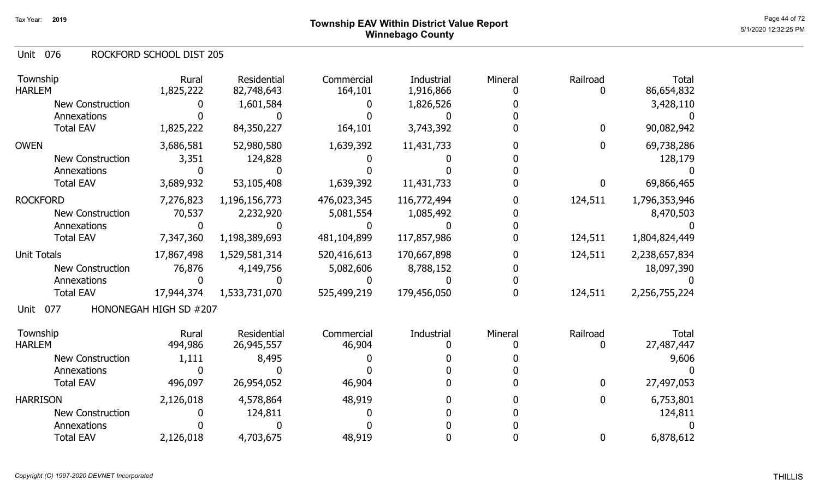#### 076 Unit ROCKFORD SCHOOL DIST 205

| Township<br><b>HARLEM</b> | Rural<br>1,825,222     | Residential<br>82,748,643 | Commercial<br>164,101 | Industrial<br>1,916,866 | Mineral | Railroad    | <b>Total</b><br>86,654,832 |
|---------------------------|------------------------|---------------------------|-----------------------|-------------------------|---------|-------------|----------------------------|
| New Construction          |                        | 1,601,584                 |                       | 1,826,526               |         |             | 3,428,110                  |
| Annexations               |                        |                           |                       |                         |         |             |                            |
| <b>Total EAV</b>          | 1,825,222              | 84,350,227                | 164,101               | 3,743,392               |         | $\mathbf 0$ | 90,082,942                 |
| <b>OWEN</b>               | 3,686,581              | 52,980,580                | 1,639,392             | 11,431,733              |         | 0           | 69,738,286                 |
| <b>New Construction</b>   | 3,351                  | 124,828                   |                       |                         |         |             | 128,179                    |
| Annexations               |                        |                           |                       |                         |         |             |                            |
| <b>Total EAV</b>          | 3,689,932              | 53,105,408                | 1,639,392             | 11,431,733              |         | 0           | 69,866,465                 |
| <b>ROCKFORD</b>           | 7,276,823              | 1,196,156,773             | 476,023,345           | 116,772,494             |         | 124,511     | 1,796,353,946              |
| <b>New Construction</b>   | 70,537                 | 2,232,920                 | 5,081,554             | 1,085,492               |         |             | 8,470,503                  |
| Annexations               |                        |                           |                       |                         |         |             |                            |
| <b>Total EAV</b>          | 7,347,360              | 1,198,389,693             | 481,104,899           | 117,857,986             |         | 124,511     | 1,804,824,449              |
| <b>Unit Totals</b>        | 17,867,498             | 1,529,581,314             | 520,416,613           | 170,667,898             |         | 124,511     | 2,238,657,834              |
| <b>New Construction</b>   | 76,876                 | 4,149,756                 | 5,082,606             | 8,788,152               |         |             | 18,097,390                 |
| Annexations               |                        |                           |                       |                         |         |             |                            |
| <b>Total EAV</b>          | 17,944,374             | 1,533,731,070             | 525,499,219           | 179,456,050             |         | 124,511     | 2,256,755,224              |
| Unit<br>077               | HONONEGAH HIGH SD #207 |                           |                       |                         |         |             |                            |
| Township                  | Rural                  | Residential               | Commercial            | Industrial              | Mineral | Railroad    | <b>Total</b>               |
| <b>HARLEM</b>             | 494,986                | 26,945,557                | 46,904                |                         |         | 0           | 27,487,447                 |
| <b>New Construction</b>   | 1,111                  | 8,495                     |                       |                         |         |             | 9,606                      |
| Annexations               |                        |                           |                       |                         |         |             |                            |
| <b>Total EAV</b>          | 496,097                | 26,954,052                | 46,904                |                         |         | 0           | 27,497,053                 |
| <b>HARRISON</b>           | 2,126,018              | 4,578,864                 | 48,919                |                         |         | 0           | 6,753,801                  |
| <b>New Construction</b>   |                        | 124,811                   |                       |                         |         |             | 124,811                    |
| Annexations               |                        |                           |                       |                         |         |             |                            |
| <b>Total EAV</b>          | 2,126,018              | 4,703,675                 | 48,919                |                         |         | 0           | 6,878,612                  |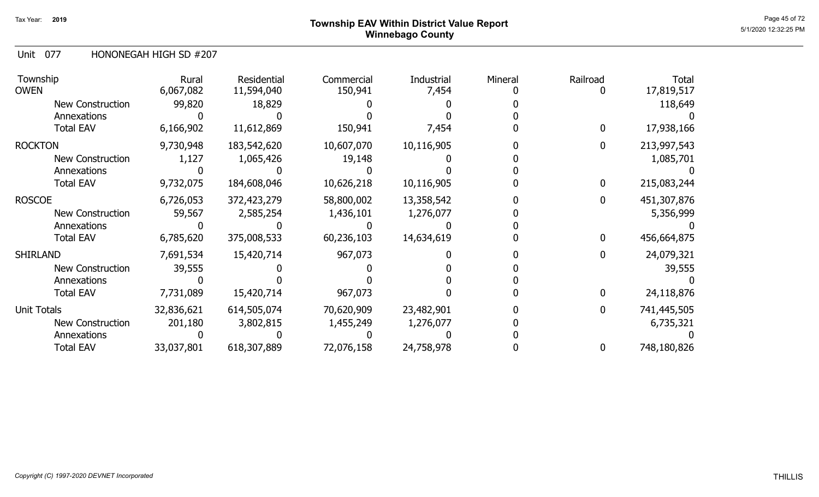# Page 45 of 72 Page 45 of 72  $^{\text{Page 45 of 72}}$ Winnebago County

#### Unit 077 HONONEGAH HIGH SD #207

| Township<br><b>OWEN</b> | Rural<br>6,067,082 | Residential<br>11,594,040 | Commercial<br>150,941 | Industrial<br>7,454 | Mineral | Railroad     | Total<br>17,819,517 |
|-------------------------|--------------------|---------------------------|-----------------------|---------------------|---------|--------------|---------------------|
| New Construction        | 99,820             | 18,829                    |                       |                     |         |              | 118,649             |
| Annexations             |                    |                           |                       |                     |         |              |                     |
| <b>Total EAV</b>        | 6,166,902          | 11,612,869                | 150,941               | 7,454               |         | 0            | 17,938,166          |
| <b>ROCKTON</b>          | 9,730,948          | 183,542,620               | 10,607,070            | 10,116,905          |         | $\mathbf{0}$ | 213,997,543         |
| <b>New Construction</b> | 1,127              | 1,065,426                 | 19,148                |                     |         |              | 1,085,701           |
| Annexations             |                    |                           |                       |                     |         |              |                     |
| <b>Total EAV</b>        | 9,732,075          | 184,608,046               | 10,626,218            | 10,116,905          |         | $\mathbf{0}$ | 215,083,244         |
| <b>ROSCOE</b>           | 6,726,053          | 372,423,279               | 58,800,002            | 13,358,542          |         | 0            | 451,307,876         |
| <b>New Construction</b> | 59,567             | 2,585,254                 | 1,436,101             | 1,276,077           |         |              | 5,356,999           |
| Annexations             |                    |                           |                       |                     |         |              |                     |
| <b>Total EAV</b>        | 6,785,620          | 375,008,533               | 60,236,103            | 14,634,619          |         | 0            | 456,664,875         |
| <b>SHIRLAND</b>         | 7,691,534          | 15,420,714                | 967,073               |                     |         | 0            | 24,079,321          |
| New Construction        | 39,555             |                           |                       |                     |         |              | 39,555              |
| Annexations             |                    |                           |                       |                     |         |              |                     |
| <b>Total EAV</b>        | 7,731,089          | 15,420,714                | 967,073               |                     |         | 0            | 24,118,876          |
| Unit Totals             | 32,836,621         | 614,505,074               | 70,620,909            | 23,482,901          |         | 0            | 741,445,505         |
| New Construction        | 201,180            | 3,802,815                 | 1,455,249             | 1,276,077           |         |              | 6,735,321           |
| Annexations             |                    |                           |                       |                     |         |              |                     |
| <b>Total EAV</b>        | 33,037,801         | 618,307,889               | 72,076,158            | 24,758,978          |         | 0            | 748,180,826         |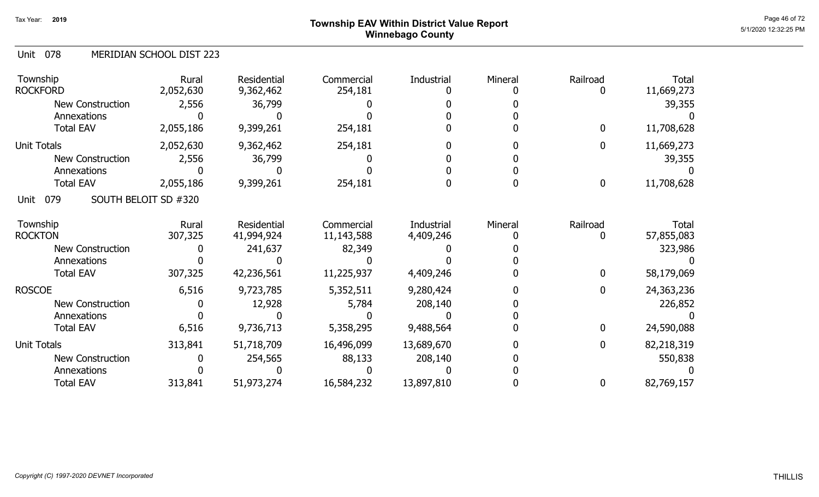# Page 46 of 72 Page 46 of 72  $^{\text{Page 46 of 72}}$ Winnebago County

| Unit 078 |  | MERIDIAN SCHOOL DIST 223 |
|----------|--|--------------------------|
|----------|--|--------------------------|

| Township<br><b>ROCKFORD</b> | Rural<br>2,052,630   | Residential<br>9,362,462 | Commercial<br>254,181 | Industrial | Mineral | Railroad         | <b>Total</b><br>11,669,273 |
|-----------------------------|----------------------|--------------------------|-----------------------|------------|---------|------------------|----------------------------|
| New Construction            | 2,556                | 36,799                   |                       |            |         |                  | 39,355                     |
| Annexations                 |                      |                          |                       |            |         |                  |                            |
| <b>Total EAV</b>            | 2,055,186            | 9,399,261                | 254,181               |            |         | $\mathbf{0}$     | 11,708,628                 |
| Unit Totals                 | 2,052,630            | 9,362,462                | 254,181               |            |         | $\mathbf 0$      | 11,669,273                 |
| <b>New Construction</b>     | 2,556                | 36,799                   |                       |            |         |                  | 39,355                     |
| Annexations                 |                      |                          |                       |            |         |                  |                            |
| <b>Total EAV</b>            | 2,055,186            | 9,399,261                | 254,181               |            |         | $\boldsymbol{0}$ | 11,708,628                 |
| 079<br>Unit                 | SOUTH BELOIT SD #320 |                          |                       |            |         |                  |                            |
| Township                    | Rural                | Residential              | Commercial            | Industrial | Mineral | Railroad         | Total                      |
| <b>ROCKTON</b>              | 307,325              | 41,994,924               | 11,143,588            | 4,409,246  |         |                  | 57,855,083                 |
| <b>New Construction</b>     |                      | 241,637                  | 82,349                |            |         |                  | 323,986                    |
| Annexations                 |                      |                          |                       |            |         |                  |                            |
| <b>Total EAV</b>            | 307,325              | 42,236,561               | 11,225,937            | 4,409,246  |         | 0                | 58,179,069                 |
| <b>ROSCOE</b>               | 6,516                | 9,723,785                | 5,352,511             | 9,280,424  |         | $\bf{0}$         | 24,363,236                 |
| New Construction            |                      | 12,928                   | 5,784                 | 208,140    |         |                  | 226,852                    |
| Annexations                 |                      |                          |                       |            |         |                  |                            |
| <b>Total EAV</b>            | 6,516                | 9,736,713                | 5,358,295             | 9,488,564  |         | $\mathbf{0}$     | 24,590,088                 |
| <b>Unit Totals</b>          | 313,841              | 51,718,709               | 16,496,099            | 13,689,670 |         | $\mathbf{0}$     | 82,218,319                 |
| <b>New Construction</b>     |                      | 254,565                  | 88,133                | 208,140    |         |                  | 550,838                    |
| Annexations                 |                      |                          |                       |            |         |                  |                            |
| <b>Total EAV</b>            | 313,841              | 51,973,274               | 16,584,232            | 13,897,810 |         | $\bf{0}$         | 82,769,157                 |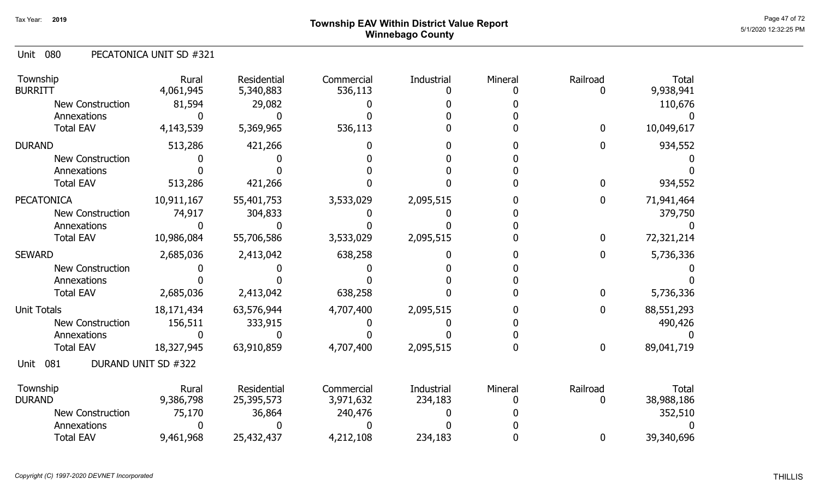# Page 47 of 72  $^{Page\ 47\ of\ 72}$  Township EAV Within District Value Report Winnebago County

#### 080 Unit PECATONICA UNIT SD #321

| Township<br><b>BURRITT</b> | Rural<br>4,061,945  | Residential<br>5,340,883 | Commercial<br>536,113 | Industrial | Mineral | Railroad | <b>Total</b><br>9,938,941 |
|----------------------------|---------------------|--------------------------|-----------------------|------------|---------|----------|---------------------------|
| <b>New Construction</b>    | 81,594              | 29,082                   |                       |            |         |          | 110,676                   |
| Annexations                |                     |                          |                       |            |         |          |                           |
| <b>Total EAV</b>           | 4,143,539           | 5,369,965                | 536,113               |            |         | 0        | 10,049,617                |
| <b>DURAND</b>              | 513,286             | 421,266                  |                       |            |         |          | 934,552                   |
| <b>New Construction</b>    |                     |                          |                       |            |         |          |                           |
| Annexations                |                     |                          |                       |            |         |          |                           |
| <b>Total EAV</b>           | 513,286             | 421,266                  |                       |            |         |          | 934,552                   |
| <b>PECATONICA</b>          | 10,911,167          | 55,401,753               | 3,533,029             | 2,095,515  |         | 0        | 71,941,464                |
| New Construction           | 74,917              | 304,833                  |                       |            |         |          | 379,750                   |
| Annexations                |                     |                          |                       |            |         |          |                           |
| <b>Total EAV</b>           | 10,986,084          | 55,706,586               | 3,533,029             | 2,095,515  |         | 0        | 72,321,214                |
| <b>SEWARD</b>              | 2,685,036           | 2,413,042                | 638,258               |            |         | 0        | 5,736,336                 |
| <b>New Construction</b>    |                     |                          |                       |            |         |          |                           |
| Annexations                |                     |                          |                       |            |         |          |                           |
| <b>Total EAV</b>           | 2,685,036           | 2,413,042                | 638,258               |            |         | 0        | 5,736,336                 |
| <b>Unit Totals</b>         | 18, 171, 434        | 63,576,944               | 4,707,400             | 2,095,515  |         | 0        | 88,551,293                |
| <b>New Construction</b>    | 156,511             | 333,915                  |                       |            |         |          | 490,426                   |
| Annexations                |                     |                          |                       |            |         |          |                           |
| <b>Total EAV</b>           | 18,327,945          | 63,910,859               | 4,707,400             | 2,095,515  |         | $\bf{0}$ | 89,041,719                |
| 081<br>Unit                | DURAND UNIT SD #322 |                          |                       |            |         |          |                           |
| Township                   | Rural               | Residential              | Commercial            | Industrial | Mineral | Railroad | Total                     |
| <b>DURAND</b>              | 9,386,798           | 25,395,573               | 3,971,632             | 234,183    |         |          | 38,988,186                |
| <b>New Construction</b>    | 75,170              | 36,864                   | 240,476               |            |         |          | 352,510                   |
| Annexations                |                     |                          |                       |            |         |          |                           |
| <b>Total EAV</b>           | 9,461,968           | 25,432,437               | 4,212,108             | 234,183    |         | 0        | 39,340,696                |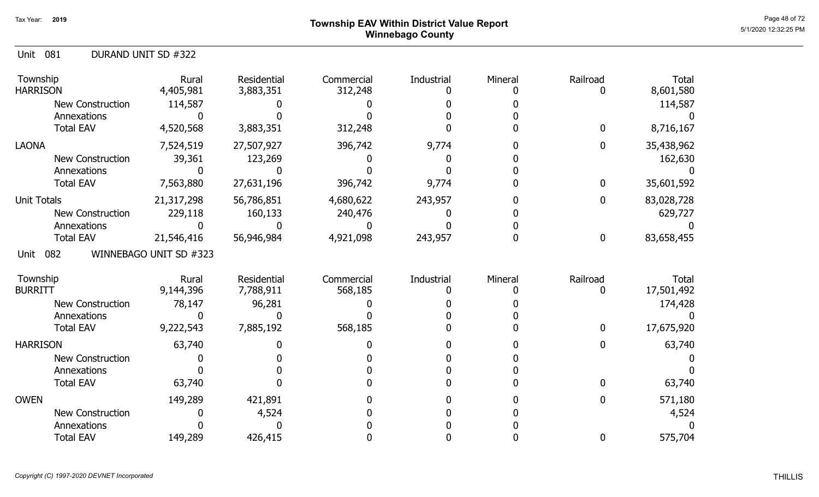# Page 48 of 72 Township EAV Within District Value Report Ally and the Control of the Case of Tagge 48 of 72  $_{\rm Page~48~of~72}$ Winnebago County

Unit 081 DURAND UNIT SD #322

| Township<br><b>HARRISON</b> | Rural<br>4,405,981     | Residential<br>3,883,351 | Commercial<br>312,248 | Industrial | Mineral | Railroad     | <b>Total</b><br>8,601,580 |
|-----------------------------|------------------------|--------------------------|-----------------------|------------|---------|--------------|---------------------------|
| <b>New Construction</b>     | 114,587                |                          |                       |            |         |              | 114,587                   |
| Annexations                 |                        |                          |                       |            |         |              |                           |
| <b>Total EAV</b>            | 4,520,568              | 3,883,351                | 312,248               |            |         | 0            | 8,716,167                 |
| <b>LAONA</b>                | 7,524,519              | 27,507,927               | 396,742               | 9,774      |         | $\mathbf{0}$ | 35,438,962                |
| <b>New Construction</b>     | 39,361                 | 123,269                  |                       |            |         |              | 162,630                   |
| Annexations                 |                        |                          |                       |            |         |              |                           |
| <b>Total EAV</b>            | 7,563,880              | 27,631,196               | 396,742               | 9,774      |         | 0            | 35,601,592                |
| <b>Unit Totals</b>          | 21,317,298             | 56,786,851               | 4,680,622             | 243,957    |         | 0            | 83,028,728                |
| <b>New Construction</b>     | 229,118                | 160,133                  | 240,476               |            |         |              | 629,727                   |
| Annexations                 |                        |                          |                       |            |         |              |                           |
| <b>Total EAV</b>            | 21,546,416             | 56,946,984               | 4,921,098             | 243,957    |         | $\mathbf 0$  | 83,658,455                |
| 082<br>Unit                 | WINNEBAGO UNIT SD #323 |                          |                       |            |         |              |                           |
| Township                    | Rural                  | Residential              | Commercial            | Industrial | Mineral | Railroad     | <b>Total</b>              |
| <b>BURRITT</b>              | 9,144,396              | 7,788,911                | 568,185               |            |         | 0            | 17,501,492                |
| New Construction            | 78,147                 | 96,281                   |                       |            |         |              | 174,428                   |
| Annexations                 |                        |                          |                       |            |         |              |                           |
| <b>Total EAV</b>            | 9,222,543              | 7,885,192                | 568,185               |            |         | 0            | 17,675,920                |
| <b>HARRISON</b>             | 63,740                 |                          |                       |            |         | 0            | 63,740                    |
| <b>New Construction</b>     |                        |                          |                       |            |         |              |                           |
| Annexations                 |                        |                          |                       |            |         |              |                           |
| <b>Total EAV</b>            | 63,740                 |                          |                       |            |         | 0            | 63,740                    |
| <b>OWEN</b>                 | 149,289                | 421,891                  |                       |            |         | 0            | 571,180                   |
| <b>New Construction</b>     |                        | 4,524                    |                       |            |         |              | 4,524                     |
| Annexations                 |                        |                          |                       |            |         |              |                           |
| <b>Total EAV</b>            | 149,289                | 426,415                  |                       |            |         | 0            | 575,704                   |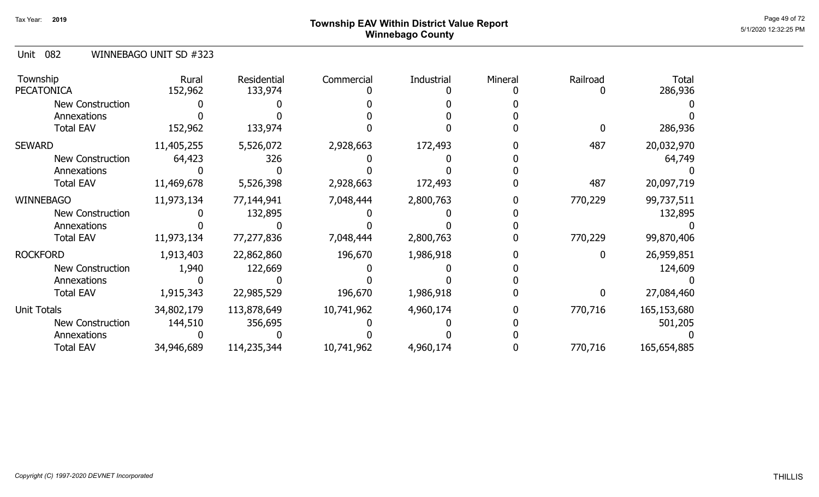# Page 49 of 72  $^{\sf Page~49~of~72}$  Township EAV Within District Value Report Winnebago County

#### Unit 082 WINNEBAGO UNIT SD #323

| Township<br><b>PECATONICA</b> | Rural<br>152,962 | Residential<br>133,974 | Commercial | Industrial | Mineral | Railroad | <b>Total</b><br>286,936 |
|-------------------------------|------------------|------------------------|------------|------------|---------|----------|-------------------------|
| <b>New Construction</b>       |                  |                        |            |            |         |          |                         |
| Annexations                   |                  |                        |            |            |         |          |                         |
| <b>Total EAV</b>              | 152,962          | 133,974                |            |            |         |          | 286,936                 |
| <b>SEWARD</b>                 | 11,405,255       | 5,526,072              | 2,928,663  | 172,493    |         | 487      | 20,032,970              |
| New Construction              | 64,423           | 326                    |            |            |         |          | 64,749                  |
| Annexations                   |                  |                        |            |            |         |          |                         |
| <b>Total EAV</b>              | 11,469,678       | 5,526,398              | 2,928,663  | 172,493    |         | 487      | 20,097,719              |
| <b>WINNEBAGO</b>              | 11,973,134       | 77,144,941             | 7,048,444  | 2,800,763  |         | 770,229  | 99,737,511              |
| New Construction              |                  | 132,895                |            |            |         |          | 132,895                 |
| Annexations                   |                  |                        |            |            |         |          |                         |
| <b>Total EAV</b>              | 11,973,134       | 77,277,836             | 7,048,444  | 2,800,763  |         | 770,229  | 99,870,406              |
| <b>ROCKFORD</b>               | 1,913,403        | 22,862,860             | 196,670    | 1,986,918  |         |          | 26,959,851              |
| New Construction              | 1,940            | 122,669                |            |            |         |          | 124,609                 |
| Annexations                   |                  |                        |            |            |         |          |                         |
| <b>Total EAV</b>              | 1,915,343        | 22,985,529             | 196,670    | 1,986,918  |         |          | 27,084,460              |
| Unit Totals                   | 34,802,179       | 113,878,649            | 10,741,962 | 4,960,174  |         | 770,716  | 165,153,680             |
| <b>New Construction</b>       | 144,510          | 356,695                |            |            |         |          | 501,205                 |
| Annexations                   |                  |                        |            |            |         |          |                         |
| <b>Total EAV</b>              | 34,946,689       | 114,235,344            | 10,741,962 | 4,960,174  |         | 770,716  | 165,654,885             |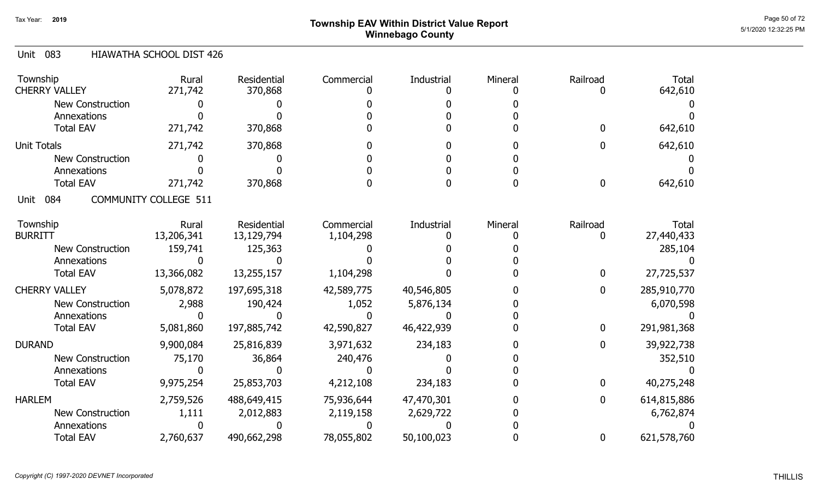# Page 50 of 72 Page 50 of 72  $^{\text{Page 50 of 72}}$ Winnebago County

#### Unit 083 HIAWATHA SCHOOL DIST 426

| Township<br><b>CHERRY VALLEY</b> | Rural<br>271,742             | <b>Residential</b><br>370,868 | Commercial | Industrial | Mineral | Railroad     | <b>Total</b><br>642,610 |
|----------------------------------|------------------------------|-------------------------------|------------|------------|---------|--------------|-------------------------|
| <b>New Construction</b>          |                              |                               |            |            |         |              |                         |
| Annexations                      |                              |                               |            |            |         |              |                         |
| <b>Total EAV</b>                 | 271,742                      | 370,868                       |            |            |         | 0            | 642,610                 |
|                                  |                              |                               |            |            |         |              |                         |
| <b>Unit Totals</b>               | 271,742                      | 370,868                       |            |            |         | 0            | 642,610                 |
| <b>New Construction</b>          |                              |                               |            |            |         |              |                         |
| Annexations                      |                              |                               |            |            |         |              |                         |
| <b>Total EAV</b>                 | 271,742                      | 370,868                       |            |            |         | $\mathbf{0}$ | 642,610                 |
| 084<br>Unit                      | <b>COMMUNITY COLLEGE 511</b> |                               |            |            |         |              |                         |
| Township                         | Rural                        | Residential                   | Commercial | Industrial | Mineral | Railroad     | <b>Total</b>            |
| <b>BURRITT</b>                   | 13,206,341                   | 13,129,794                    | 1,104,298  |            |         |              | 27,440,433              |
| New Construction                 | 159,741                      | 125,363                       |            |            |         |              | 285,104                 |
| Annexations                      |                              |                               |            |            |         |              |                         |
| <b>Total EAV</b>                 | 13,366,082                   | 13,255,157                    | 1,104,298  |            |         | 0            | 27,725,537              |
| <b>CHERRY VALLEY</b>             | 5,078,872                    | 197,695,318                   | 42,589,775 | 40,546,805 |         | 0            | 285,910,770             |
| New Construction                 | 2,988                        | 190,424                       | 1,052      | 5,876,134  |         |              | 6,070,598               |
| Annexations                      |                              |                               |            |            |         |              |                         |
| <b>Total EAV</b>                 | 5,081,860                    | 197,885,742                   | 42,590,827 | 46,422,939 |         | 0            | 291,981,368             |
| <b>DURAND</b>                    | 9,900,084                    | 25,816,839                    | 3,971,632  | 234,183    |         | 0            | 39,922,738              |
| <b>New Construction</b>          | 75,170                       | 36,864                        | 240,476    |            |         |              | 352,510                 |
| Annexations                      |                              |                               |            |            |         |              |                         |
| <b>Total EAV</b>                 | 9,975,254                    | 25,853,703                    | 4,212,108  | 234,183    |         | 0            | 40,275,248              |
| <b>HARLEM</b>                    | 2,759,526                    | 488,649,415                   | 75,936,644 | 47,470,301 |         | 0            | 614,815,886             |
| New Construction                 | 1,111                        | 2,012,883                     | 2,119,158  | 2,629,722  |         |              | 6,762,874               |
| Annexations                      |                              |                               |            |            |         |              |                         |
| <b>Total EAV</b>                 | 2,760,637                    | 490,662,298                   | 78,055,802 | 50,100,023 |         | 0            | 621,578,760             |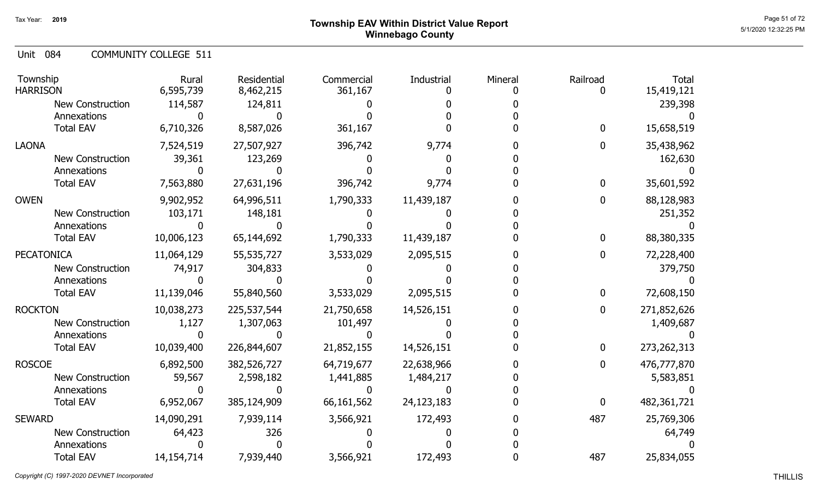| Unit 084 |  | <b>COMMUNITY COLLEGE 511</b> |  |
|----------|--|------------------------------|--|
|----------|--|------------------------------|--|

| Township<br><b>HARRISON</b>                                                 | Rural<br>6,595,739                 | Residential<br>8,462,215                | Commercial<br>361,167                   | Industrial                            | Mineral | Railroad<br>0     | <b>Total</b><br>15,419,121                |
|-----------------------------------------------------------------------------|------------------------------------|-----------------------------------------|-----------------------------------------|---------------------------------------|---------|-------------------|-------------------------------------------|
| New Construction<br>Annexations                                             | 114,587                            | 124,811                                 |                                         |                                       |         |                   | 239,398                                   |
| <b>Total EAV</b>                                                            | 6,710,326                          | 8,587,026                               | 361,167                                 |                                       |         | 0                 | 15,658,519                                |
| <b>LAONA</b><br><b>New Construction</b><br>Annexations                      | 7,524,519<br>39,361                | 27,507,927<br>123,269                   | 396,742                                 | 9,774                                 |         | 0                 | 35,438,962<br>162,630                     |
| <b>Total EAV</b>                                                            | 7,563,880                          | 27,631,196                              | 396,742                                 | 9,774                                 |         | 0                 | 35,601,592                                |
| <b>OWEN</b><br><b>New Construction</b><br>Annexations<br><b>Total EAV</b>   | 9,902,952<br>103,171<br>10,006,123 | 64,996,511<br>148,181<br>65,144,692     | 1,790,333<br>1,790,333                  | 11,439,187<br>11,439,187              |         | 0<br>0            | 88,128,983<br>251,352<br>88,380,335       |
| <b>PECATONICA</b><br>New Construction<br>Annexations<br><b>Total EAV</b>    | 11,064,129<br>74,917<br>11,139,046 | 55,535,727<br>304,833<br>55,840,560     | 3,533,029<br>3,533,029                  | 2,095,515<br>2,095,515                |         | 0<br>$\mathbf{0}$ | 72,228,400<br>379,750<br>72,608,150       |
| <b>ROCKTON</b><br>New Construction<br>Annexations<br><b>Total EAV</b>       | 10,038,273<br>1,127<br>10,039,400  | 225,537,544<br>1,307,063<br>226,844,607 | 21,750,658<br>101,497<br>21,852,155     | 14,526,151<br>14,526,151              |         | 0<br>0            | 271,852,626<br>1,409,687<br>273, 262, 313 |
| <b>ROSCOE</b><br>New Construction<br>Annexations<br><b>Total EAV</b>        | 6,892,500<br>59,567<br>6,952,067   | 382,526,727<br>2,598,182<br>385,124,909 | 64,719,677<br>1,441,885<br>66, 161, 562 | 22,638,966<br>1,484,217<br>24,123,183 |         | 0<br>$\mathbf{0}$ | 476,777,870<br>5,583,851<br>482,361,721   |
| <b>SEWARD</b><br><b>New Construction</b><br>Annexations<br><b>Total EAV</b> | 14,090,291<br>64,423<br>14,154,714 | 7,939,114<br>326<br>7,939,440           | 3,566,921<br>3,566,921                  | 172,493<br>172,493                    |         | 487<br>487        | 25,769,306<br>64,749<br>25,834,055        |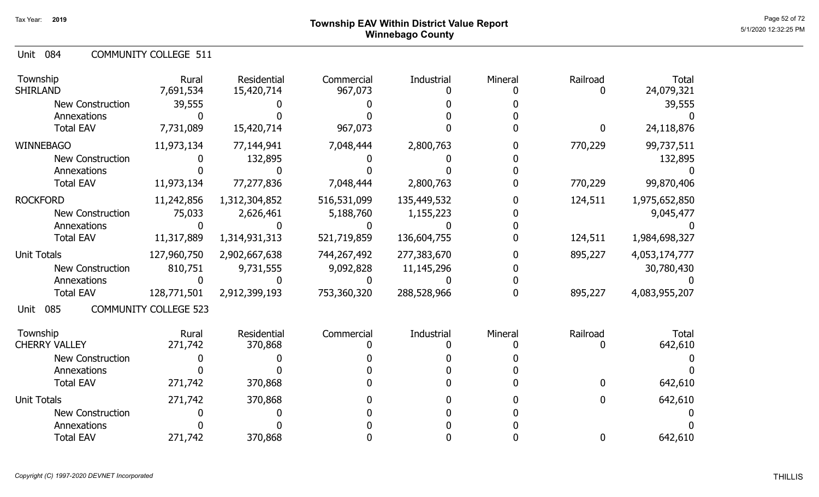| <b>COMMUNITY COLLEGE 511</b><br>Unit 084 |  |
|------------------------------------------|--|
|------------------------------------------|--|

| Township<br><b>SHIRLAND</b> | Rural<br>7,691,534           | <b>Residential</b><br>15,420,714 | Commercial<br>967,073 | <b>Industrial</b> | Mineral | Railroad    | <b>Total</b><br>24,079,321 |
|-----------------------------|------------------------------|----------------------------------|-----------------------|-------------------|---------|-------------|----------------------------|
| <b>New Construction</b>     | 39,555                       |                                  |                       |                   |         |             | 39,555                     |
| Annexations                 |                              |                                  |                       |                   |         |             |                            |
| <b>Total EAV</b>            | 7,731,089                    | 15,420,714                       | 967,073               |                   |         | $\mathbf 0$ | 24,118,876                 |
| <b>WINNEBAGO</b>            | 11,973,134                   | 77,144,941                       | 7,048,444             | 2,800,763         |         | 770,229     | 99,737,511                 |
| <b>New Construction</b>     |                              | 132,895                          |                       |                   |         |             | 132,895                    |
| Annexations                 |                              |                                  |                       |                   |         |             |                            |
| <b>Total EAV</b>            | 11,973,134                   | 77,277,836                       | 7,048,444             | 2,800,763         |         | 770,229     | 99,870,406                 |
| <b>ROCKFORD</b>             | 11,242,856                   | 1,312,304,852                    | 516,531,099           | 135,449,532       |         | 124,511     | 1,975,652,850              |
| New Construction            | 75,033                       | 2,626,461                        | 5,188,760             | 1,155,223         |         |             | 9,045,477                  |
| Annexations                 |                              |                                  |                       |                   |         |             |                            |
| <b>Total EAV</b>            | 11,317,889                   | 1,314,931,313                    | 521,719,859           | 136,604,755       |         | 124,511     | 1,984,698,327              |
| <b>Unit Totals</b>          | 127,960,750                  | 2,902,667,638                    | 744,267,492           | 277,383,670       |         | 895,227     | 4,053,174,777              |
| New Construction            | 810,751                      | 9,731,555                        | 9,092,828             | 11,145,296        |         |             | 30,780,430                 |
| Annexations                 |                              |                                  |                       |                   |         |             |                            |
| <b>Total EAV</b>            | 128,771,501                  | 2,912,399,193                    | 753,360,320           | 288,528,966       |         | 895,227     | 4,083,955,207              |
| 085<br>Unit                 | <b>COMMUNITY COLLEGE 523</b> |                                  |                       |                   |         |             |                            |
| Township                    | Rural                        | Residential                      | Commercial            | Industrial        | Mineral | Railroad    | Total                      |
| <b>CHERRY VALLEY</b>        | 271,742                      | 370,868                          |                       |                   |         |             | 642,610                    |
| <b>New Construction</b>     |                              |                                  |                       |                   |         |             |                            |
| Annexations                 |                              |                                  |                       |                   |         |             |                            |
| <b>Total EAV</b>            | 271,742                      | 370,868                          |                       |                   |         | 0           | 642,610                    |
| <b>Unit Totals</b>          | 271,742                      | 370,868                          |                       |                   |         | 0           | 642,610                    |
| <b>New Construction</b>     |                              |                                  |                       |                   |         |             |                            |
| Annexations                 |                              |                                  |                       |                   |         |             |                            |
| <b>Total EAV</b>            | 271,742                      | 370,868                          |                       |                   |         | 0           | 642,610                    |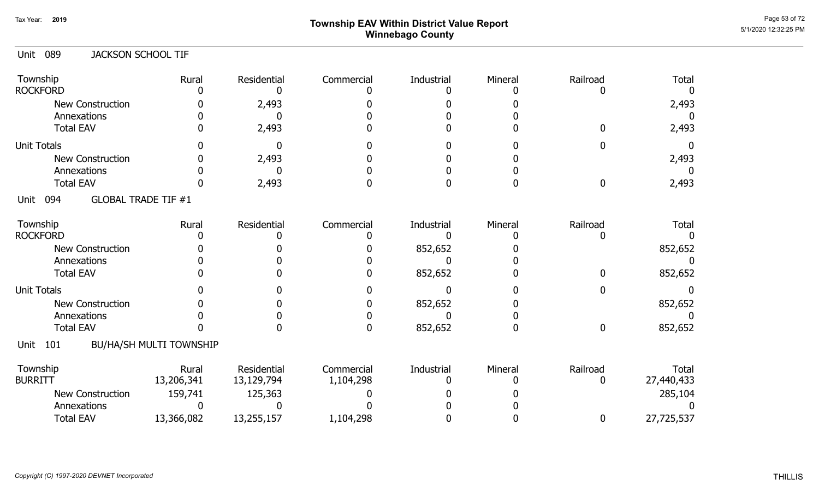# Page 53 of 72 Page 53 of 72  $^{\text{Page 53 of 72}}$ Winnebago County

| <b>JACKSON SCHOOL TIF</b>      |                       |                       |                 |                                           |                  |                       |
|--------------------------------|-----------------------|-----------------------|-----------------|-------------------------------------------|------------------|-----------------------|
| Rural                          | Residential<br>0      | Commercial            | Industrial<br>O | Mineral                                   | Railroad<br>O    | Total<br><sup>0</sup> |
|                                | 2,493                 |                       |                 |                                           |                  | 2,493                 |
|                                | O                     |                       |                 |                                           |                  |                       |
|                                | 2,493                 |                       |                 |                                           | <sup>n</sup>     | 2,493                 |
|                                | $\mathbf{0}$          |                       |                 |                                           |                  | 0                     |
|                                | 2,493                 |                       |                 |                                           |                  | 2,493                 |
|                                | O                     |                       |                 |                                           |                  | $\mathbf{I}$          |
|                                | 2,493                 |                       | O               | O                                         | $\mathbf{0}$     | 2,493                 |
| <b>GLOBAL TRADE TIF #1</b>     |                       |                       |                 |                                           |                  |                       |
| Rural                          | Residential           | Commercial            | Industrial      | Mineral                                   | Railroad         | <b>Total</b>          |
|                                |                       |                       |                 |                                           | $\mathbf{0}$     |                       |
|                                |                       |                       |                 |                                           |                  | 852,652               |
|                                |                       |                       | O               |                                           |                  |                       |
|                                |                       |                       |                 |                                           |                  | 852,652               |
|                                |                       |                       | $\Omega$        |                                           | 0                |                       |
|                                |                       |                       | 852,652         |                                           |                  | 852,652               |
|                                |                       |                       |                 |                                           |                  |                       |
|                                |                       | 0                     |                 | 0                                         | $\boldsymbol{0}$ | 852,652               |
| <b>BU/HA/SH MULTI TOWNSHIP</b> |                       |                       |                 |                                           |                  |                       |
| Rural                          | Residential           | Commercial            | Industrial      | Mineral                                   | Railroad         | Total<br>27,440,433   |
|                                |                       |                       |                 |                                           |                  | 285,104               |
| n                              |                       |                       |                 |                                           |                  |                       |
| 13,366,082                     | 13,255,157            | 1,104,298             |                 |                                           | 0                | 27,725,537            |
|                                | 13,206,341<br>159,741 | 13,129,794<br>125,363 | 1,104,298       | $\Omega$<br>852,652<br>852,652<br>852,652 |                  | <sup>0</sup><br>0     |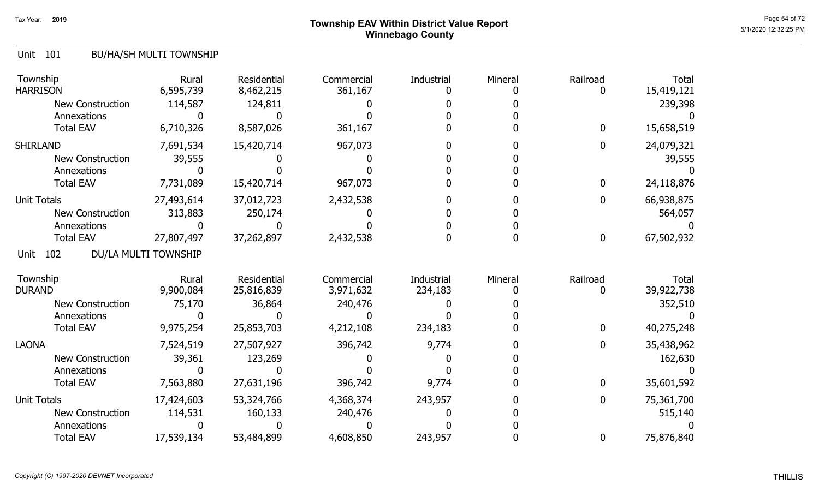# Page 54 of 72 Page 54 of 72  $^{\text{Page 54 of 72}}$ Winnebago County

#### Unit 101 BU/HA/SH MULTI TOWNSHIP

| Township<br><b>HARRISON</b> | Rural<br>6,595,739   | Residential<br>8,462,215 | Commercial<br>361,167 | Industrial | Mineral | Railroad     | Total<br>15,419,121 |
|-----------------------------|----------------------|--------------------------|-----------------------|------------|---------|--------------|---------------------|
| <b>New Construction</b>     | 114,587              | 124,811                  |                       |            |         |              | 239,398             |
| Annexations                 |                      |                          |                       |            |         |              |                     |
| <b>Total EAV</b>            | 6,710,326            | 8,587,026                | 361,167               |            |         | $\mathbf 0$  | 15,658,519          |
| <b>SHIRLAND</b>             | 7,691,534            | 15,420,714               | 967,073               |            |         | 0            | 24,079,321          |
| <b>New Construction</b>     | 39,555               |                          |                       |            |         |              | 39,555              |
| Annexations                 |                      |                          |                       |            |         |              |                     |
| <b>Total EAV</b>            | 7,731,089            | 15,420,714               | 967,073               |            |         | $\bf{0}$     | 24,118,876          |
| <b>Unit Totals</b>          | 27,493,614           | 37,012,723               | 2,432,538             |            |         | $\mathbf 0$  | 66,938,875          |
| <b>New Construction</b>     | 313,883              | 250,174                  |                       |            |         |              | 564,057             |
| Annexations                 |                      |                          |                       |            |         |              |                     |
| <b>Total EAV</b>            | 27,807,497           | 37,262,897               | 2,432,538             |            |         | $\bf{0}$     | 67,502,932          |
| 102<br>Unit                 | DU/LA MULTI TOWNSHIP |                          |                       |            |         |              |                     |
| Township                    | Rural                | Residential              | Commercial            | Industrial | Mineral | Railroad     | Total               |
| <b>DURAND</b>               | 9,900,084            | 25,816,839               | 3,971,632             | 234,183    |         |              | 39,922,738          |
| <b>New Construction</b>     | 75,170               | 36,864                   | 240,476               |            |         |              | 352,510             |
| Annexations                 |                      |                          |                       |            |         |              |                     |
| <b>Total EAV</b>            | 9,975,254            | 25,853,703               | 4,212,108             | 234,183    |         | $\mathbf{0}$ | 40,275,248          |
| <b>LAONA</b>                | 7,524,519            | 27,507,927               | 396,742               | 9,774      |         | 0            | 35,438,962          |
| <b>New Construction</b>     | 39,361               | 123,269                  |                       |            |         |              | 162,630             |
| Annexations                 |                      |                          |                       |            |         |              |                     |
| <b>Total EAV</b>            | 7,563,880            | 27,631,196               | 396,742               | 9,774      |         | $\mathbf 0$  | 35,601,592          |
| <b>Unit Totals</b>          | 17,424,603           | 53,324,766               | 4,368,374             | 243,957    |         | 0            | 75,361,700          |
| <b>New Construction</b>     | 114,531              | 160,133                  | 240,476               |            |         |              | 515,140             |
| Annexations                 |                      |                          |                       |            |         |              |                     |
| <b>Total EAV</b>            | 17,539,134           | 53,484,899               | 4,608,850             | 243,957    |         | 0            | 75,876,840          |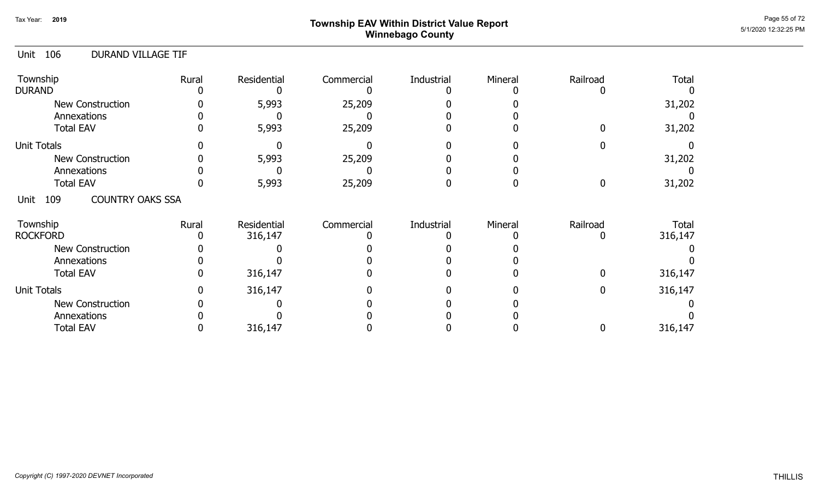# Page 55 of 72 Page 55 of 72  $^{\text{Page 55 of 72}}$ Winnebago County

#### Unit 106 DURAND VILLAGE TIF

| Township<br><b>DURAND</b>              | Rural | Residential            | Commercial | Industrial | Mineral | Railroad | Total            |
|----------------------------------------|-------|------------------------|------------|------------|---------|----------|------------------|
| <b>New Construction</b><br>Annexations |       | 5,993                  | 25,209     |            |         |          | 31,202           |
| <b>Total EAV</b>                       |       | 5,993                  | 25,209     |            |         |          | 31,202           |
| <b>Unit Totals</b>                     |       |                        |            |            |         |          |                  |
| <b>New Construction</b>                |       | 5,993                  | 25,209     |            |         |          | 31,202           |
| Annexations                            |       |                        |            |            |         |          |                  |
| <b>Total EAV</b>                       |       | 5,993                  | 25,209     |            |         |          | 31,202           |
| <b>COUNTRY OAKS SSA</b><br>109<br>Unit |       |                        |            |            |         |          |                  |
| Township<br><b>ROCKFORD</b>            | Rural | Residential<br>316,147 | Commercial | Industrial | Mineral | Railroad | Total<br>316,147 |
| New Construction                       |       |                        |            |            |         |          |                  |
| Annexations                            |       |                        |            |            |         |          |                  |
| <b>Total EAV</b>                       |       | 316,147                |            |            |         |          | 316,147          |
| <b>Unit Totals</b>                     |       | 316,147                |            |            |         |          | 316,147          |
| <b>New Construction</b>                |       |                        |            |            |         |          |                  |
| Annexations                            |       |                        |            |            |         |          |                  |
| <b>Total EAV</b>                       |       | 316,147                |            |            |         |          | 316,147          |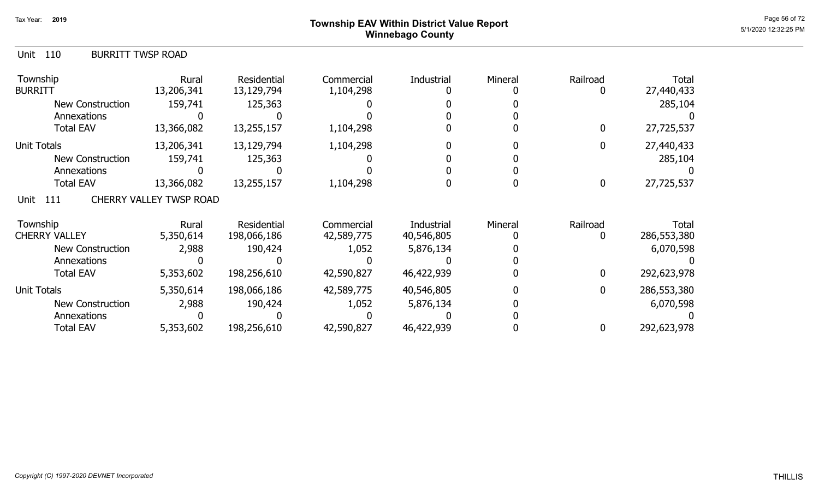# Page 56 of 72 Page 56 of 72  $^{\text{Page 56 of 72}}$ Winnebago County

| 110<br>Unit<br><b>BURRITT TWSP ROAD</b> |                                |                           |                         |            |         |               |                     |
|-----------------------------------------|--------------------------------|---------------------------|-------------------------|------------|---------|---------------|---------------------|
| Township<br>BURRITT                     | Rural<br>13,206,341            | Residential<br>13,129,794 | Commercial<br>1,104,298 | Industrial | Mineral | Railroad<br>0 | Total<br>27,440,433 |
| <b>New Construction</b>                 | 159,741                        | 125,363                   |                         |            |         |               | 285,104             |
| Annexations                             |                                |                           |                         |            |         |               |                     |
| <b>Total EAV</b>                        | 13,366,082                     | 13,255,157                | 1,104,298               |            |         | 0             | 27,725,537          |
| Unit Totals                             | 13,206,341                     | 13,129,794                | 1,104,298               |            |         | 0             | 27,440,433          |
| New Construction                        | 159,741                        | 125,363                   |                         |            |         |               | 285,104             |
| Annexations                             |                                |                           |                         |            |         |               |                     |
| <b>Total EAV</b>                        | 13,366,082                     | 13,255,157                | 1,104,298               |            |         | $\mathbf 0$   | 27,725,537          |
| 111<br>Unit                             | <b>CHERRY VALLEY TWSP ROAD</b> |                           |                         |            |         |               |                     |
| Township                                | Rural                          | Residential               | Commercial              | Industrial | Mineral | Railroad      | Total               |
| <b>CHERRY VALLEY</b>                    | 5,350,614                      | 198,066,186               | 42,589,775              | 40,546,805 |         | 0             | 286,553,380         |
| <b>New Construction</b>                 | 2,988                          | 190,424                   | 1,052                   | 5,876,134  |         |               | 6,070,598           |
| Annexations                             |                                |                           |                         |            |         |               |                     |
| <b>Total EAV</b>                        | 5,353,602                      | 198,256,610               | 42,590,827              | 46,422,939 |         | 0             | 292,623,978         |
| Unit Totals                             | 5,350,614                      | 198,066,186               | 42,589,775              | 40,546,805 |         | 0             | 286,553,380         |
| <b>New Construction</b>                 | 2,988                          | 190,424                   | 1,052                   | 5,876,134  |         |               | 6,070,598           |
| Annexations                             |                                |                           |                         |            |         |               |                     |
| <b>Total EAV</b>                        | 5,353,602                      | 198,256,610               | 42,590,827              | 46,422,939 |         | 0             | 292,623,978         |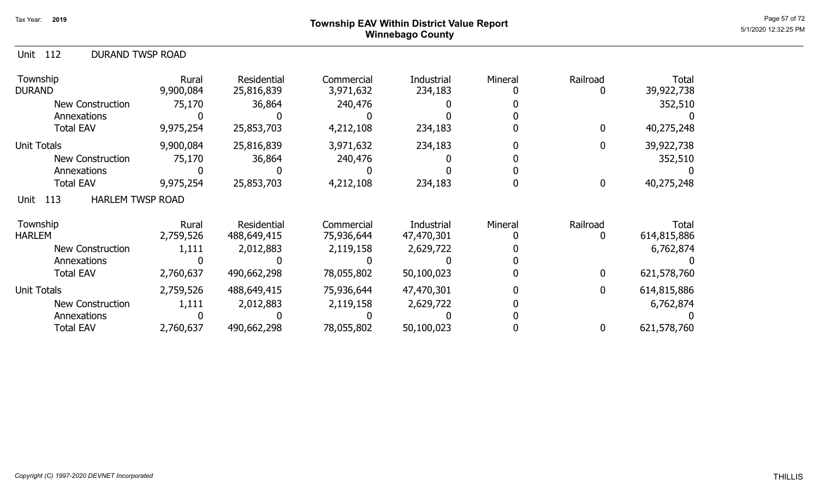#### Page 57 of 72 Page 57 of 72  $^{\text{Page 57 of 72}}$ Winnebago County

| <b>DURAND TWSP ROAD</b><br>Unit 112 |
|-------------------------------------|
|-------------------------------------|

| Township<br><b>DURAND</b>              | Rural<br>9,900,084 | <b>Residential</b><br>25,816,839 | Commercial<br>3,971,632 | Industrial<br>234,183 | Mineral | Railroad     | Total<br>39,922,738 |
|----------------------------------------|--------------------|----------------------------------|-------------------------|-----------------------|---------|--------------|---------------------|
| <b>New Construction</b>                | 75,170             | 36,864                           | 240,476                 |                       |         |              | 352,510             |
| Annexations                            |                    |                                  |                         |                       |         |              |                     |
| <b>Total EAV</b>                       | 9,975,254          | 25,853,703                       | 4,212,108               | 234,183               |         |              | 40,275,248          |
| <b>Unit Totals</b>                     | 9,900,084          | 25,816,839                       | 3,971,632               | 234,183               |         |              | 39,922,738          |
| <b>New Construction</b>                | 75,170             | 36,864                           | 240,476                 |                       |         |              | 352,510             |
| Annexations                            |                    |                                  |                         |                       |         |              |                     |
| <b>Total EAV</b>                       | 9,975,254          | 25,853,703                       | 4,212,108               | 234,183               |         | 0            | 40,275,248          |
| 113<br><b>HARLEM TWSP ROAD</b><br>Unit |                    |                                  |                         |                       |         |              |                     |
| Township                               | Rural              | Residential                      | Commercial              | Industrial            | Mineral | Railroad     | Total               |
| <b>HARLEM</b>                          | 2,759,526          | 488,649,415                      | 75,936,644              | 47,470,301            |         |              | 614,815,886         |
| <b>New Construction</b>                | 1,111              | 2,012,883                        | 2,119,158               | 2,629,722             |         |              | 6,762,874           |
| Annexations                            |                    |                                  |                         |                       |         |              |                     |
| <b>Total EAV</b>                       | 2,760,637          | 490,662,298                      | 78,055,802              | 50,100,023            |         | 0            | 621,578,760         |
| <b>Unit Totals</b>                     | 2,759,526          | 488,649,415                      | 75,936,644              | 47,470,301            |         | $\mathbf{0}$ | 614,815,886         |
| <b>New Construction</b>                | 1,111              | 2,012,883                        | 2,119,158               | 2,629,722             |         |              | 6,762,874           |
| Annexations                            |                    |                                  |                         |                       |         |              |                     |
| <b>Total EAV</b>                       | 2,760,637          | 490,662,298                      | 78,055,802              | 50,100,023            |         |              | 621,578,760         |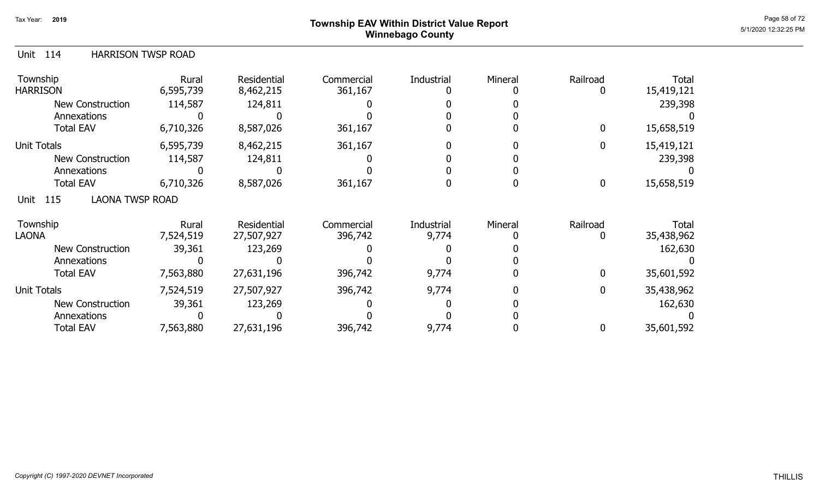# Page 58 of 72 Page 58 of 72  $^{\text{Page 58 of 72}}$ Winnebago County

| <b>HARRISON TWSP ROAD</b><br>114<br>Unit |                    |                                 |                       |            |         |                |                     |
|------------------------------------------|--------------------|---------------------------------|-----------------------|------------|---------|----------------|---------------------|
| Township<br><b>HARRISON</b>              | Rural<br>6,595,739 | <b>Residential</b><br>8,462,215 | Commercial<br>361,167 | Industrial | Mineral | Railroad<br>0  | Total<br>15,419,121 |
| New Construction                         | 114,587            | 124,811                         |                       |            |         |                | 239,398             |
| Annexations                              |                    |                                 |                       |            |         |                |                     |
| <b>Total EAV</b>                         | 6,710,326          | 8,587,026                       | 361,167               |            |         | $\overline{0}$ | 15,658,519          |
| Unit Totals                              | 6,595,739          | 8,462,215                       | 361,167               |            |         | 0              | 15,419,121          |
| <b>New Construction</b>                  | 114,587            | 124,811                         |                       |            |         |                | 239,398             |
| Annexations                              |                    |                                 |                       |            |         |                |                     |
| <b>Total EAV</b>                         | 6,710,326          | 8,587,026                       | 361,167               |            |         | $\mathbf 0$    | 15,658,519          |
| <b>LAONA TWSP ROAD</b><br>115<br>Unit    |                    |                                 |                       |            |         |                |                     |
| Township                                 | Rural              | <b>Residential</b>              | Commercial            | Industrial | Mineral | Railroad       | Total               |
| <b>LAONA</b>                             | 7,524,519          | 27,507,927                      | 396,742               | 9,774      |         | 0              | 35,438,962          |
| New Construction                         | 39,361             | 123,269                         |                       |            |         |                | 162,630             |
| Annexations                              |                    |                                 |                       |            |         |                |                     |
| <b>Total EAV</b>                         | 7,563,880          | 27,631,196                      | 396,742               | 9,774      |         | 0              | 35,601,592          |
| Unit Totals                              | 7,524,519          | 27,507,927                      | 396,742               | 9,774      |         | $\overline{0}$ | 35,438,962          |
| New Construction                         | 39,361             | 123,269                         |                       |            |         |                | 162,630             |
| Annexations                              |                    |                                 |                       |            |         |                |                     |
| <b>Total EAV</b>                         | 7,563,880          | 27,631,196                      | 396,742               | 9,774      |         | 0              | 35,601,592          |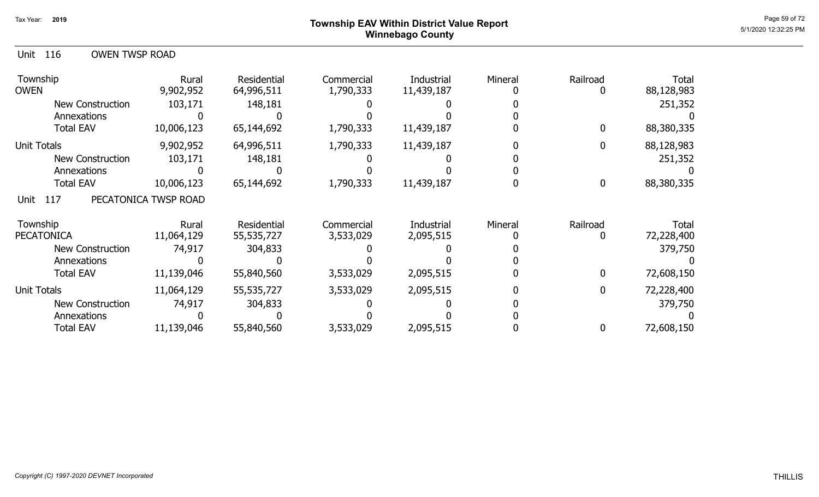### Page 59 of 72 Page 59 of 72  $^{\text{Page 59 of 72}}$ Winnebago County

| Unit 116 |  | <b>OWEN TWSP ROAD</b> |
|----------|--|-----------------------|
|----------|--|-----------------------|

| Township<br><b>OWEN</b> | Rural<br>9,902,952   | <b>Residential</b><br>64,996,511 | Commercial<br>1,790,333 | Industrial<br>11,439,187 | Mineral | Railroad | <b>Total</b><br>88,128,983 |
|-------------------------|----------------------|----------------------------------|-------------------------|--------------------------|---------|----------|----------------------------|
| <b>New Construction</b> | 103,171              | 148,181                          |                         |                          |         |          | 251,352                    |
| Annexations             |                      |                                  |                         |                          |         |          |                            |
| <b>Total EAV</b>        | 10,006,123           | 65,144,692                       | 1,790,333               | 11,439,187               |         | 0        | 88,380,335                 |
| <b>Unit Totals</b>      | 9,902,952            | 64,996,511                       | 1,790,333               | 11,439,187               |         |          | 88,128,983                 |
| <b>New Construction</b> | 103,171              | 148,181                          |                         |                          |         |          | 251,352                    |
| Annexations             |                      |                                  |                         |                          |         |          |                            |
| <b>Total EAV</b>        | 10,006,123           | 65,144,692                       | 1,790,333               | 11,439,187               |         | 0        | 88,380,335                 |
| 117<br>Unit             | PECATONICA TWSP ROAD |                                  |                         |                          |         |          |                            |
| Township                | Rural                | Residential                      | Commercial              | Industrial               | Mineral | Railroad | Total                      |
| <b>PECATONICA</b>       | 11,064,129           | 55,535,727                       | 3,533,029               | 2,095,515                |         |          | 72,228,400                 |
| <b>New Construction</b> | 74,917               | 304,833                          |                         |                          |         |          | 379,750                    |
| Annexations             |                      |                                  |                         |                          |         |          |                            |
| <b>Total EAV</b>        | 11,139,046           | 55,840,560                       | 3,533,029               | 2,095,515                |         | 0        | 72,608,150                 |
| <b>Unit Totals</b>      | 11,064,129           | 55,535,727                       | 3,533,029               | 2,095,515                |         | 0        | 72,228,400                 |
| <b>New Construction</b> | 74,917               | 304,833                          |                         |                          |         |          | 379,750                    |
| Annexations             |                      |                                  |                         |                          |         |          |                            |
| <b>Total EAV</b>        | 11,139,046           | 55,840,560                       | 3,533,029               | 2,095,515                |         |          | 72,608,150                 |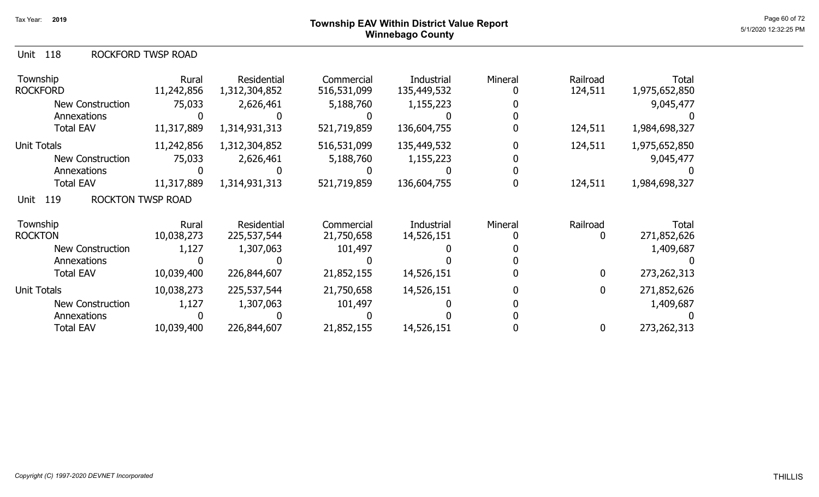| Unit 118 |  |  | ROCKFORD TWSP ROAD |
|----------|--|--|--------------------|
|----------|--|--|--------------------|

| Township<br><b>ROCKFORD</b>             | Rural<br>11,242,856 | Residential<br>1,312,304,852 | Commercial<br>516,531,099 | Industrial<br>135,449,532 | Mineral | Railroad<br>124,511 | <b>Total</b><br>1,975,652,850 |
|-----------------------------------------|---------------------|------------------------------|---------------------------|---------------------------|---------|---------------------|-------------------------------|
| <b>New Construction</b>                 | 75,033              | 2,626,461                    | 5,188,760                 | 1,155,223                 |         |                     | 9,045,477                     |
| Annexations                             |                     |                              |                           |                           |         |                     |                               |
| <b>Total EAV</b>                        | 11,317,889          | 1,314,931,313                | 521,719,859               | 136,604,755               |         | 124,511             | 1,984,698,327                 |
| Unit Totals                             | 11,242,856          | 1,312,304,852                | 516,531,099               | 135,449,532               |         | 124,511             | 1,975,652,850                 |
| New Construction                        | 75,033              | 2,626,461                    | 5,188,760                 | 1,155,223                 |         |                     | 9,045,477                     |
| Annexations                             |                     |                              |                           |                           |         |                     |                               |
| <b>Total EAV</b>                        | 11,317,889          | 1,314,931,313                | 521,719,859               | 136,604,755               |         | 124,511             | 1,984,698,327                 |
| <b>ROCKTON TWSP ROAD</b><br>119<br>Unit |                     |                              |                           |                           |         |                     |                               |
| Township                                | Rural               | Residential                  | Commercial                | Industrial                | Mineral | Railroad            | Total                         |
| <b>ROCKTON</b>                          | 10,038,273          | 225,537,544                  | 21,750,658                | 14,526,151                |         | 0                   | 271,852,626                   |
| <b>New Construction</b>                 | 1,127               | 1,307,063                    | 101,497                   |                           |         |                     | 1,409,687                     |
| Annexations                             |                     |                              |                           |                           |         |                     |                               |
| <b>Total EAV</b>                        | 10,039,400          | 226,844,607                  | 21,852,155                | 14,526,151                |         | $\mathbf 0$         | 273, 262, 313                 |
| <b>Unit Totals</b>                      | 10,038,273          | 225,537,544                  | 21,750,658                | 14,526,151                |         | 0                   | 271,852,626                   |
| <b>New Construction</b>                 | 1,127               | 1,307,063                    | 101,497                   |                           |         |                     | 1,409,687                     |
| Annexations                             |                     |                              |                           |                           |         |                     |                               |
| <b>Total EAV</b>                        | 10,039,400          | 226,844,607                  | 21,852,155                | 14,526,151                |         | 0                   | 273,262,313                   |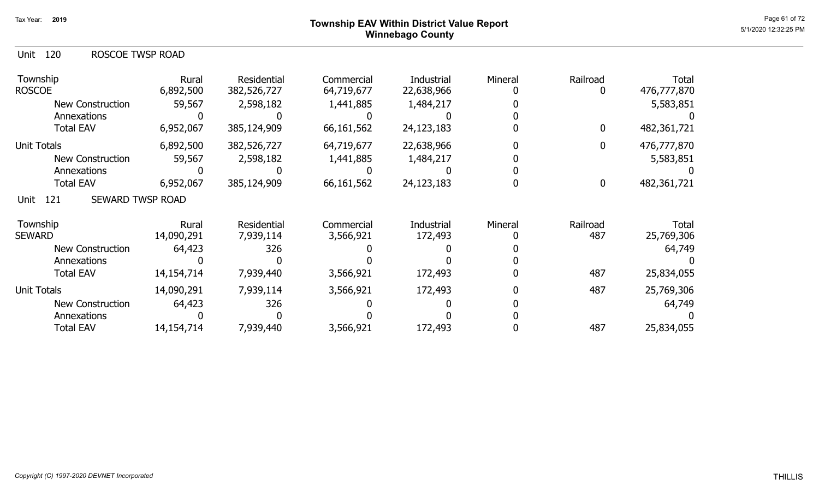### Page 61 of 72 Township EAV Within District Value Report And The Control of the Control of the Control of the C Winnebago County

| ROSCOE TWSP ROAD<br>Unit 120 |  |
|------------------------------|--|
|------------------------------|--|

| Township<br><b>ROSCOE</b>              | Rural<br>6,892,500  | <b>Residential</b><br>382,526,727 | Commercial<br>64,719,677 | Industrial<br>22,638,966 | Mineral | Railroad         | <b>Total</b><br>476,777,870 |
|----------------------------------------|---------------------|-----------------------------------|--------------------------|--------------------------|---------|------------------|-----------------------------|
| <b>New Construction</b>                | 59,567              | 2,598,182                         | 1,441,885                | 1,484,217                |         |                  | 5,583,851                   |
| Annexations                            |                     |                                   |                          |                          |         |                  |                             |
| <b>Total EAV</b>                       | 6,952,067           | 385,124,909                       | 66,161,562               | 24,123,183               |         | 0                | 482,361,721                 |
| Unit Totals                            | 6,892,500           | 382,526,727                       | 64,719,677               | 22,638,966               |         | 0                | 476,777,870                 |
| <b>New Construction</b>                | 59,567              | 2,598,182                         | 1,441,885                | 1,484,217                |         |                  | 5,583,851                   |
| Annexations                            |                     |                                   |                          |                          |         |                  |                             |
| <b>Total EAV</b>                       | 6,952,067           | 385,124,909                       | 66,161,562               | 24,123,183               |         | $\boldsymbol{0}$ | 482,361,721                 |
| <b>SEWARD TWSP ROAD</b><br>121<br>Unit |                     |                                   |                          |                          |         |                  |                             |
| Township<br><b>SEWARD</b>              | Rural<br>14,090,291 | Residential<br>7,939,114          | Commercial<br>3,566,921  | Industrial<br>172,493    | Mineral | Railroad<br>487  | Total<br>25,769,306         |
| <b>New Construction</b>                | 64,423              | 326                               |                          |                          |         |                  | 64,749                      |
| Annexations                            |                     |                                   |                          |                          |         |                  |                             |
| <b>Total EAV</b>                       | 14,154,714          | 7,939,440                         | 3,566,921                | 172,493                  |         | 487              | 25,834,055                  |
| <b>Unit Totals</b>                     | 14,090,291          | 7,939,114                         | 3,566,921                | 172,493                  |         | 487              | 25,769,306                  |
| <b>New Construction</b>                | 64,423              | 326                               |                          |                          |         |                  | 64,749                      |
| Annexations                            |                     |                                   |                          |                          |         |                  |                             |
| <b>Total EAV</b>                       | 14,154,714          | 7,939,440                         | 3,566,921                | 172,493                  |         | 487              | 25,834,055                  |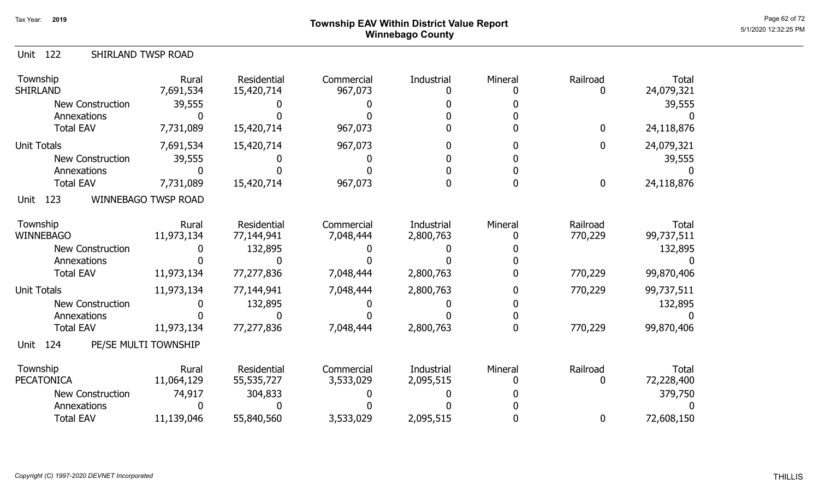# Page 62 of 72 Page 62 of 72  $^{Page\ 62 \text{ of } 72}$ Winnebago County

| SHIRLAND TWSP ROAD<br>Unit 122 |                            |                                  |                         |                            |         |                     |                            |
|--------------------------------|----------------------------|----------------------------------|-------------------------|----------------------------|---------|---------------------|----------------------------|
| Township<br>SHIRLAND           | Rural<br>7,691,534         | Residential<br>15,420,714        | Commercial<br>967,073   | Industrial<br>$\mathbf{0}$ | Mineral | Railroad<br>0       | Total<br>24,079,321        |
| <b>New Construction</b>        | 39,555                     |                                  |                         |                            |         |                     | 39,555                     |
| Annexations                    | <sup>0</sup>               |                                  |                         |                            |         |                     |                            |
| <b>Total EAV</b>               | 7,731,089                  | 15,420,714                       | 967,073                 |                            |         | $\boldsymbol{0}$    | 24,118,876                 |
| Unit Totals                    | 7,691,534                  | 15,420,714                       | 967,073                 |                            |         | $\mathbf 0$         | 24,079,321                 |
| <b>New Construction</b>        | 39,555                     |                                  |                         |                            |         |                     | 39,555                     |
| Annexations                    |                            |                                  |                         |                            |         |                     |                            |
| <b>Total EAV</b>               | 7,731,089                  | 15,420,714                       | 967,073                 |                            |         | $\mathbf 0$         | 24,118,876                 |
| 123<br>Unit                    | <b>WINNEBAGO TWSP ROAD</b> |                                  |                         |                            |         |                     |                            |
| Township<br>WINNEBAGO          | Rural<br>11,973,134        | Residential<br>77,144,941        | Commercial<br>7,048,444 | Industrial<br>2,800,763    | Mineral | Railroad<br>770,229 | Total<br>99,737,511        |
| <b>New Construction</b>        |                            | 132,895                          |                         |                            |         |                     | 132,895                    |
| Annexations                    |                            |                                  |                         |                            |         |                     |                            |
| <b>Total EAV</b>               | 11,973,134                 | 77,277,836                       | 7,048,444               | 2,800,763                  |         | 770,229             | 99,870,406                 |
| Unit Totals                    | 11,973,134                 | 77,144,941                       | 7,048,444               | 2,800,763                  |         | 770,229             | 99,737,511                 |
| <b>New Construction</b>        |                            | 132,895                          |                         |                            |         |                     | 132,895                    |
| Annexations                    |                            |                                  |                         |                            |         |                     |                            |
| <b>Total EAV</b>               | 11,973,134                 | 77,277,836                       | 7,048,444               | 2,800,763                  |         | 770,229             | 99,870,406                 |
| 124<br>Unit                    | PE/SE MULTI TOWNSHIP       |                                  |                         |                            |         |                     |                            |
| Township<br>PECATONICA         | Rural<br>11,064,129        | <b>Residential</b><br>55,535,727 | Commercial<br>3,533,029 | Industrial<br>2,095,515    | Mineral | Railroad<br>0       | <b>Total</b><br>72,228,400 |
| <b>New Construction</b>        | 74,917                     | 304,833                          |                         |                            |         |                     | 379,750                    |
| Annexations                    |                            |                                  |                         |                            |         |                     |                            |
| <b>Total EAV</b>               | 11,139,046                 | 55,840,560                       | 3,533,029               | 2,095,515                  |         | 0                   | 72,608,150                 |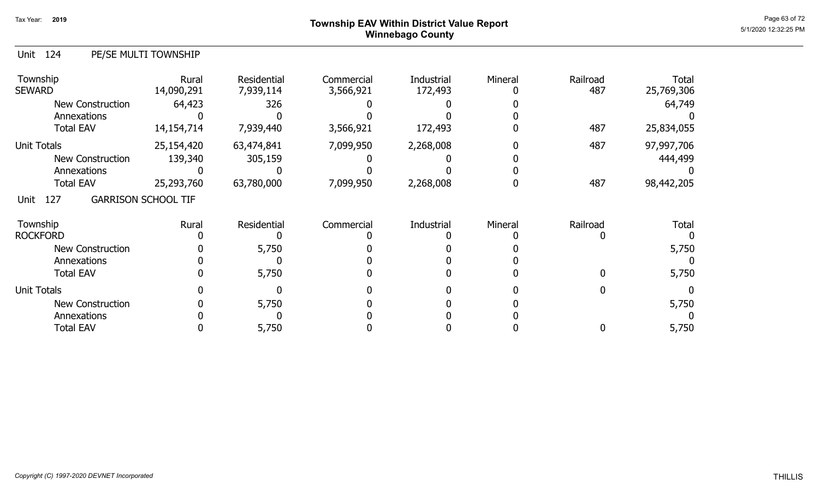#### ${\sf Township}$   ${\sf EAV}$  Within District Value Report  ${\sf Page}$  63 of 72  ${\sf Page}$  63 of 72  ${\sf PMO}$ Winnebago County

|  | Unit 124 | PE/SE MULTI TOWNSHIP |
|--|----------|----------------------|
|--|----------|----------------------|

| Township<br><b>SEWARD</b> | Rural<br>14,090,291        | Residential<br>7,939,114 | Commercial<br>3,566,921 | Industrial<br>172,493 | Mineral | Railroad<br>487 | <b>Total</b><br>25,769,306 |
|---------------------------|----------------------------|--------------------------|-------------------------|-----------------------|---------|-----------------|----------------------------|
| New Construction          | 64,423                     | 326                      |                         |                       |         |                 | 64,749                     |
| Annexations               |                            |                          |                         |                       |         |                 |                            |
| <b>Total EAV</b>          | 14,154,714                 | 7,939,440                | 3,566,921               | 172,493               |         | 487             | 25,834,055                 |
| <b>Unit Totals</b>        | 25,154,420                 | 63,474,841               | 7,099,950               | 2,268,008             |         | 487             | 97,997,706                 |
| <b>New Construction</b>   | 139,340                    | 305,159                  |                         |                       |         |                 | 444,499                    |
| Annexations               |                            |                          |                         |                       |         |                 |                            |
| <b>Total EAV</b>          | 25,293,760                 | 63,780,000               | 7,099,950               | 2,268,008             |         | 487             | 98,442,205                 |
| 127<br>Unit               | <b>GARRISON SCHOOL TIF</b> |                          |                         |                       |         |                 |                            |
| Township                  | Rural                      | <b>Residential</b>       | Commercial              | Industrial            | Mineral | Railroad        | <b>Total</b>               |
| <b>ROCKFORD</b>           |                            |                          |                         |                       |         |                 |                            |
| <b>New Construction</b>   |                            | 5,750                    |                         |                       |         |                 | 5,750                      |
| Annexations               |                            |                          |                         |                       |         |                 |                            |
| <b>Total EAV</b>          |                            | 5,750                    |                         |                       |         | 0               | 5,750                      |
| <b>Unit Totals</b>        |                            |                          |                         |                       |         |                 |                            |
| <b>New Construction</b>   |                            | 5,750                    |                         |                       |         |                 | 5,750                      |
| Annexations               |                            |                          |                         |                       |         |                 |                            |
| <b>Total EAV</b>          |                            | 5,750                    |                         |                       |         | 0               | 5,750                      |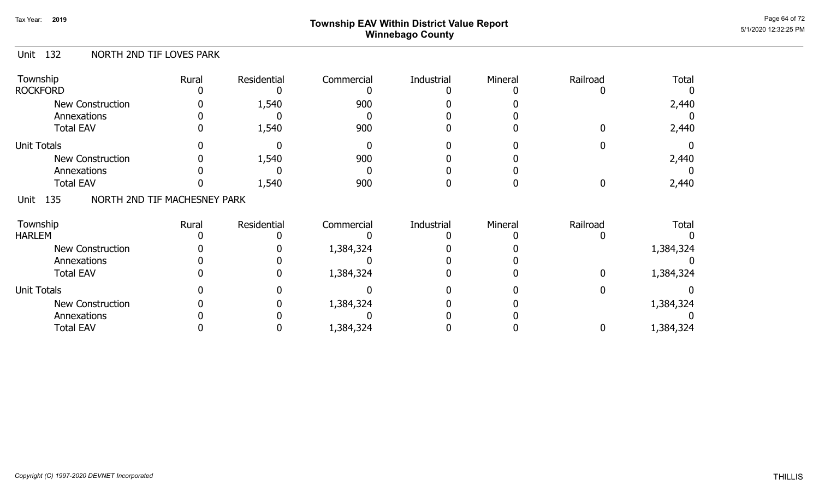# Page 64 of 72 Page 64 of 72  $^{\text{Page 64 of 72}}$ Winnebago County

#### Unit 132 NORTH 2ND TIF LOVES PARK

| Township<br><b>ROCKFORD</b>                 | Rural | Residential | Commercial | Industrial | Mineral | Railroad | <b>Total</b> |
|---------------------------------------------|-------|-------------|------------|------------|---------|----------|--------------|
| New Construction<br>Annexations             |       | 1,540       | 900        |            |         |          | 2,440        |
| <b>Total EAV</b>                            |       | 1,540       | 900        |            |         |          | 2,440        |
| <b>Unit Totals</b>                          |       |             |            |            |         |          |              |
| <b>New Construction</b>                     |       | 1,540       | 900        |            |         |          | 2,440        |
| Annexations                                 |       |             |            |            |         |          |              |
| <b>Total EAV</b>                            |       | 1,540       | 900        |            |         |          | 2,440        |
| NORTH 2ND TIF MACHESNEY PARK<br>135<br>Unit |       |             |            |            |         |          |              |
| Township                                    | Rural | Residential | Commercial | Industrial | Mineral | Railroad | <b>Total</b> |
| <b>HARLEM</b>                               |       |             |            |            |         |          |              |
| <b>New Construction</b>                     |       |             | 1,384,324  |            |         |          | 1,384,324    |
| Annexations                                 |       |             |            |            |         |          |              |
| <b>Total EAV</b>                            |       |             | 1,384,324  |            |         |          | 1,384,324    |
| <b>Unit Totals</b>                          |       |             |            |            |         |          |              |
| <b>New Construction</b>                     |       |             | 1,384,324  |            |         |          | 1,384,324    |
| Annexations                                 |       |             |            |            |         |          |              |
| <b>Total EAV</b>                            |       |             | 1,384,324  |            |         |          | 1,384,324    |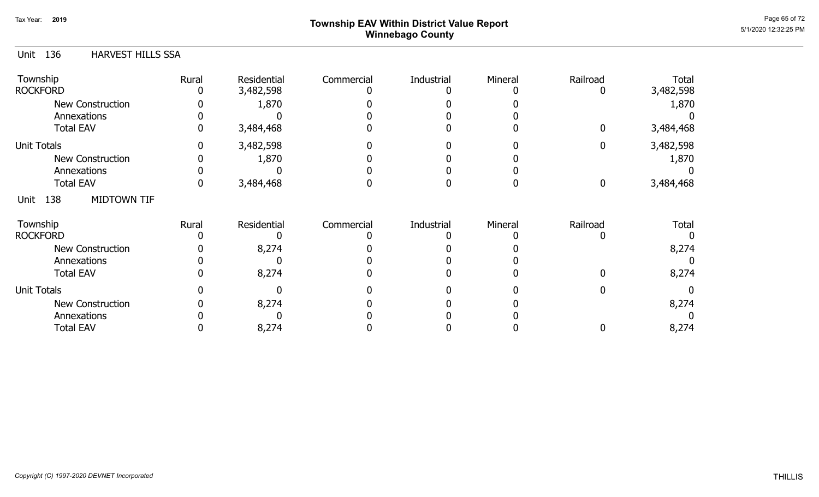# Page 65 of 72<br>Page 65 of 72 Page 65 of 72 Winnebago County

#### Unit 136 Township **Rural** Residential Commercial Industrial Mineral Railroad Total HARVEST HILLS SSA 0 3,484,468 0 0 0 0 0 3,482,598 1,870 3,484,468 ROCKFORD 0 0 3,482,598 1,870 0 0 0 0 0 0 0 New Construction Annexations Total EAV 0 0 0 0 0 0 Unit Totals Annexations Total EAV New Construction 0 3,484,468 0 3,484,468 0 3,482,598 0 0 3,482,598 0 1,870 0 0 1,870 0 0 0 0 0 0 0 0 0 0 0 0 Unit 138 Township **Rural** Residential Commercial Industrial Mineral Railroad Total MIDTOWN TIF 0 8,274 0 0 0 0 0 8,274 8,274 ROCKFORD 0 0 0 8,274 0 0 0 0 0 0 0 New Construction Annexations Total EAV 0 0 0 0 0 0 Unit Totals Annexations Total EAV New Construction 0 8,274 0 8,274 0 0 0 0 0 0 8,274 0 0 8,274 0 0 0 0 0 0 0 0 0 0 0 0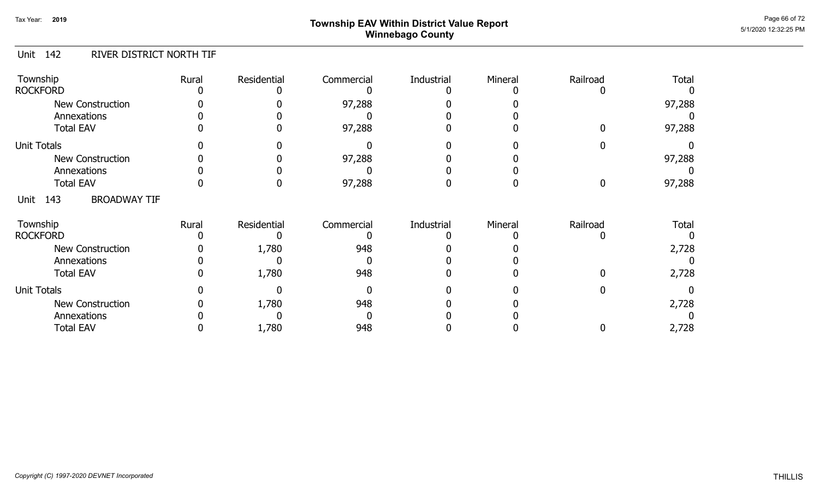# Page 66 of 72 Page 66 of 72  $^{\text{Page 66 of 72}}$ Winnebago County

#### Unit 142 RIVER DISTRICT NORTH TIF

| Township<br><b>ROCKFORD</b>            | Rural | Residential | Commercial | Industrial | Mineral | Railroad | Total  |
|----------------------------------------|-------|-------------|------------|------------|---------|----------|--------|
| <b>New Construction</b><br>Annexations |       |             | 97,288     |            |         |          | 97,288 |
| <b>Total EAV</b>                       |       |             | 97,288     |            |         |          | 97,288 |
| <b>Unit Totals</b>                     |       |             |            |            |         |          |        |
| New Construction                       |       |             | 97,288     |            |         |          | 97,288 |
| Annexations                            |       |             |            |            |         |          |        |
| <b>Total EAV</b>                       |       |             | 97,288     |            |         |          | 97,288 |
| <b>BROADWAY TIF</b><br>143<br>Unit     |       |             |            |            |         |          |        |
| Township<br><b>ROCKFORD</b>            | Rural | Residential | Commercial | Industrial | Mineral | Railroad | Total  |
| New Construction                       |       | 1,780       | 948        |            |         |          | 2,728  |
| Annexations                            |       |             |            |            |         |          |        |
| <b>Total EAV</b>                       |       | 1,780       | 948        |            |         |          | 2,728  |
| <b>Unit Totals</b>                     |       |             |            |            |         |          |        |
| <b>New Construction</b>                |       | 1,780       | 948        |            |         |          | 2,728  |
| Annexations                            |       |             |            |            |         |          |        |
| <b>Total EAV</b>                       |       | 1,780       | 948        |            |         |          | 2,728  |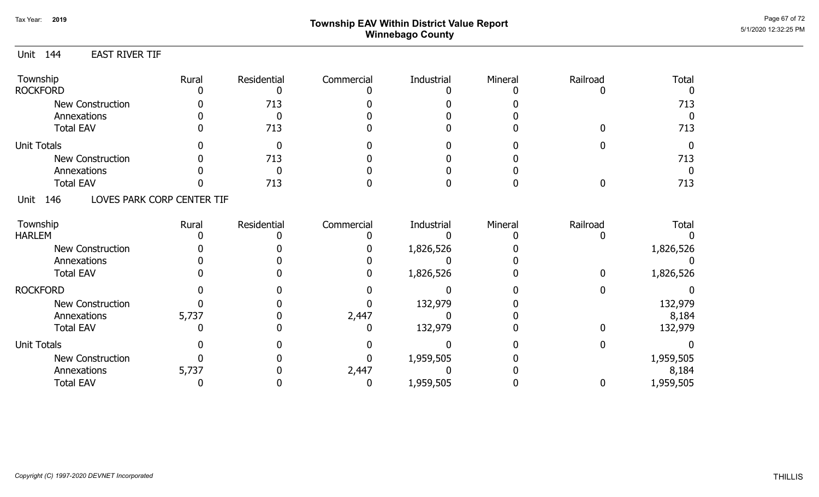# Page 67 of 72 Township EAV Within District Value Report And the Control of the Control of the Control of the Control of the Control of the Control of the Control of the Control of the Control of the Control of the Control Winnebago County

#### Unit 144 EAST RIVER TIF

| Township<br><b>ROCKFORD</b> | Rural                      | Residential | Commercial | Industrial | Mineral | Railroad | <b>Total</b> |
|-----------------------------|----------------------------|-------------|------------|------------|---------|----------|--------------|
| New Construction            |                            | 713         |            |            |         |          | 713          |
| Annexations                 |                            |             |            |            |         |          |              |
| <b>Total EAV</b>            |                            | 713         |            |            |         |          | 713          |
| <b>Unit Totals</b>          |                            |             |            |            |         |          |              |
| <b>New Construction</b>     |                            | 713         |            |            |         |          | 713          |
| Annexations                 |                            |             |            |            |         |          |              |
| <b>Total EAV</b>            |                            | 713         |            |            |         |          | 713          |
| 146<br>Unit                 | LOVES PARK CORP CENTER TIF |             |            |            |         |          |              |
| Township                    | Rural                      | Residential | Commercial | Industrial | Mineral | Railroad | <b>Total</b> |
| <b>HARLEM</b>               |                            |             |            |            |         |          |              |
| <b>New Construction</b>     |                            |             |            | 1,826,526  |         |          | 1,826,526    |
| Annexations                 |                            |             |            |            |         |          |              |
| <b>Total EAV</b>            |                            |             |            | 1,826,526  |         | O.       | 1,826,526    |
| <b>ROCKFORD</b>             |                            |             |            |            |         |          |              |
| New Construction            |                            |             |            | 132,979    |         |          | 132,979      |
| Annexations                 | 5,737                      |             | 2,447      |            |         |          | 8,184        |
| <b>Total EAV</b>            |                            |             |            | 132,979    |         |          | 132,979      |
| <b>Unit Totals</b>          |                            |             |            |            |         |          |              |
| <b>New Construction</b>     |                            |             |            | 1,959,505  |         |          | 1,959,505    |
| Annexations                 | 5,737                      |             | 2,447      |            |         |          | 8,184        |
| <b>Total EAV</b>            |                            |             |            | 1,959,505  |         |          | 1,959,505    |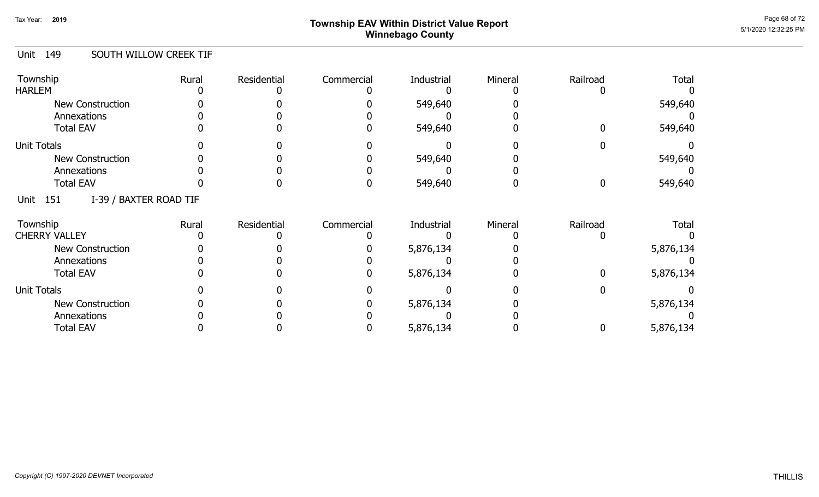# ${\sf Township~EAV~Within~District~Value~Report} \nonumber \hspace{5.5cm} \textcolor{red}{\sf Power~D1111} \textcolor{red}{\bullet} \textcolor{red}{\sf P31111} \textcolor{red}{\bullet} \textcolor{red}{\sf P31111} \textcolor{red}{\bullet} \textcolor{red}{\bullet} \textcolor{red}{\bullet} \textcolor{red}{\bullet} \textcolor{red}{\bullet} \textcolor{red}{\bullet} \textcolor{red}{\bullet} \textcolor{red}{\bullet} \textcolor{red}{\bullet} \textcolor{red}{\bullet} \textcolor{red}{\bullet} \textcolor{red}{\bullet} \textcolor{red}{\bullet} \textcolor{red}{\bullet}$ Winnebago County

#### Unit 149 SOUTH WILLOW CREEK TIF

| Township<br><b>HARLEM</b>              | Rural | Residential | Commercial | Industrial | Mineral | Railroad | <b>Total</b> |
|----------------------------------------|-------|-------------|------------|------------|---------|----------|--------------|
| <b>New Construction</b><br>Annexations |       |             |            | 549,640    |         |          | 549,640      |
| <b>Total EAV</b>                       |       |             |            | 549,640    |         |          | 549,640      |
| <b>Unit Totals</b>                     |       |             |            |            |         |          |              |
| New Construction                       |       |             |            | 549,640    |         |          | 549,640      |
| Annexations                            |       |             |            |            |         |          |              |
| <b>Total EAV</b>                       |       |             |            | 549,640    |         |          | 549,640      |
| I-39 / BAXTER ROAD TIF<br>Unit<br>151  |       |             |            |            |         |          |              |
| Township                               | Rural | Residential | Commercial | Industrial | Mineral | Railroad | <b>Total</b> |
| <b>CHERRY VALLEY</b>                   |       |             |            |            |         |          |              |
| <b>New Construction</b>                |       |             |            | 5,876,134  |         |          | 5,876,134    |
| Annexations                            |       |             |            |            |         |          |              |
| <b>Total EAV</b>                       |       |             |            | 5,876,134  |         |          | 5,876,134    |
| <b>Unit Totals</b>                     |       |             |            |            |         |          |              |
| <b>New Construction</b>                |       |             |            | 5,876,134  |         |          | 5,876,134    |
| Annexations                            |       |             |            |            |         |          |              |
| <b>Total EAV</b>                       |       |             |            | 5,876,134  |         |          | 5,876,134    |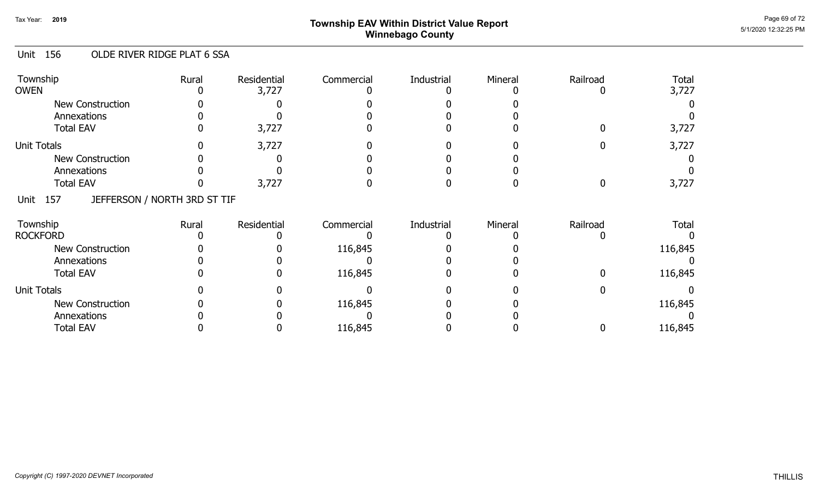# Page 69 of 72 Page 69 of 72  $^{\text{Page 69 of 72}}$ Winnebago County

#### Unit 156 OLDE RIVER RIDGE PLAT 6 SSA

| Township<br><b>OWEN</b>                     | Rural | Residential<br>3,727 | Commercial | Industrial | Mineral | Railroad | <b>Total</b><br>3,727 |
|---------------------------------------------|-------|----------------------|------------|------------|---------|----------|-----------------------|
| New Construction                            |       |                      |            |            |         |          |                       |
| Annexations                                 |       |                      |            |            |         |          |                       |
| <b>Total EAV</b>                            |       | 3,727                |            |            |         |          | 3,727                 |
| <b>Unit Totals</b>                          |       | 3,727                |            |            |         |          | 3,727                 |
| New Construction                            |       |                      |            |            |         |          |                       |
| Annexations                                 |       |                      |            |            |         |          |                       |
| <b>Total EAV</b>                            |       | 3,727                |            |            |         |          | 3,727                 |
| JEFFERSON / NORTH 3RD ST TIF<br>157<br>Unit |       |                      |            |            |         |          |                       |
| Township                                    | Rural | Residential          | Commercial | Industrial | Mineral | Railroad | <b>Total</b>          |
| <b>ROCKFORD</b>                             |       |                      |            |            |         |          |                       |
| New Construction                            |       |                      | 116,845    |            |         |          | 116,845               |
| Annexations                                 |       |                      |            |            |         |          |                       |
| <b>Total EAV</b>                            |       |                      | 116,845    |            |         |          | 116,845               |
| <b>Unit Totals</b>                          |       |                      |            |            |         |          |                       |
| New Construction                            |       |                      | 116,845    |            |         |          | 116,845               |
| Annexations                                 |       |                      |            |            |         |          |                       |
| <b>Total EAV</b>                            |       |                      | 116,845    |            |         |          | 116,845               |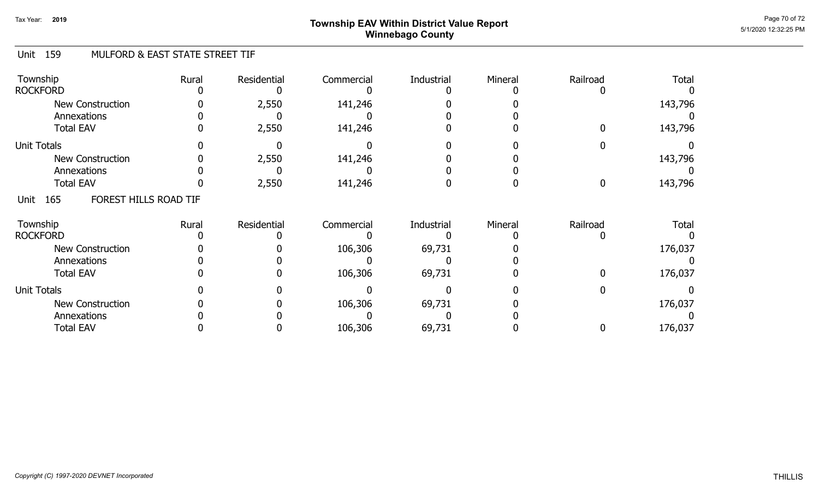# Page 70 of 72 Page 70 of 72  $^{\text{Page 70 of 72}}$ Winnebago County

#### Unit 159 MULFORD & EAST STATE STREET TIF

| Township<br><b>ROCKFORD</b>            | Rural | Residential | Commercial | Industrial | Mineral | Railroad | <b>Total</b> |
|----------------------------------------|-------|-------------|------------|------------|---------|----------|--------------|
| <b>New Construction</b><br>Annexations |       | 2,550       | 141,246    |            |         |          | 143,796      |
| <b>Total EAV</b>                       |       | 2,550       | 141,246    |            |         |          | 143,796      |
| <b>Unit Totals</b>                     |       |             |            |            |         |          |              |
| <b>New Construction</b>                |       | 2,550       | 141,246    |            |         |          | 143,796      |
| Annexations                            |       |             |            |            |         |          |              |
| <b>Total EAV</b>                       |       | 2,550       | 141,246    |            |         | 0        | 143,796      |
| FOREST HILLS ROAD TIF<br>165<br>Unit   |       |             |            |            |         |          |              |
| Township                               | Rural | Residential | Commercial | Industrial | Mineral | Railroad | <b>Total</b> |
| <b>ROCKFORD</b>                        |       |             |            |            |         |          |              |
| <b>New Construction</b>                |       |             | 106,306    | 69,731     |         |          | 176,037      |
| Annexations                            |       |             |            |            |         |          |              |
| <b>Total EAV</b>                       |       |             | 106,306    | 69,731     |         |          | 176,037      |
| <b>Unit Totals</b>                     |       |             |            |            |         |          |              |
| <b>New Construction</b>                |       |             | 106,306    | 69,731     |         |          | 176,037      |
| Annexations                            |       |             |            |            |         |          |              |
| <b>Total EAV</b>                       |       |             | 106,306    | 69,731     |         |          | 176,037      |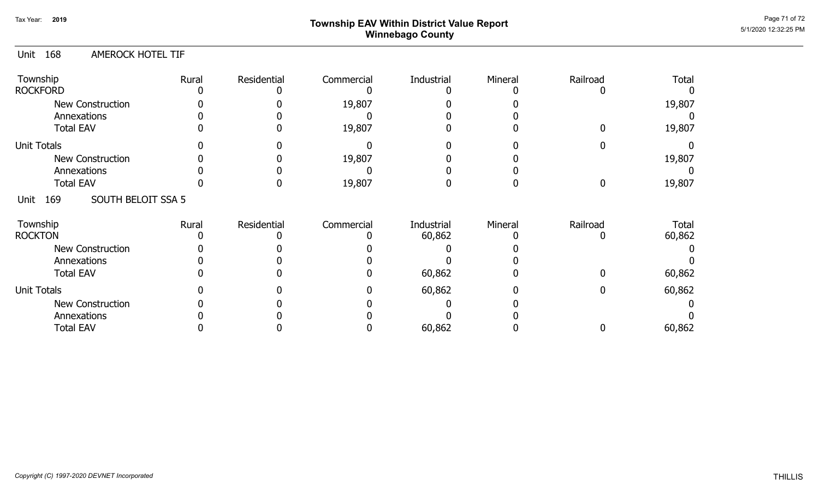# Page 71 of 72 Page 71 of 72  $^{\text{Page 71 of 72}}$ Winnebago County

#### Unit 168 AMEROCK HOTEL TIF

| Township<br><b>ROCKFORD</b>       | Rural | Residential | Commercial | Industrial | Mineral | Railroad | <b>Total</b> |
|-----------------------------------|-------|-------------|------------|------------|---------|----------|--------------|
| New Construction<br>Annexations   |       |             | 19,807     |            |         |          | 19,807       |
| <b>Total EAV</b>                  |       |             | 19,807     |            |         |          | 19,807       |
| <b>Unit Totals</b>                |       |             |            |            |         |          |              |
| <b>New Construction</b>           |       |             | 19,807     |            |         |          | 19,807       |
| Annexations                       |       |             |            |            |         |          |              |
| <b>Total EAV</b>                  |       |             | 19,807     |            |         |          | 19,807       |
| SOUTH BELOIT SSA 5<br>169<br>Unit |       |             |            |            |         |          |              |
| Township                          | Rural | Residential | Commercial | Industrial | Mineral | Railroad | Total        |
| <b>ROCKTON</b>                    |       |             |            | 60,862     |         |          | 60,862       |
| <b>New Construction</b>           |       |             |            |            |         |          |              |
| Annexations                       |       |             |            |            |         |          |              |
| <b>Total EAV</b>                  |       |             |            | 60,862     |         |          | 60,862       |
| <b>Unit Totals</b>                |       |             |            | 60,862     |         |          | 60,862       |
| <b>New Construction</b>           |       |             |            |            |         |          |              |
| Annexations                       |       |             |            |            |         |          |              |
| <b>Total EAV</b>                  |       |             |            | 60,862     |         |          | 60,862       |